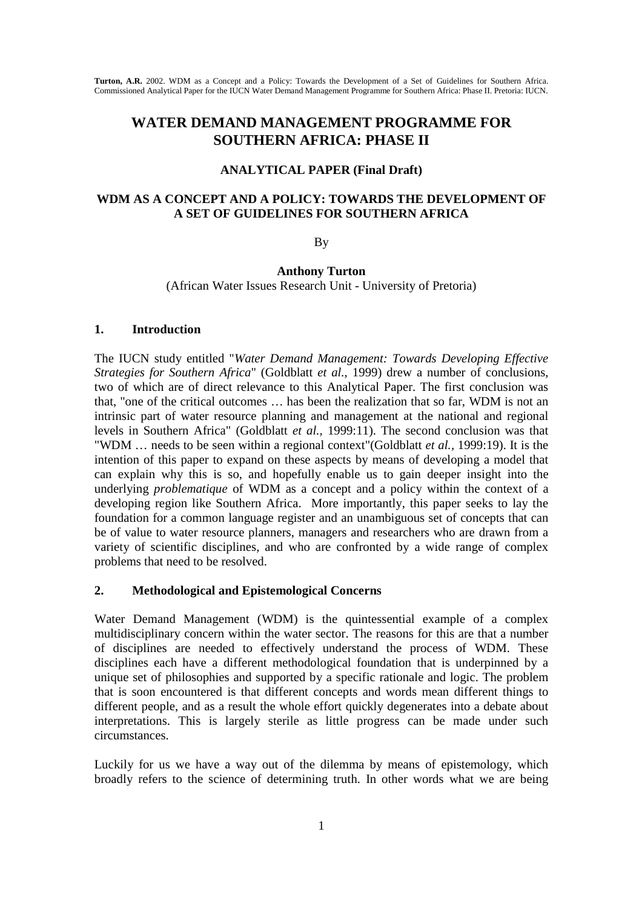# **WATER DEMAND MANAGEMENT PROGRAMME FOR SOUTHERN AFRICA: PHASE II**

#### **ANALYTICAL PAPER (Final Draft)**

### **WDM AS A CONCEPT AND A POLICY: TOWARDS THE DEVELOPMENT OF A SET OF GUIDELINES FOR SOUTHERN AFRICA**

By

**Anthony Turton** (African Water Issues Research Unit - University of Pretoria)

#### **1. Introduction**

The IUCN study entitled "*Water Demand Management: Towards Developing Effective Strategies for Southern Africa*" (Goldblatt *et al.,* 1999) drew a number of conclusions, two of which are of direct relevance to this Analytical Paper. The first conclusion was that, "one of the critical outcomes … has been the realization that so far, WDM is not an intrinsic part of water resource planning and management at the national and regional levels in Southern Africa" (Goldblatt *et al.,* 1999:11). The second conclusion was that "WDM … needs to be seen within a regional context"(Goldblatt *et al.,* 1999:19). It is the intention of this paper to expand on these aspects by means of developing a model that can explain why this is so, and hopefully enable us to gain deeper insight into the underlying *problematique* of WDM as a concept and a policy within the context of a developing region like Southern Africa. More importantly, this paper seeks to lay the foundation for a common language register and an unambiguous set of concepts that can be of value to water resource planners, managers and researchers who are drawn from a variety of scientific disciplines, and who are confronted by a wide range of complex problems that need to be resolved.

#### **2. Methodological and Epistemological Concerns**

Water Demand Management (WDM) is the quintessential example of a complex multidisciplinary concern within the water sector. The reasons for this are that a number of disciplines are needed to effectively understand the process of WDM. These disciplines each have a different methodological foundation that is underpinned by a unique set of philosophies and supported by a specific rationale and logic. The problem that is soon encountered is that different concepts and words mean different things to different people, and as a result the whole effort quickly degenerates into a debate about interpretations. This is largely sterile as little progress can be made under such circumstances.

Luckily for us we have a way out of the dilemma by means of epistemology, which broadly refers to the science of determining truth. In other words what we are being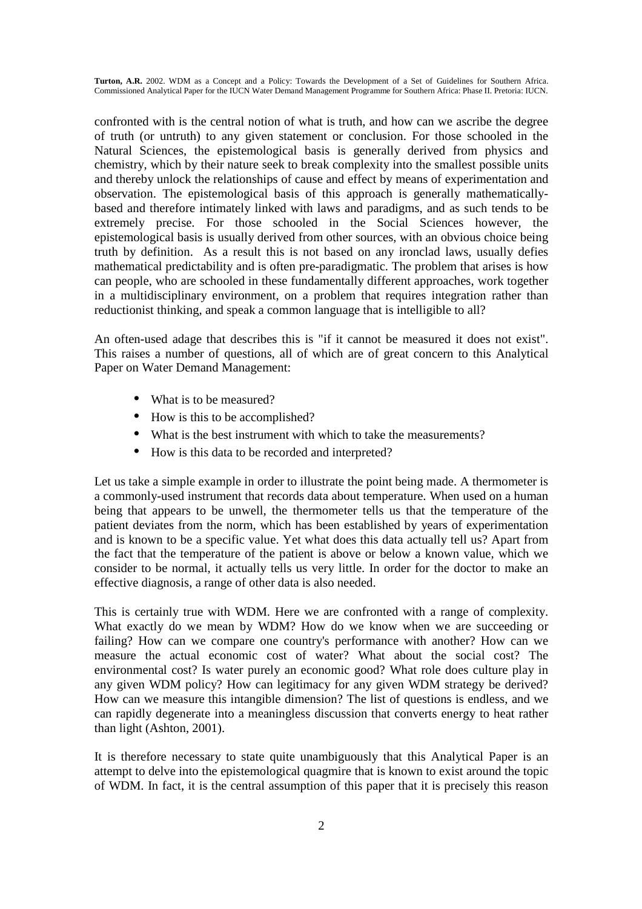confronted with is the central notion of what is truth, and how can we ascribe the degree of truth (or untruth) to any given statement or conclusion. For those schooled in the Natural Sciences, the epistemological basis is generally derived from physics and chemistry, which by their nature seek to break complexity into the smallest possible units and thereby unlock the relationships of cause and effect by means of experimentation and observation. The epistemological basis of this approach is generally mathematicallybased and therefore intimately linked with laws and paradigms, and as such tends to be extremely precise. For those schooled in the Social Sciences however, the epistemological basis is usually derived from other sources, with an obvious choice being truth by definition. As a result this is not based on any ironclad laws, usually defies mathematical predictability and is often pre-paradigmatic. The problem that arises is how can people, who are schooled in these fundamentally different approaches, work together in a multidisciplinary environment, on a problem that requires integration rather than reductionist thinking, and speak a common language that is intelligible to all?

An often-used adage that describes this is "if it cannot be measured it does not exist". This raises a number of questions, all of which are of great concern to this Analytical Paper on Water Demand Management:

- What is to be measured?
- How is this to be accomplished?
- What is the best instrument with which to take the measurements?
- How is this data to be recorded and interpreted?

Let us take a simple example in order to illustrate the point being made. A thermometer is a commonly-used instrument that records data about temperature. When used on a human being that appears to be unwell, the thermometer tells us that the temperature of the patient deviates from the norm, which has been established by years of experimentation and is known to be a specific value. Yet what does this data actually tell us? Apart from the fact that the temperature of the patient is above or below a known value, which we consider to be normal, it actually tells us very little. In order for the doctor to make an effective diagnosis, a range of other data is also needed.

This is certainly true with WDM. Here we are confronted with a range of complexity. What exactly do we mean by WDM? How do we know when we are succeeding or failing? How can we compare one country's performance with another? How can we measure the actual economic cost of water? What about the social cost? The environmental cost? Is water purely an economic good? What role does culture play in any given WDM policy? How can legitimacy for any given WDM strategy be derived? How can we measure this intangible dimension? The list of questions is endless, and we can rapidly degenerate into a meaningless discussion that converts energy to heat rather than light (Ashton, 2001).

It is therefore necessary to state quite unambiguously that this Analytical Paper is an attempt to delve into the epistemological quagmire that is known to exist around the topic of WDM. In fact, it is the central assumption of this paper that it is precisely this reason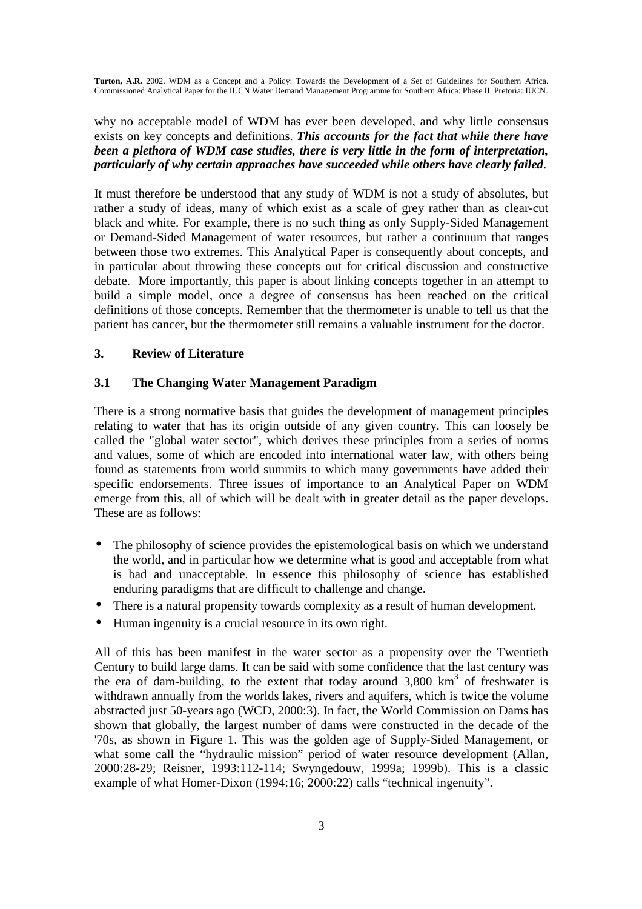why no acceptable model of WDM has ever been developed, and why little consensus exists on key concepts and definitions. *This accounts for the fact that while there have been a plethora of WDM case studies, there is very little in the form of interpretation, particularly of why certain approaches have succeeded while others have clearly failed*.

It must therefore be understood that any study of WDM is not a study of absolutes, but rather a study of ideas, many of which exist as a scale of grey rather than as clear-cut black and white. For example, there is no such thing as only Supply-Sided Management or Demand-Sided Management of water resources, but rather a continuum that ranges between those two extremes. This Analytical Paper is consequently about concepts, and in particular about throwing these concepts out for critical discussion and constructive debate. More importantly, this paper is about linking concepts together in an attempt to build a simple model, once a degree of consensus has been reached on the critical definitions of those concepts. Remember that the thermometer is unable to tell us that the patient has cancer, but the thermometer still remains a valuable instrument for the doctor.

### **3. Review of Literature**

### **3.1 The Changing Water Management Paradigm**

There is a strong normative basis that guides the development of management principles relating to water that has its origin outside of any given country. This can loosely be called the "global water sector", which derives these principles from a series of norms and values, some of which are encoded into international water law, with others being found as statements from world summits to which many governments have added their specific endorsements. Three issues of importance to an Analytical Paper on WDM emerge from this, all of which will be dealt with in greater detail as the paper develops. These are as follows:

- The philosophy of science provides the epistemological basis on which we understand the world, and in particular how we determine what is good and acceptable from what is bad and unacceptable. In essence this philosophy of science has established enduring paradigms that are difficult to challenge and change.
- There is a natural propensity towards complexity as a result of human development.
- Human ingenuity is a crucial resource in its own right.

All of this has been manifest in the water sector as a propensity over the Twentieth Century to build large dams. It can be said with some confidence that the last century was the era of dam-building, to the extent that today around  $3,800 \text{ km}^3$  of freshwater is withdrawn annually from the worlds lakes, rivers and aquifers, which is twice the volume abstracted just 50-years ago (WCD, 2000:3). In fact, the World Commission on Dams has shown that globally, the largest number of dams were constructed in the decade of the '70s, as shown in Figure 1. This was the golden age of Supply-Sided Management, or what some call the "hydraulic mission" period of water resource development (Allan, 2000:28-29; Reisner, 1993:112-114; Swyngedouw, 1999a; 1999b). This is a classic example of what Homer-Dixon (1994:16; 2000:22) calls "technical ingenuity".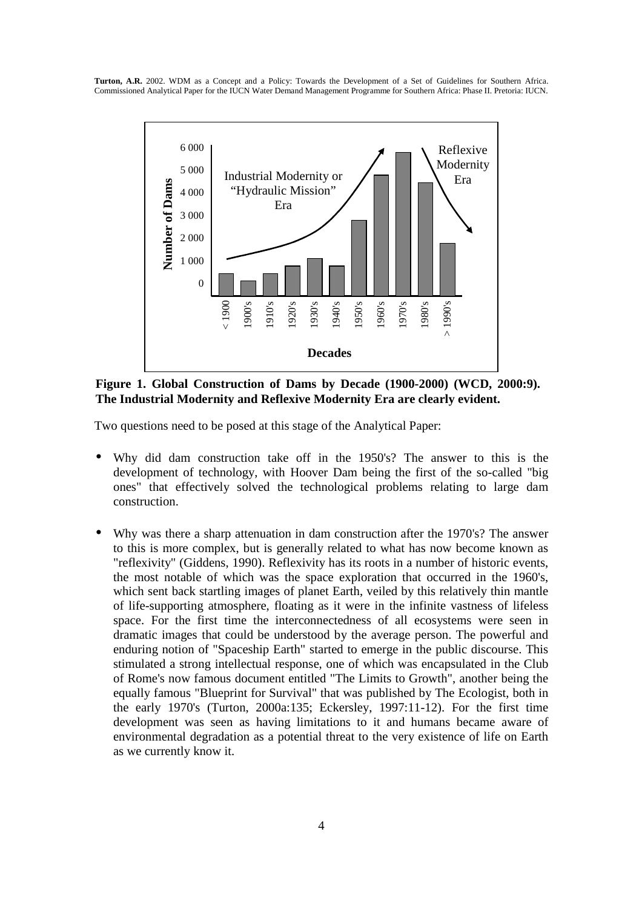

**Figure 1. Global Construction of Dams by Decade (1900-2000) (WCD, 2000:9). The Industrial Modernity and Reflexive Modernity Era are clearly evident.** 

Two questions need to be posed at this stage of the Analytical Paper:

- Why did dam construction take off in the 1950's? The answer to this is the development of technology, with Hoover Dam being the first of the so-called "big ones" that effectively solved the technological problems relating to large dam construction.
- Why was there a sharp attenuation in dam construction after the 1970's? The answer to this is more complex, but is generally related to what has now become known as "reflexivity" (Giddens, 1990). Reflexivity has its roots in a number of historic events, the most notable of which was the space exploration that occurred in the 1960's, which sent back startling images of planet Earth, veiled by this relatively thin mantle of life-supporting atmosphere, floating as it were in the infinite vastness of lifeless space. For the first time the interconnectedness of all ecosystems were seen in dramatic images that could be understood by the average person. The powerful and enduring notion of "Spaceship Earth" started to emerge in the public discourse. This stimulated a strong intellectual response, one of which was encapsulated in the Club of Rome's now famous document entitled "The Limits to Growth", another being the equally famous "Blueprint for Survival" that was published by The Ecologist, both in the early 1970's (Turton, 2000a:135; Eckersley, 1997:11-12). For the first time development was seen as having limitations to it and humans became aware of environmental degradation as a potential threat to the very existence of life on Earth as we currently know it.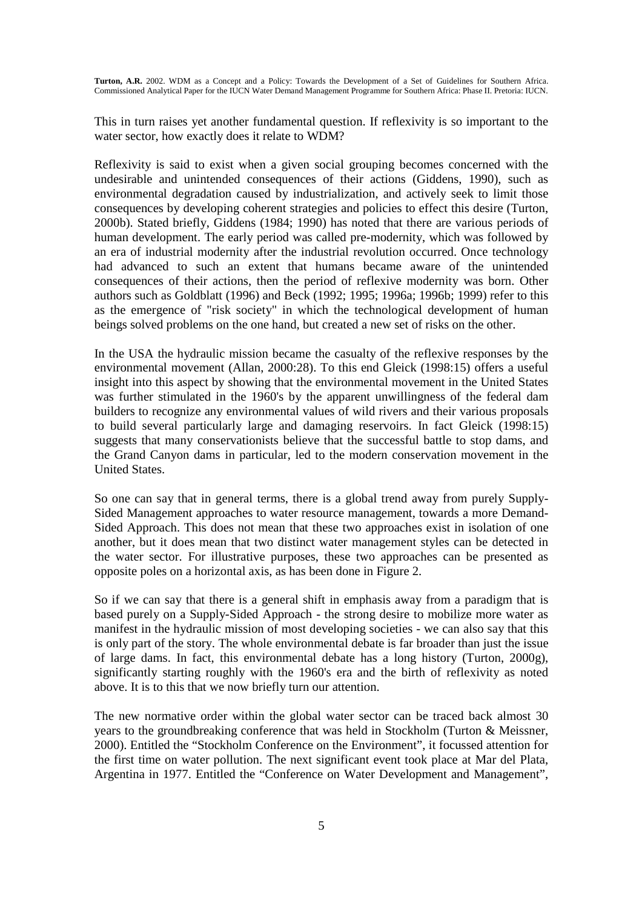This in turn raises yet another fundamental question. If reflexivity is so important to the water sector, how exactly does it relate to WDM?

Reflexivity is said to exist when a given social grouping becomes concerned with the undesirable and unintended consequences of their actions (Giddens, 1990), such as environmental degradation caused by industrialization, and actively seek to limit those consequences by developing coherent strategies and policies to effect this desire (Turton, 2000b). Stated briefly, Giddens (1984; 1990) has noted that there are various periods of human development. The early period was called pre-modernity, which was followed by an era of industrial modernity after the industrial revolution occurred. Once technology had advanced to such an extent that humans became aware of the unintended consequences of their actions, then the period of reflexive modernity was born. Other authors such as Goldblatt (1996) and Beck (1992; 1995; 1996a; 1996b; 1999) refer to this as the emergence of "risk society" in which the technological development of human beings solved problems on the one hand, but created a new set of risks on the other.

In the USA the hydraulic mission became the casualty of the reflexive responses by the environmental movement (Allan, 2000:28). To this end Gleick (1998:15) offers a useful insight into this aspect by showing that the environmental movement in the United States was further stimulated in the 1960's by the apparent unwillingness of the federal dam builders to recognize any environmental values of wild rivers and their various proposals to build several particularly large and damaging reservoirs. In fact Gleick (1998:15) suggests that many conservationists believe that the successful battle to stop dams, and the Grand Canyon dams in particular, led to the modern conservation movement in the United States.

So one can say that in general terms, there is a global trend away from purely Supply-Sided Management approaches to water resource management, towards a more Demand-Sided Approach. This does not mean that these two approaches exist in isolation of one another, but it does mean that two distinct water management styles can be detected in the water sector. For illustrative purposes, these two approaches can be presented as opposite poles on a horizontal axis, as has been done in Figure 2.

So if we can say that there is a general shift in emphasis away from a paradigm that is based purely on a Supply-Sided Approach - the strong desire to mobilize more water as manifest in the hydraulic mission of most developing societies - we can also say that this is only part of the story. The whole environmental debate is far broader than just the issue of large dams. In fact, this environmental debate has a long history (Turton, 2000g), significantly starting roughly with the 1960's era and the birth of reflexivity as noted above. It is to this that we now briefly turn our attention.

The new normative order within the global water sector can be traced back almost 30 years to the groundbreaking conference that was held in Stockholm (Turton & Meissner, 2000). Entitled the "Stockholm Conference on the Environment", it focussed attention for the first time on water pollution. The next significant event took place at Mar del Plata, Argentina in 1977. Entitled the "Conference on Water Development and Management",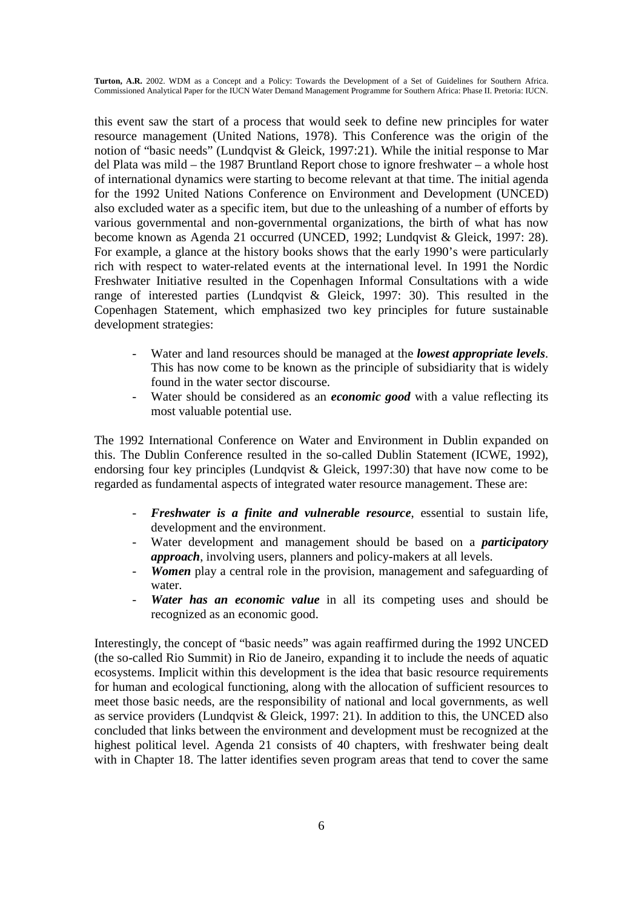this event saw the start of a process that would seek to define new principles for water resource management (United Nations, 1978). This Conference was the origin of the notion of "basic needs" (Lundqvist & Gleick, 1997:21). While the initial response to Mar del Plata was mild – the 1987 Bruntland Report chose to ignore freshwater – a whole host of international dynamics were starting to become relevant at that time. The initial agenda for the 1992 United Nations Conference on Environment and Development (UNCED) also excluded water as a specific item, but due to the unleashing of a number of efforts by various governmental and non-governmental organizations, the birth of what has now become known as Agenda 21 occurred (UNCED, 1992; Lundqvist & Gleick, 1997: 28). For example, a glance at the history books shows that the early 1990's were particularly rich with respect to water-related events at the international level. In 1991 the Nordic Freshwater Initiative resulted in the Copenhagen Informal Consultations with a wide range of interested parties (Lundqvist & Gleick, 1997: 30). This resulted in the Copenhagen Statement, which emphasized two key principles for future sustainable development strategies:

- Water and land resources should be managed at the *lowest appropriate levels*. This has now come to be known as the principle of subsidiarity that is widely found in the water sector discourse.
- Water should be considered as an *economic good* with a value reflecting its most valuable potential use.

The 1992 International Conference on Water and Environment in Dublin expanded on this. The Dublin Conference resulted in the so-called Dublin Statement (ICWE, 1992), endorsing four key principles (Lundqvist  $\&$  Gleick, 1997:30) that have now come to be regarded as fundamental aspects of integrated water resource management. These are:

- *Freshwater is a finite and vulnerable resource*, essential to sustain life, development and the environment.
- Water development and management should be based on a *participatory approach*, involving users, planners and policy-makers at all levels.
- Women play a central role in the provision, management and safeguarding of water.
- *Water has an economic value* in all its competing uses and should be recognized as an economic good.

Interestingly, the concept of "basic needs" was again reaffirmed during the 1992 UNCED (the so-called Rio Summit) in Rio de Janeiro, expanding it to include the needs of aquatic ecosystems. Implicit within this development is the idea that basic resource requirements for human and ecological functioning, along with the allocation of sufficient resources to meet those basic needs, are the responsibility of national and local governments, as well as service providers (Lundqvist & Gleick, 1997: 21). In addition to this, the UNCED also concluded that links between the environment and development must be recognized at the highest political level. Agenda 21 consists of 40 chapters, with freshwater being dealt with in Chapter 18. The latter identifies seven program areas that tend to cover the same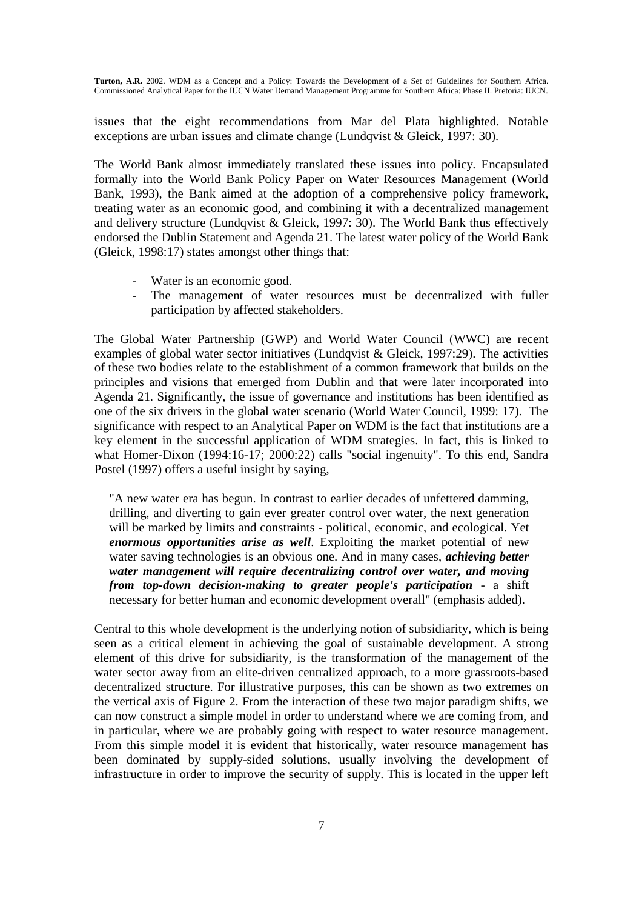issues that the eight recommendations from Mar del Plata highlighted. Notable exceptions are urban issues and climate change (Lundqvist & Gleick, 1997: 30).

The World Bank almost immediately translated these issues into policy. Encapsulated formally into the World Bank Policy Paper on Water Resources Management (World Bank, 1993), the Bank aimed at the adoption of a comprehensive policy framework, treating water as an economic good, and combining it with a decentralized management and delivery structure (Lundqvist & Gleick, 1997: 30). The World Bank thus effectively endorsed the Dublin Statement and Agenda 21. The latest water policy of the World Bank (Gleick, 1998:17) states amongst other things that:

- Water is an economic good.
- The management of water resources must be decentralized with fuller participation by affected stakeholders.

The Global Water Partnership (GWP) and World Water Council (WWC) are recent examples of global water sector initiatives (Lundqvist & Gleick, 1997:29). The activities of these two bodies relate to the establishment of a common framework that builds on the principles and visions that emerged from Dublin and that were later incorporated into Agenda 21. Significantly, the issue of governance and institutions has been identified as one of the six drivers in the global water scenario (World Water Council, 1999: 17). The significance with respect to an Analytical Paper on WDM is the fact that institutions are a key element in the successful application of WDM strategies. In fact, this is linked to what Homer-Dixon (1994:16-17; 2000:22) calls "social ingenuity". To this end, Sandra Postel (1997) offers a useful insight by saying,

"A new water era has begun. In contrast to earlier decades of unfettered damming, drilling, and diverting to gain ever greater control over water, the next generation will be marked by limits and constraints - political, economic, and ecological. Yet *enormous opportunities arise as well*. Exploiting the market potential of new water saving technologies is an obvious one. And in many cases, *achieving better water management will require decentralizing control over water, and moving from top-down decision-making to greater people's participation* - a shift necessary for better human and economic development overall" (emphasis added).

Central to this whole development is the underlying notion of subsidiarity, which is being seen as a critical element in achieving the goal of sustainable development. A strong element of this drive for subsidiarity, is the transformation of the management of the water sector away from an elite-driven centralized approach, to a more grassroots-based decentralized structure. For illustrative purposes, this can be shown as two extremes on the vertical axis of Figure 2. From the interaction of these two major paradigm shifts, we can now construct a simple model in order to understand where we are coming from, and in particular, where we are probably going with respect to water resource management. From this simple model it is evident that historically, water resource management has been dominated by supply-sided solutions, usually involving the development of infrastructure in order to improve the security of supply. This is located in the upper left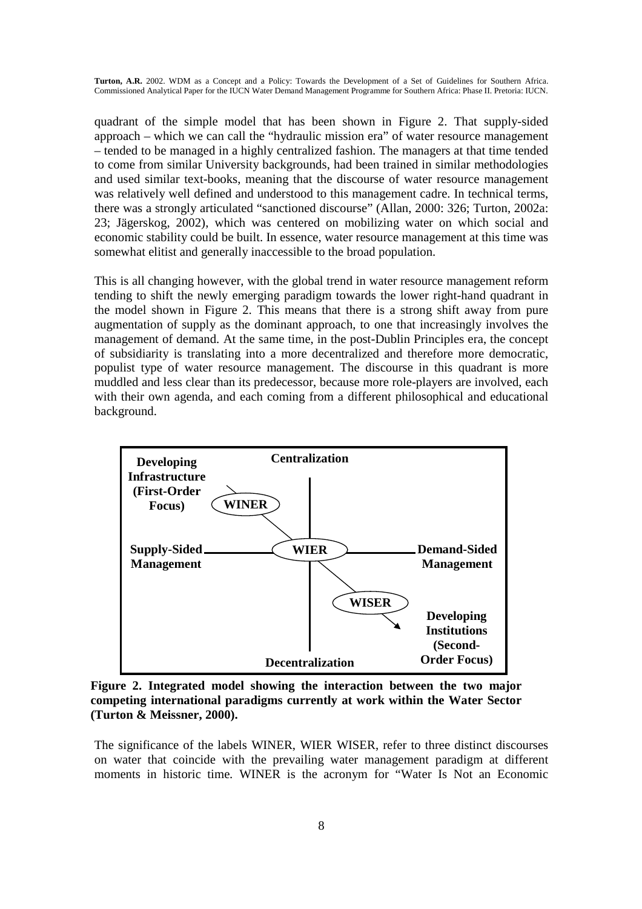quadrant of the simple model that has been shown in Figure 2. That supply-sided approach – which we can call the "hydraulic mission era" of water resource management – tended to be managed in a highly centralized fashion. The managers at that time tended to come from similar University backgrounds, had been trained in similar methodologies and used similar text-books, meaning that the discourse of water resource management was relatively well defined and understood to this management cadre. In technical terms, there was a strongly articulated "sanctioned discourse" (Allan, 2000: 326; Turton, 2002a: 23; Jägerskog, 2002), which was centered on mobilizing water on which social and economic stability could be built. In essence, water resource management at this time was somewhat elitist and generally inaccessible to the broad population.

This is all changing however, with the global trend in water resource management reform tending to shift the newly emerging paradigm towards the lower right-hand quadrant in the model shown in Figure 2. This means that there is a strong shift away from pure augmentation of supply as the dominant approach, to one that increasingly involves the management of demand. At the same time, in the post-Dublin Principles era, the concept of subsidiarity is translating into a more decentralized and therefore more democratic, populist type of water resource management. The discourse in this quadrant is more muddled and less clear than its predecessor, because more role-players are involved, each with their own agenda, and each coming from a different philosophical and educational background.



**Figure 2. Integrated model showing the interaction between the two major competing international paradigms currently at work within the Water Sector (Turton & Meissner, 2000).** 

The significance of the labels WINER, WIER WISER, refer to three distinct discourses on water that coincide with the prevailing water management paradigm at different moments in historic time. WINER is the acronym for "Water Is Not an Economic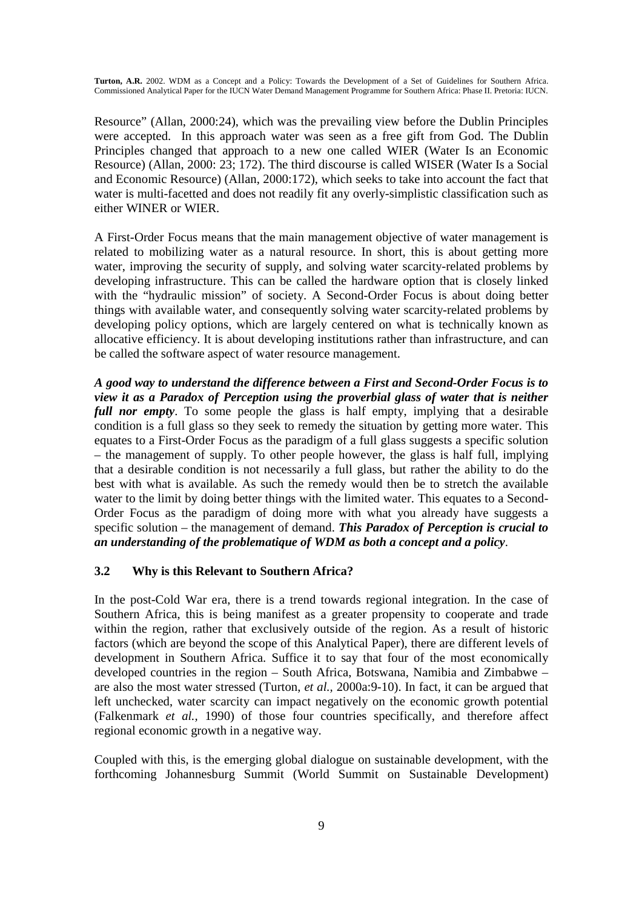Resource" (Allan, 2000:24), which was the prevailing view before the Dublin Principles were accepted. In this approach water was seen as a free gift from God. The Dublin Principles changed that approach to a new one called WIER (Water Is an Economic Resource) (Allan, 2000: 23; 172). The third discourse is called WISER (Water Is a Social and Economic Resource) (Allan, 2000:172), which seeks to take into account the fact that water is multi-facetted and does not readily fit any overly-simplistic classification such as either WINER or WIER.

A First-Order Focus means that the main management objective of water management is related to mobilizing water as a natural resource. In short, this is about getting more water, improving the security of supply, and solving water scarcity-related problems by developing infrastructure. This can be called the hardware option that is closely linked with the "hydraulic mission" of society. A Second-Order Focus is about doing better things with available water, and consequently solving water scarcity-related problems by developing policy options, which are largely centered on what is technically known as allocative efficiency. It is about developing institutions rather than infrastructure, and can be called the software aspect of water resource management.

*A good way to understand the difference between a First and Second-Order Focus is to view it as a Paradox of Perception using the proverbial glass of water that is neither full nor empty*. To some people the glass is half empty, implying that a desirable condition is a full glass so they seek to remedy the situation by getting more water. This equates to a First-Order Focus as the paradigm of a full glass suggests a specific solution – the management of supply. To other people however, the glass is half full, implying that a desirable condition is not necessarily a full glass, but rather the ability to do the best with what is available. As such the remedy would then be to stretch the available water to the limit by doing better things with the limited water. This equates to a Second-Order Focus as the paradigm of doing more with what you already have suggests a specific solution – the management of demand. *This Paradox of Perception is crucial to an understanding of the problematique of WDM as both a concept and a policy*.

### **3.2 Why is this Relevant to Southern Africa?**

In the post-Cold War era, there is a trend towards regional integration. In the case of Southern Africa, this is being manifest as a greater propensity to cooperate and trade within the region, rather that exclusively outside of the region. As a result of historic factors (which are beyond the scope of this Analytical Paper), there are different levels of development in Southern Africa. Suffice it to say that four of the most economically developed countries in the region – South Africa, Botswana, Namibia and Zimbabwe – are also the most water stressed (Turton, *et al.,* 2000a:9-10). In fact, it can be argued that left unchecked, water scarcity can impact negatively on the economic growth potential (Falkenmark *et al.,* 1990) of those four countries specifically, and therefore affect regional economic growth in a negative way.

Coupled with this, is the emerging global dialogue on sustainable development, with the forthcoming Johannesburg Summit (World Summit on Sustainable Development)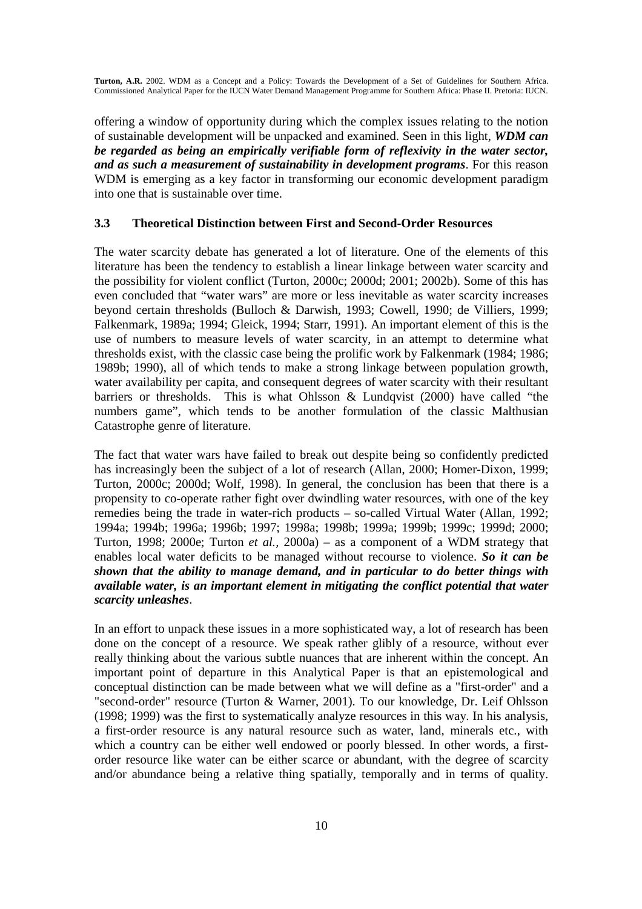offering a window of opportunity during which the complex issues relating to the notion of sustainable development will be unpacked and examined. Seen in this light, *WDM can be regarded as being an empirically verifiable form of reflexivity in the water sector, and as such a measurement of sustainability in development programs*. For this reason WDM is emerging as a key factor in transforming our economic development paradigm into one that is sustainable over time.

### **3.3 Theoretical Distinction between First and Second-Order Resources**

The water scarcity debate has generated a lot of literature. One of the elements of this literature has been the tendency to establish a linear linkage between water scarcity and the possibility for violent conflict (Turton, 2000c; 2000d; 2001; 2002b). Some of this has even concluded that "water wars" are more or less inevitable as water scarcity increases beyond certain thresholds (Bulloch & Darwish, 1993; Cowell, 1990; de Villiers, 1999; Falkenmark, 1989a; 1994; Gleick, 1994; Starr, 1991). An important element of this is the use of numbers to measure levels of water scarcity, in an attempt to determine what thresholds exist, with the classic case being the prolific work by Falkenmark (1984; 1986; 1989b; 1990), all of which tends to make a strong linkage between population growth, water availability per capita, and consequent degrees of water scarcity with their resultant barriers or thresholds. This is what Ohlsson & Lundqvist (2000) have called "the numbers game", which tends to be another formulation of the classic Malthusian Catastrophe genre of literature.

The fact that water wars have failed to break out despite being so confidently predicted has increasingly been the subject of a lot of research (Allan, 2000; Homer-Dixon, 1999; Turton, 2000c; 2000d; Wolf, 1998). In general, the conclusion has been that there is a propensity to co-operate rather fight over dwindling water resources, with one of the key remedies being the trade in water-rich products – so-called Virtual Water (Allan, 1992; 1994a; 1994b; 1996a; 1996b; 1997; 1998a; 1998b; 1999a; 1999b; 1999c; 1999d; 2000; Turton, 1998; 2000e; Turton *et al.,* 2000a) – as a component of a WDM strategy that enables local water deficits to be managed without recourse to violence. *So it can be shown that the ability to manage demand, and in particular to do better things with available water, is an important element in mitigating the conflict potential that water scarcity unleashes*.

In an effort to unpack these issues in a more sophisticated way, a lot of research has been done on the concept of a resource. We speak rather glibly of a resource, without ever really thinking about the various subtle nuances that are inherent within the concept. An important point of departure in this Analytical Paper is that an epistemological and conceptual distinction can be made between what we will define as a "first-order" and a "second-order" resource (Turton & Warner, 2001). To our knowledge, Dr. Leif Ohlsson (1998; 1999) was the first to systematically analyze resources in this way. In his analysis, a first-order resource is any natural resource such as water, land, minerals etc., with which a country can be either well endowed or poorly blessed. In other words, a firstorder resource like water can be either scarce or abundant, with the degree of scarcity and/or abundance being a relative thing spatially, temporally and in terms of quality.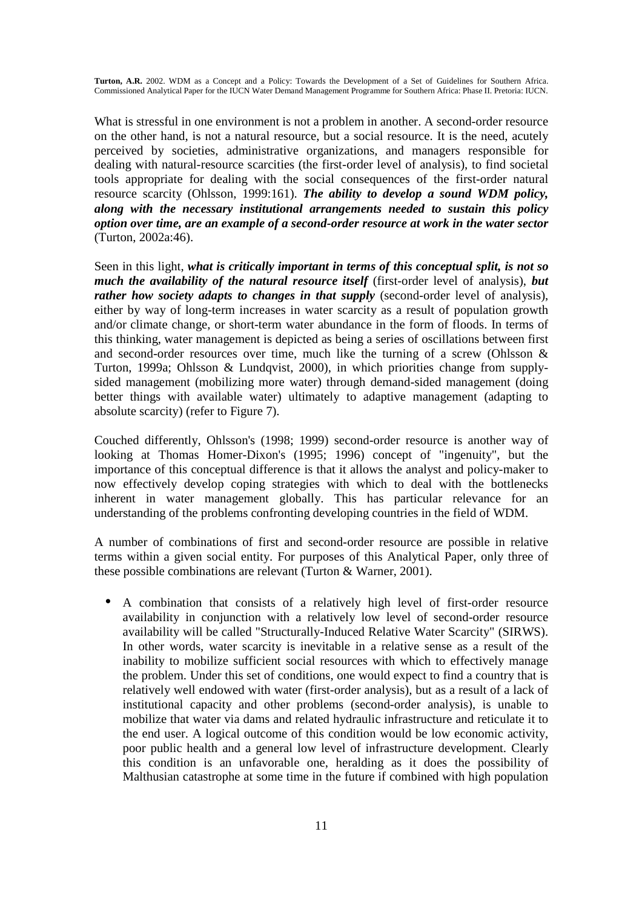What is stressful in one environment is not a problem in another. A second-order resource on the other hand, is not a natural resource, but a social resource. It is the need, acutely perceived by societies, administrative organizations, and managers responsible for dealing with natural-resource scarcities (the first-order level of analysis), to find societal tools appropriate for dealing with the social consequences of the first-order natural resource scarcity (Ohlsson, 1999:161). *The ability to develop a sound WDM policy, along with the necessary institutional arrangements needed to sustain this policy option over time, are an example of a second-order resource at work in the water sector*  (Turton, 2002a:46).

Seen in this light, *what is critically important in terms of this conceptual split, is not so much the availability of the natural resource itself* (first-order level of analysis), *but rather how society adapts to changes in that supply* (second-order level of analysis), either by way of long-term increases in water scarcity as a result of population growth and/or climate change, or short-term water abundance in the form of floods. In terms of this thinking, water management is depicted as being a series of oscillations between first and second-order resources over time, much like the turning of a screw (Ohlsson & Turton, 1999a; Ohlsson & Lundqvist, 2000), in which priorities change from supplysided management (mobilizing more water) through demand-sided management (doing better things with available water) ultimately to adaptive management (adapting to absolute scarcity) (refer to Figure 7).

Couched differently, Ohlsson's (1998; 1999) second-order resource is another way of looking at Thomas Homer-Dixon's (1995; 1996) concept of "ingenuity", but the importance of this conceptual difference is that it allows the analyst and policy-maker to now effectively develop coping strategies with which to deal with the bottlenecks inherent in water management globally. This has particular relevance for an understanding of the problems confronting developing countries in the field of WDM.

A number of combinations of first and second-order resource are possible in relative terms within a given social entity. For purposes of this Analytical Paper, only three of these possible combinations are relevant (Turton & Warner, 2001).

• A combination that consists of a relatively high level of first-order resource availability in conjunction with a relatively low level of second-order resource availability will be called "Structurally-Induced Relative Water Scarcity" (SIRWS). In other words, water scarcity is inevitable in a relative sense as a result of the inability to mobilize sufficient social resources with which to effectively manage the problem. Under this set of conditions, one would expect to find a country that is relatively well endowed with water (first-order analysis), but as a result of a lack of institutional capacity and other problems (second-order analysis), is unable to mobilize that water via dams and related hydraulic infrastructure and reticulate it to the end user. A logical outcome of this condition would be low economic activity, poor public health and a general low level of infrastructure development. Clearly this condition is an unfavorable one, heralding as it does the possibility of Malthusian catastrophe at some time in the future if combined with high population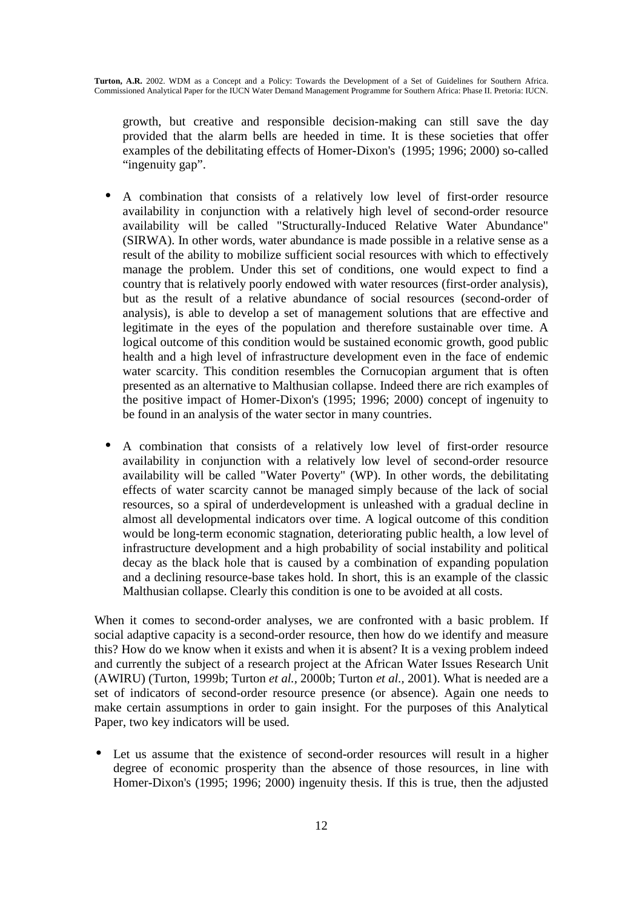growth, but creative and responsible decision-making can still save the day provided that the alarm bells are heeded in time. It is these societies that offer examples of the debilitating effects of Homer-Dixon's (1995; 1996; 2000) so-called "ingenuity gap".

- A combination that consists of a relatively low level of first-order resource availability in conjunction with a relatively high level of second-order resource availability will be called "Structurally-Induced Relative Water Abundance" (SIRWA). In other words, water abundance is made possible in a relative sense as a result of the ability to mobilize sufficient social resources with which to effectively manage the problem. Under this set of conditions, one would expect to find a country that is relatively poorly endowed with water resources (first-order analysis), but as the result of a relative abundance of social resources (second-order of analysis), is able to develop a set of management solutions that are effective and legitimate in the eyes of the population and therefore sustainable over time. A logical outcome of this condition would be sustained economic growth, good public health and a high level of infrastructure development even in the face of endemic water scarcity. This condition resembles the Cornucopian argument that is often presented as an alternative to Malthusian collapse. Indeed there are rich examples of the positive impact of Homer-Dixon's (1995; 1996; 2000) concept of ingenuity to be found in an analysis of the water sector in many countries.
- A combination that consists of a relatively low level of first-order resource availability in conjunction with a relatively low level of second-order resource availability will be called "Water Poverty" (WP). In other words, the debilitating effects of water scarcity cannot be managed simply because of the lack of social resources, so a spiral of underdevelopment is unleashed with a gradual decline in almost all developmental indicators over time. A logical outcome of this condition would be long-term economic stagnation, deteriorating public health, a low level of infrastructure development and a high probability of social instability and political decay as the black hole that is caused by a combination of expanding population and a declining resource-base takes hold. In short, this is an example of the classic Malthusian collapse. Clearly this condition is one to be avoided at all costs.

When it comes to second-order analyses, we are confronted with a basic problem. If social adaptive capacity is a second-order resource, then how do we identify and measure this? How do we know when it exists and when it is absent? It is a vexing problem indeed and currently the subject of a research project at the African Water Issues Research Unit (AWIRU) (Turton, 1999b; Turton *et al.,* 2000b; Turton *et al.,* 2001). What is needed are a set of indicators of second-order resource presence (or absence). Again one needs to make certain assumptions in order to gain insight. For the purposes of this Analytical Paper, two key indicators will be used.

• Let us assume that the existence of second-order resources will result in a higher degree of economic prosperity than the absence of those resources, in line with Homer-Dixon's (1995; 1996; 2000) ingenuity thesis. If this is true, then the adjusted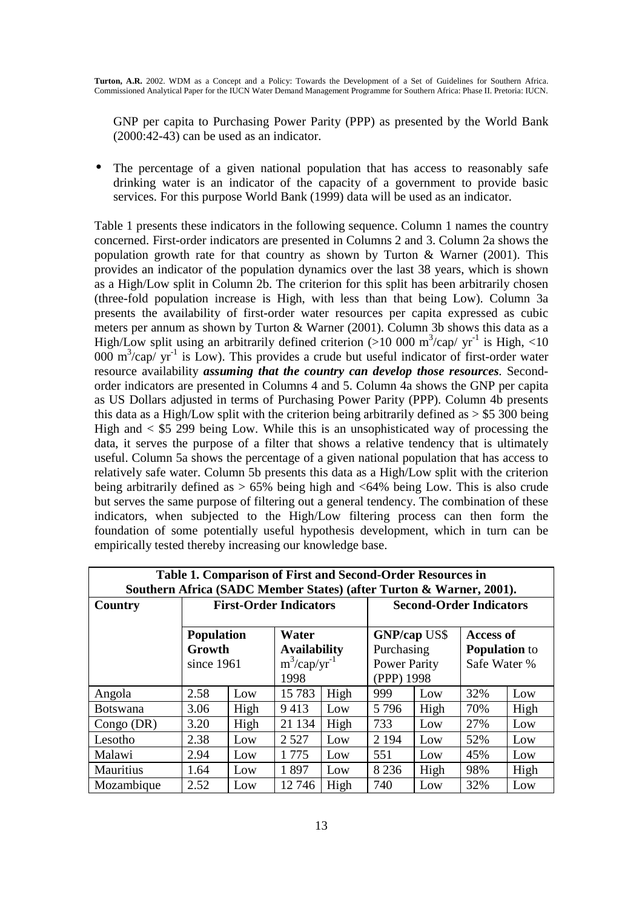GNP per capita to Purchasing Power Parity (PPP) as presented by the World Bank (2000:42-43) can be used as an indicator.

The percentage of a given national population that has access to reasonably safe drinking water is an indicator of the capacity of a government to provide basic services. For this purpose World Bank (1999) data will be used as an indicator.

Table 1 presents these indicators in the following sequence. Column 1 names the country concerned. First-order indicators are presented in Columns 2 and 3. Column 2a shows the population growth rate for that country as shown by Turton  $\&$  Warner (2001). This provides an indicator of the population dynamics over the last 38 years, which is shown as a High/Low split in Column 2b. The criterion for this split has been arbitrarily chosen (three-fold population increase is High, with less than that being Low). Column 3a presents the availability of first-order water resources per capita expressed as cubic meters per annum as shown by Turton & Warner (2001). Column 3b shows this data as a High/Low split using an arbitrarily defined criterion (>10 000 m<sup>3</sup>/cap/  $yr^{-1}$  is High, <10 000  $\text{m}^3/\text{cap}$  yr<sup>-1</sup> is Low). This provides a crude but useful indicator of first-order water resource availability *assuming that the country can develop those resources*. Secondorder indicators are presented in Columns 4 and 5. Column 4a shows the GNP per capita as US Dollars adjusted in terms of Purchasing Power Parity (PPP). Column 4b presents this data as a High/Low split with the criterion being arbitrarily defined as  $> $5,300$  being High and  $\lt$  \$5 299 being Low. While this is an unsophisticated way of processing the data, it serves the purpose of a filter that shows a relative tendency that is ultimately useful. Column 5a shows the percentage of a given national population that has access to relatively safe water. Column 5b presents this data as a High/Low split with the criterion being arbitrarily defined as > 65% being high and <64% being Low. This is also crude but serves the same purpose of filtering out a general tendency. The combination of these indicators, when subjected to the High/Low filtering process can then form the foundation of some potentially useful hypothesis development, which in turn can be empirically tested thereby increasing our knowledge base.

| Table 1. Comparison of First and Second-Order Resources in<br>Southern Africa (SADC Member States) (after Turton & Warner, 2001). |                                           |                                                                     |         |      |                                                                        |      |                                                          |      |
|-----------------------------------------------------------------------------------------------------------------------------------|-------------------------------------------|---------------------------------------------------------------------|---------|------|------------------------------------------------------------------------|------|----------------------------------------------------------|------|
| Country                                                                                                                           | <b>First-Order Indicators</b>             |                                                                     |         |      | <b>Second-Order Indicators</b>                                         |      |                                                          |      |
|                                                                                                                                   | <b>Population</b><br>Growth<br>since 1961 | Water<br><b>Availability</b><br>$m^3$ /cap/yr <sup>-1</sup><br>1998 |         |      | <b>GNP/cap US\$</b><br>Purchasing<br><b>Power Parity</b><br>(PPP) 1998 |      | <b>Access of</b><br><b>Population</b> to<br>Safe Water % |      |
| Angola                                                                                                                            | 2.58                                      | Low                                                                 | 15783   | High | 999                                                                    | Low  | 32%                                                      | Low  |
| <b>Botswana</b>                                                                                                                   | 3.06                                      | High                                                                | 9413    | Low  | 5796                                                                   | High | 70%                                                      | High |
| Congo $(DR)$                                                                                                                      | 3.20                                      | High                                                                | 21 134  | High | 733                                                                    | Low  | 27%                                                      | Low  |
| Lesotho                                                                                                                           | 2.38                                      | Low                                                                 | 2 5 2 7 | Low  | 2 1 9 4                                                                | Low  | 52%                                                      | Low  |
| Malawi                                                                                                                            | 2.94                                      | Low                                                                 | 1775    | Low  | 551                                                                    | Low  | 45%                                                      | Low  |
| Mauritius                                                                                                                         | 1.64                                      | Low                                                                 | 1897    | Low  | 8 2 3 6                                                                | High | 98%                                                      | High |
| Mozambique                                                                                                                        | 2.52                                      | Low                                                                 | 12746   | High | 740                                                                    | Low  | 32%                                                      | Low  |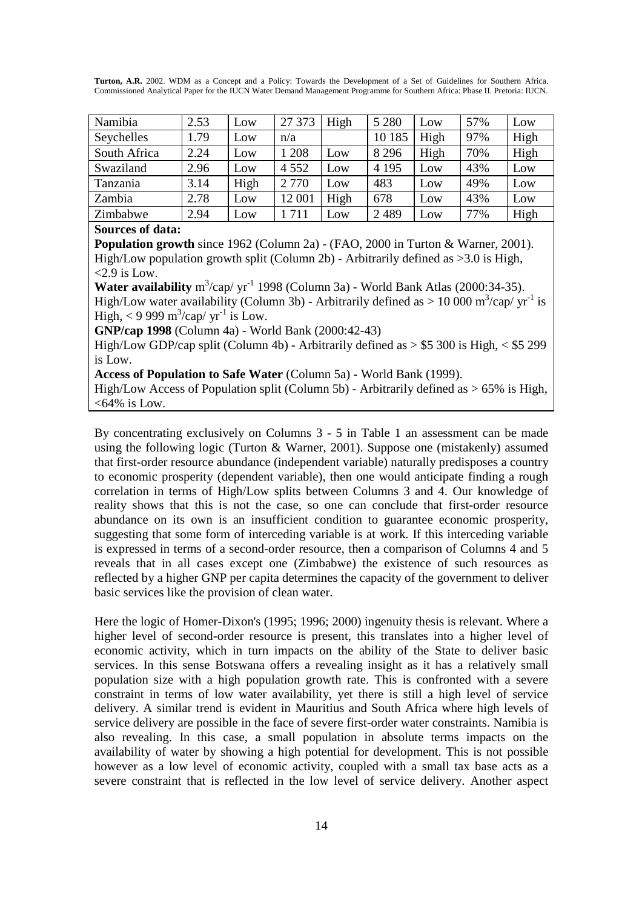| Namibia      | 2.53 | Low  | 27 373  | High | 5 2 8 0 | Low  | 57% | Low  |
|--------------|------|------|---------|------|---------|------|-----|------|
| Seychelles   | 1.79 | Low  | n/a     |      | 10 185  | High | 97% | High |
| South Africa | 2.24 | Low  | 1 208   | Low  | 8 2 9 6 | High | 70% | High |
| Swaziland    | 2.96 | Low  | 4 5 5 2 | Low  | 4 1 9 5 | Low  | 43% | Low  |
| Tanzania     | 3.14 | High | 2 7 7 0 | Low  | 483     | Low  | 49% | Low  |
| Zambia       | 2.78 | Low  | 12 001  | High | 678     | Low  | 43% | Low  |
| Zimbabwe     | 2.94 | Low  | 1711    | Low  | 2489    | Low  | 77% | High |

#### **Sources of data:**

**Population growth** since 1962 (Column 2a) - (FAO, 2000 in Turton & Warner, 2001). High/Low population growth split (Column 2b) - Arbitrarily defined as >3.0 is High,  $<$ 2.9 is Low.

**Water availability**  $m^3/cap/yr^{-1}$  1998 (Column 3a) - World Bank Atlas (2000:34-35). High/Low water availability (Column 3b) - Arbitrarily defined as  $> 10000 \text{ m}^3/\text{cap}/\text{yr}^{-1}$  is High,  $<$  9 999 m<sup>3</sup>/cap/ yr<sup>-1</sup> is Low.

**GNP/cap 1998** (Column 4a) - World Bank (2000:42-43)

High/Low GDP/cap split (Column 4b) - Arbitrarily defined as  $>$  \$5 300 is High,  $<$  \$5 299 is Low.

**Access of Population to Safe Water** (Column 5a) - World Bank (1999).

High/Low Access of Population split (Column 5b) - Arbitrarily defined as  $> 65\%$  is High,  $<64\%$  is Low.

By concentrating exclusively on Columns 3 - 5 in Table 1 an assessment can be made using the following logic (Turton & Warner, 2001). Suppose one (mistakenly) assumed that first-order resource abundance (independent variable) naturally predisposes a country to economic prosperity (dependent variable), then one would anticipate finding a rough correlation in terms of High/Low splits between Columns 3 and 4. Our knowledge of reality shows that this is not the case, so one can conclude that first-order resource abundance on its own is an insufficient condition to guarantee economic prosperity, suggesting that some form of interceding variable is at work. If this interceding variable is expressed in terms of a second-order resource, then a comparison of Columns 4 and 5 reveals that in all cases except one (Zimbabwe) the existence of such resources as reflected by a higher GNP per capita determines the capacity of the government to deliver basic services like the provision of clean water.

Here the logic of Homer-Dixon's (1995; 1996; 2000) ingenuity thesis is relevant. Where a higher level of second-order resource is present, this translates into a higher level of economic activity, which in turn impacts on the ability of the State to deliver basic services. In this sense Botswana offers a revealing insight as it has a relatively small population size with a high population growth rate. This is confronted with a severe constraint in terms of low water availability, yet there is still a high level of service delivery. A similar trend is evident in Mauritius and South Africa where high levels of service delivery are possible in the face of severe first-order water constraints. Namibia is also revealing. In this case, a small population in absolute terms impacts on the availability of water by showing a high potential for development. This is not possible however as a low level of economic activity, coupled with a small tax base acts as a severe constraint that is reflected in the low level of service delivery. Another aspect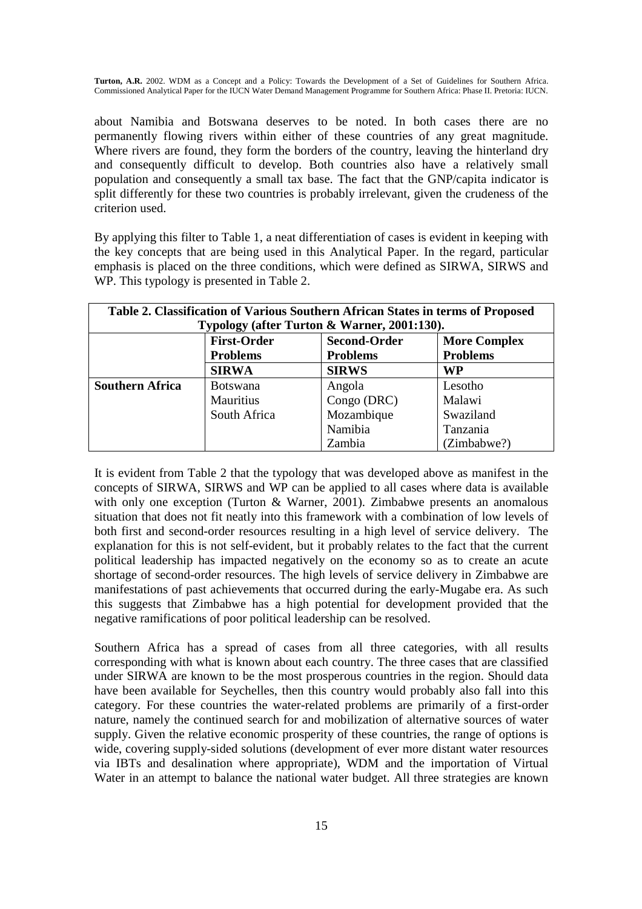about Namibia and Botswana deserves to be noted. In both cases there are no permanently flowing rivers within either of these countries of any great magnitude. Where rivers are found, they form the borders of the country, leaving the hinterland dry and consequently difficult to develop. Both countries also have a relatively small population and consequently a small tax base. The fact that the GNP/capita indicator is split differently for these two countries is probably irrelevant, given the crudeness of the criterion used.

By applying this filter to Table 1, a neat differentiation of cases is evident in keeping with the key concepts that are being used in this Analytical Paper. In the regard, particular emphasis is placed on the three conditions, which were defined as SIRWA, SIRWS and WP. This typology is presented in Table 2.

| Table 2. Classification of Various Southern African States in terms of Proposed |                                                                  |                 |                 |  |  |  |
|---------------------------------------------------------------------------------|------------------------------------------------------------------|-----------------|-----------------|--|--|--|
| Typology (after Turton & Warner, 2001:130).                                     |                                                                  |                 |                 |  |  |  |
|                                                                                 | <b>First-Order</b><br><b>Second-Order</b><br><b>More Complex</b> |                 |                 |  |  |  |
|                                                                                 | <b>Problems</b>                                                  | <b>Problems</b> | <b>Problems</b> |  |  |  |
|                                                                                 | <b>SIRWA</b>                                                     | <b>SIRWS</b>    | WP              |  |  |  |
| <b>Southern Africa</b>                                                          | <b>Botswana</b>                                                  | Angola          | Lesotho         |  |  |  |
|                                                                                 | Mauritius                                                        | Congo (DRC)     | Malawi          |  |  |  |
|                                                                                 | South Africa                                                     | Mozambique      | Swaziland       |  |  |  |
|                                                                                 |                                                                  | Namibia         | Tanzania        |  |  |  |
|                                                                                 |                                                                  | Zambia          | (Zimbabwe?)     |  |  |  |

It is evident from Table 2 that the typology that was developed above as manifest in the concepts of SIRWA, SIRWS and WP can be applied to all cases where data is available with only one exception (Turton & Warner, 2001). Zimbabwe presents an anomalous situation that does not fit neatly into this framework with a combination of low levels of both first and second-order resources resulting in a high level of service delivery. The explanation for this is not self-evident, but it probably relates to the fact that the current political leadership has impacted negatively on the economy so as to create an acute shortage of second-order resources. The high levels of service delivery in Zimbabwe are manifestations of past achievements that occurred during the early-Mugabe era. As such this suggests that Zimbabwe has a high potential for development provided that the negative ramifications of poor political leadership can be resolved.

Southern Africa has a spread of cases from all three categories, with all results corresponding with what is known about each country. The three cases that are classified under SIRWA are known to be the most prosperous countries in the region. Should data have been available for Seychelles, then this country would probably also fall into this category. For these countries the water-related problems are primarily of a first-order nature, namely the continued search for and mobilization of alternative sources of water supply. Given the relative economic prosperity of these countries, the range of options is wide, covering supply-sided solutions (development of ever more distant water resources via IBTs and desalination where appropriate), WDM and the importation of Virtual Water in an attempt to balance the national water budget. All three strategies are known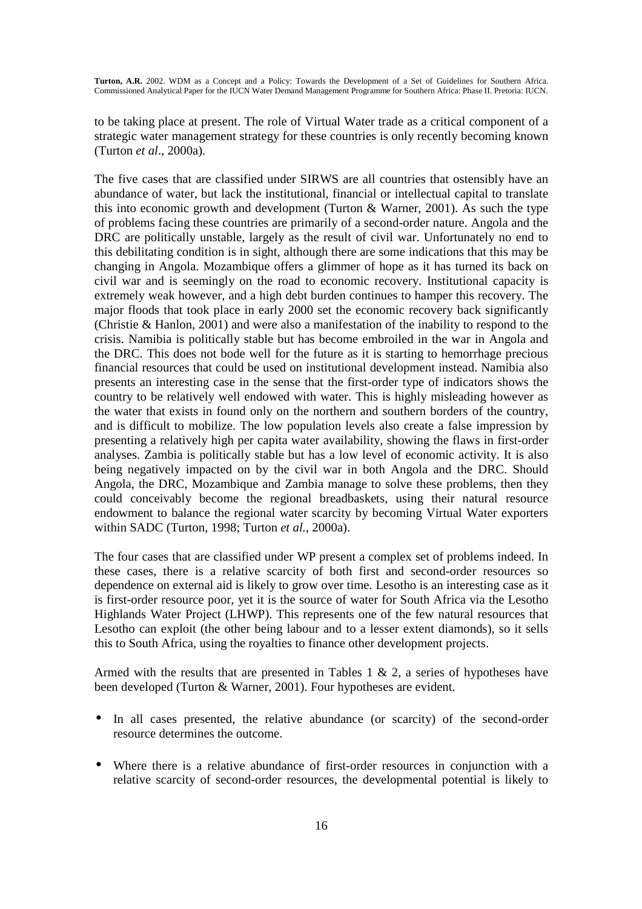to be taking place at present. The role of Virtual Water trade as a critical component of a strategic water management strategy for these countries is only recently becoming known (Turton *et al*., 2000a).

The five cases that are classified under SIRWS are all countries that ostensibly have an abundance of water, but lack the institutional, financial or intellectual capital to translate this into economic growth and development (Turton  $&$  Warner, 2001). As such the type of problems facing these countries are primarily of a second-order nature. Angola and the DRC are politically unstable, largely as the result of civil war. Unfortunately no end to this debilitating condition is in sight, although there are some indications that this may be changing in Angola. Mozambique offers a glimmer of hope as it has turned its back on civil war and is seemingly on the road to economic recovery. Institutional capacity is extremely weak however, and a high debt burden continues to hamper this recovery. The major floods that took place in early 2000 set the economic recovery back significantly (Christie & Hanlon, 2001) and were also a manifestation of the inability to respond to the crisis. Namibia is politically stable but has become embroiled in the war in Angola and the DRC. This does not bode well for the future as it is starting to hemorrhage precious financial resources that could be used on institutional development instead. Namibia also presents an interesting case in the sense that the first-order type of indicators shows the country to be relatively well endowed with water. This is highly misleading however as the water that exists in found only on the northern and southern borders of the country, and is difficult to mobilize. The low population levels also create a false impression by presenting a relatively high per capita water availability, showing the flaws in first-order analyses. Zambia is politically stable but has a low level of economic activity. It is also being negatively impacted on by the civil war in both Angola and the DRC. Should Angola, the DRC, Mozambique and Zambia manage to solve these problems, then they could conceivably become the regional breadbaskets, using their natural resource endowment to balance the regional water scarcity by becoming Virtual Water exporters within SADC (Turton, 1998; Turton *et al.,* 2000a).

The four cases that are classified under WP present a complex set of problems indeed. In these cases, there is a relative scarcity of both first and second-order resources so dependence on external aid is likely to grow over time. Lesotho is an interesting case as it is first-order resource poor, yet it is the source of water for South Africa via the Lesotho Highlands Water Project (LHWP). This represents one of the few natural resources that Lesotho can exploit (the other being labour and to a lesser extent diamonds), so it sells this to South Africa, using the royalties to finance other development projects.

Armed with the results that are presented in Tables 1 & 2, a series of hypotheses have been developed (Turton & Warner, 2001). Four hypotheses are evident.

- In all cases presented, the relative abundance (or scarcity) of the second-order resource determines the outcome.
- Where there is a relative abundance of first-order resources in conjunction with a relative scarcity of second-order resources, the developmental potential is likely to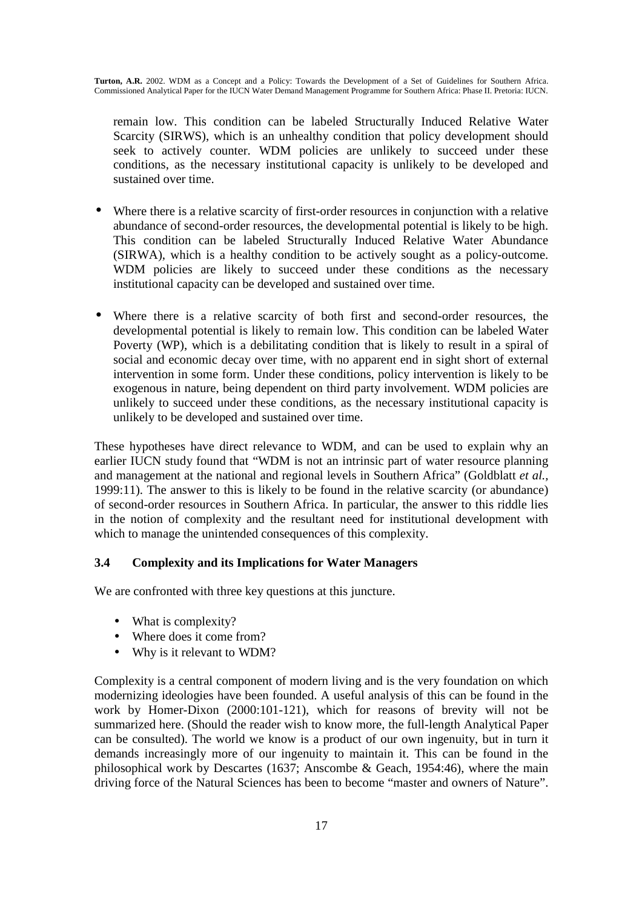remain low. This condition can be labeled Structurally Induced Relative Water Scarcity (SIRWS), which is an unhealthy condition that policy development should seek to actively counter. WDM policies are unlikely to succeed under these conditions, as the necessary institutional capacity is unlikely to be developed and sustained over time.

- Where there is a relative scarcity of first-order resources in conjunction with a relative abundance of second-order resources, the developmental potential is likely to be high. This condition can be labeled Structurally Induced Relative Water Abundance (SIRWA), which is a healthy condition to be actively sought as a policy-outcome. WDM policies are likely to succeed under these conditions as the necessary institutional capacity can be developed and sustained over time.
- Where there is a relative scarcity of both first and second-order resources, the developmental potential is likely to remain low. This condition can be labeled Water Poverty (WP), which is a debilitating condition that is likely to result in a spiral of social and economic decay over time, with no apparent end in sight short of external intervention in some form. Under these conditions, policy intervention is likely to be exogenous in nature, being dependent on third party involvement. WDM policies are unlikely to succeed under these conditions, as the necessary institutional capacity is unlikely to be developed and sustained over time.

These hypotheses have direct relevance to WDM, and can be used to explain why an earlier IUCN study found that "WDM is not an intrinsic part of water resource planning and management at the national and regional levels in Southern Africa" (Goldblatt *et al.,* 1999:11). The answer to this is likely to be found in the relative scarcity (or abundance) of second-order resources in Southern Africa. In particular, the answer to this riddle lies in the notion of complexity and the resultant need for institutional development with which to manage the unintended consequences of this complexity.

### **3.4 Complexity and its Implications for Water Managers**

We are confronted with three key questions at this juncture.

- What is complexity?
- Where does it come from?
- Why is it relevant to WDM?

Complexity is a central component of modern living and is the very foundation on which modernizing ideologies have been founded. A useful analysis of this can be found in the work by Homer-Dixon (2000:101-121), which for reasons of brevity will not be summarized here. (Should the reader wish to know more, the full-length Analytical Paper can be consulted). The world we know is a product of our own ingenuity, but in turn it demands increasingly more of our ingenuity to maintain it. This can be found in the philosophical work by Descartes (1637; Anscombe & Geach, 1954:46), where the main driving force of the Natural Sciences has been to become "master and owners of Nature".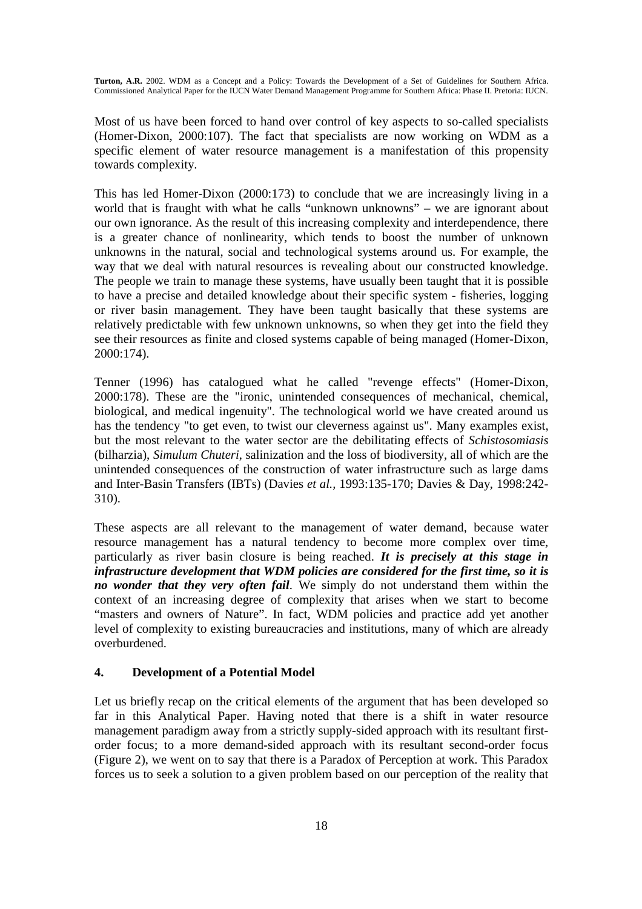Most of us have been forced to hand over control of key aspects to so-called specialists (Homer-Dixon, 2000:107). The fact that specialists are now working on WDM as a specific element of water resource management is a manifestation of this propensity towards complexity.

This has led Homer-Dixon (2000:173) to conclude that we are increasingly living in a world that is fraught with what he calls "unknown unknowns" – we are ignorant about our own ignorance. As the result of this increasing complexity and interdependence, there is a greater chance of nonlinearity, which tends to boost the number of unknown unknowns in the natural, social and technological systems around us. For example, the way that we deal with natural resources is revealing about our constructed knowledge. The people we train to manage these systems, have usually been taught that it is possible to have a precise and detailed knowledge about their specific system - fisheries, logging or river basin management. They have been taught basically that these systems are relatively predictable with few unknown unknowns, so when they get into the field they see their resources as finite and closed systems capable of being managed (Homer-Dixon, 2000:174).

Tenner (1996) has catalogued what he called "revenge effects" (Homer-Dixon, 2000:178). These are the "ironic, unintended consequences of mechanical, chemical, biological, and medical ingenuity". The technological world we have created around us has the tendency "to get even, to twist our cleverness against us". Many examples exist, but the most relevant to the water sector are the debilitating effects of *Schistosomiasis*  (bilharzia), *Simulum Chuteri*, salinization and the loss of biodiversity, all of which are the unintended consequences of the construction of water infrastructure such as large dams and Inter-Basin Transfers (IBTs) (Davies *et al.,* 1993:135-170; Davies & Day, 1998:242- 310).

These aspects are all relevant to the management of water demand, because water resource management has a natural tendency to become more complex over time, particularly as river basin closure is being reached. *It is precisely at this stage in infrastructure development that WDM policies are considered for the first time, so it is no wonder that they very often fail*. We simply do not understand them within the context of an increasing degree of complexity that arises when we start to become "masters and owners of Nature". In fact, WDM policies and practice add yet another level of complexity to existing bureaucracies and institutions, many of which are already overburdened.

### **4. Development of a Potential Model**

Let us briefly recap on the critical elements of the argument that has been developed so far in this Analytical Paper. Having noted that there is a shift in water resource management paradigm away from a strictly supply-sided approach with its resultant firstorder focus; to a more demand-sided approach with its resultant second-order focus (Figure 2), we went on to say that there is a Paradox of Perception at work. This Paradox forces us to seek a solution to a given problem based on our perception of the reality that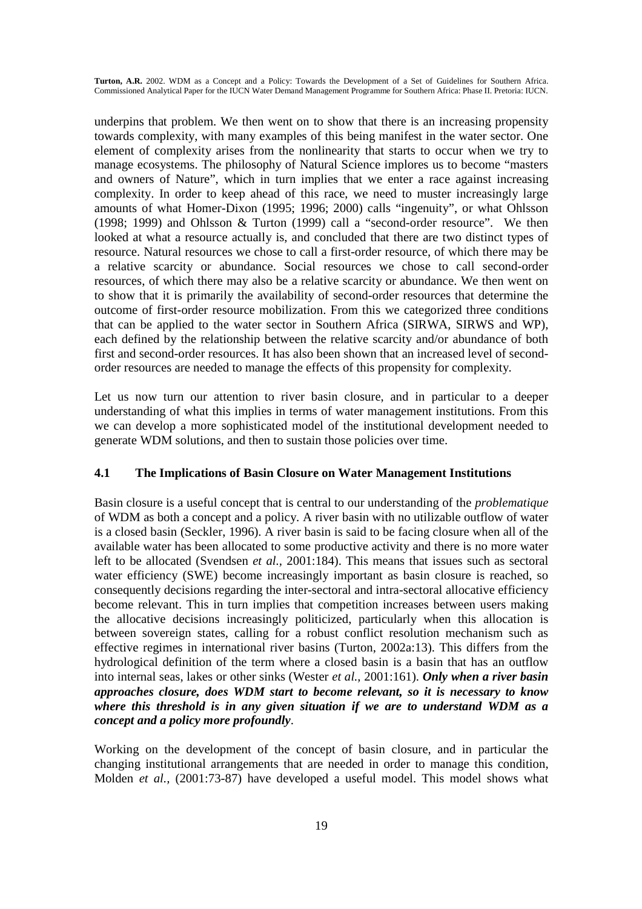underpins that problem. We then went on to show that there is an increasing propensity towards complexity, with many examples of this being manifest in the water sector. One element of complexity arises from the nonlinearity that starts to occur when we try to manage ecosystems. The philosophy of Natural Science implores us to become "masters and owners of Nature", which in turn implies that we enter a race against increasing complexity. In order to keep ahead of this race, we need to muster increasingly large amounts of what Homer-Dixon (1995; 1996; 2000) calls "ingenuity", or what Ohlsson (1998; 1999) and Ohlsson & Turton (1999) call a "second-order resource". We then looked at what a resource actually is, and concluded that there are two distinct types of resource. Natural resources we chose to call a first-order resource, of which there may be a relative scarcity or abundance. Social resources we chose to call second-order resources, of which there may also be a relative scarcity or abundance. We then went on to show that it is primarily the availability of second-order resources that determine the outcome of first-order resource mobilization. From this we categorized three conditions that can be applied to the water sector in Southern Africa (SIRWA, SIRWS and WP), each defined by the relationship between the relative scarcity and/or abundance of both first and second-order resources. It has also been shown that an increased level of secondorder resources are needed to manage the effects of this propensity for complexity.

Let us now turn our attention to river basin closure, and in particular to a deeper understanding of what this implies in terms of water management institutions. From this we can develop a more sophisticated model of the institutional development needed to generate WDM solutions, and then to sustain those policies over time.

### **4.1 The Implications of Basin Closure on Water Management Institutions**

Basin closure is a useful concept that is central to our understanding of the *problematique* of WDM as both a concept and a policy. A river basin with no utilizable outflow of water is a closed basin (Seckler, 1996). A river basin is said to be facing closure when all of the available water has been allocated to some productive activity and there is no more water left to be allocated (Svendsen *et al.,* 2001:184). This means that issues such as sectoral water efficiency (SWE) become increasingly important as basin closure is reached, so consequently decisions regarding the inter-sectoral and intra-sectoral allocative efficiency become relevant. This in turn implies that competition increases between users making the allocative decisions increasingly politicized, particularly when this allocation is between sovereign states, calling for a robust conflict resolution mechanism such as effective regimes in international river basins (Turton, 2002a:13). This differs from the hydrological definition of the term where a closed basin is a basin that has an outflow into internal seas, lakes or other sinks (Wester *et al.,* 2001:161). *Only when a river basin approaches closure, does WDM start to become relevant, so it is necessary to know where this threshold is in any given situation if we are to understand WDM as a concept and a policy more profoundly*.

Working on the development of the concept of basin closure, and in particular the changing institutional arrangements that are needed in order to manage this condition, Molden *et al.,* (2001:73-87) have developed a useful model. This model shows what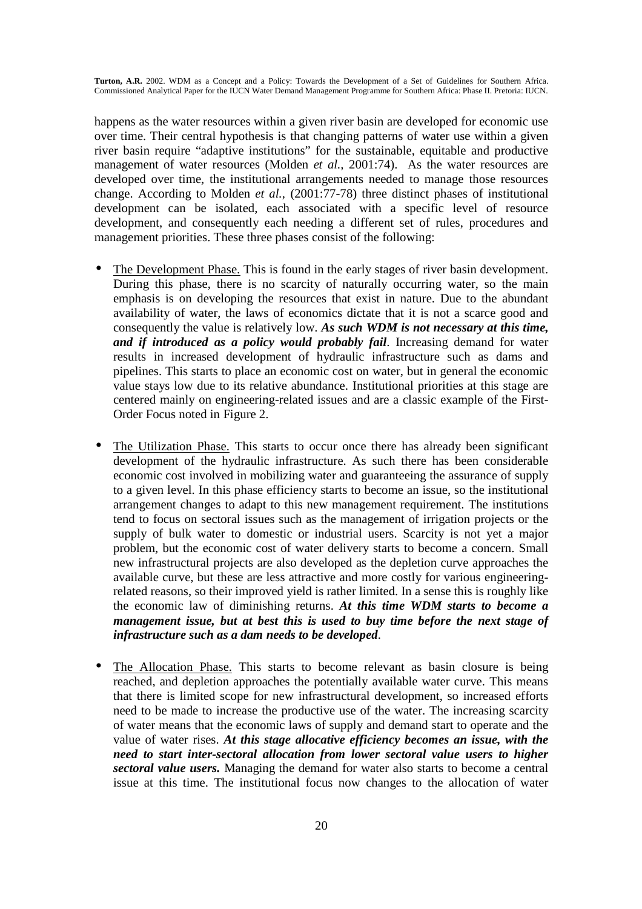happens as the water resources within a given river basin are developed for economic use over time. Their central hypothesis is that changing patterns of water use within a given river basin require "adaptive institutions" for the sustainable, equitable and productive management of water resources (Molden *et al.,* 2001:74). As the water resources are developed over time, the institutional arrangements needed to manage those resources change. According to Molden *et al.,* (2001:77-78) three distinct phases of institutional development can be isolated, each associated with a specific level of resource development, and consequently each needing a different set of rules, procedures and management priorities. These three phases consist of the following:

- The Development Phase. This is found in the early stages of river basin development. During this phase, there is no scarcity of naturally occurring water, so the main emphasis is on developing the resources that exist in nature. Due to the abundant availability of water, the laws of economics dictate that it is not a scarce good and consequently the value is relatively low. *As such WDM is not necessary at this time, and if introduced as a policy would probably fail*. Increasing demand for water results in increased development of hydraulic infrastructure such as dams and pipelines. This starts to place an economic cost on water, but in general the economic value stays low due to its relative abundance. Institutional priorities at this stage are centered mainly on engineering-related issues and are a classic example of the First-Order Focus noted in Figure 2.
- The Utilization Phase. This starts to occur once there has already been significant development of the hydraulic infrastructure. As such there has been considerable economic cost involved in mobilizing water and guaranteeing the assurance of supply to a given level. In this phase efficiency starts to become an issue, so the institutional arrangement changes to adapt to this new management requirement. The institutions tend to focus on sectoral issues such as the management of irrigation projects or the supply of bulk water to domestic or industrial users. Scarcity is not yet a major problem, but the economic cost of water delivery starts to become a concern. Small new infrastructural projects are also developed as the depletion curve approaches the available curve, but these are less attractive and more costly for various engineeringrelated reasons, so their improved yield is rather limited. In a sense this is roughly like the economic law of diminishing returns. *At this time WDM starts to become a management issue, but at best this is used to buy time before the next stage of infrastructure such as a dam needs to be developed*.
- The Allocation Phase. This starts to become relevant as basin closure is being reached, and depletion approaches the potentially available water curve. This means that there is limited scope for new infrastructural development, so increased efforts need to be made to increase the productive use of the water. The increasing scarcity of water means that the economic laws of supply and demand start to operate and the value of water rises. *At this stage allocative efficiency becomes an issue, with the need to start inter-sectoral allocation from lower sectoral value users to higher sectoral value users.* Managing the demand for water also starts to become a central issue at this time. The institutional focus now changes to the allocation of water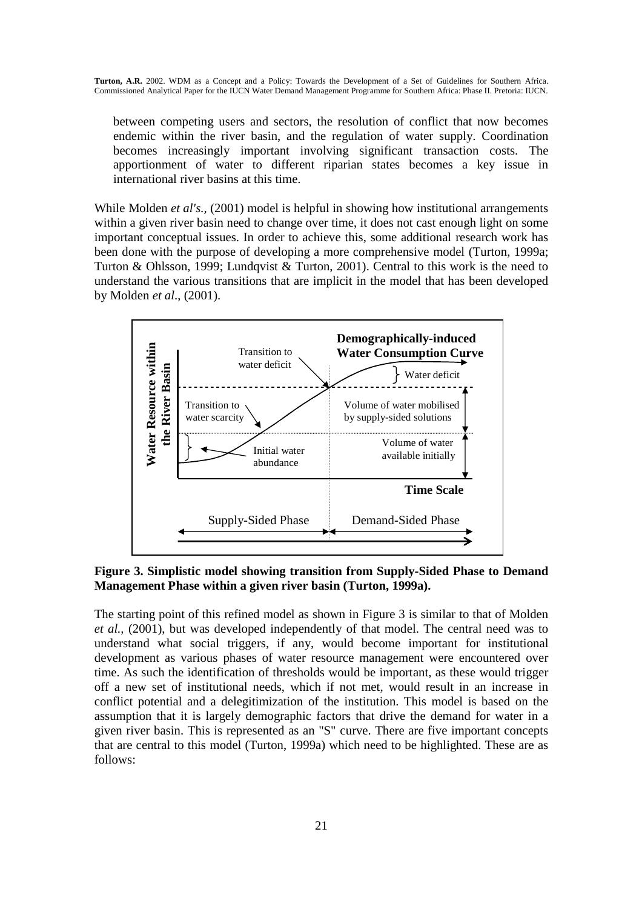between competing users and sectors, the resolution of conflict that now becomes endemic within the river basin, and the regulation of water supply. Coordination becomes increasingly important involving significant transaction costs. The apportionment of water to different riparian states becomes a key issue in international river basins at this time.

While Molden *et al's.*, (2001) model is helpful in showing how institutional arrangements within a given river basin need to change over time, it does not cast enough light on some important conceptual issues. In order to achieve this, some additional research work has been done with the purpose of developing a more comprehensive model (Turton, 1999a; Turton & Ohlsson, 1999; Lundqvist & Turton, 2001). Central to this work is the need to understand the various transitions that are implicit in the model that has been developed by Molden *et al*., (2001).



**Figure 3. Simplistic model showing transition from Supply-Sided Phase to Demand Management Phase within a given river basin (Turton, 1999a).**

The starting point of this refined model as shown in Figure 3 is similar to that of Molden *et al.,* (2001), but was developed independently of that model. The central need was to understand what social triggers, if any, would become important for institutional development as various phases of water resource management were encountered over time. As such the identification of thresholds would be important, as these would trigger off a new set of institutional needs, which if not met, would result in an increase in conflict potential and a delegitimization of the institution. This model is based on the assumption that it is largely demographic factors that drive the demand for water in a given river basin. This is represented as an "S" curve. There are five important concepts that are central to this model (Turton, 1999a) which need to be highlighted. These are as follows: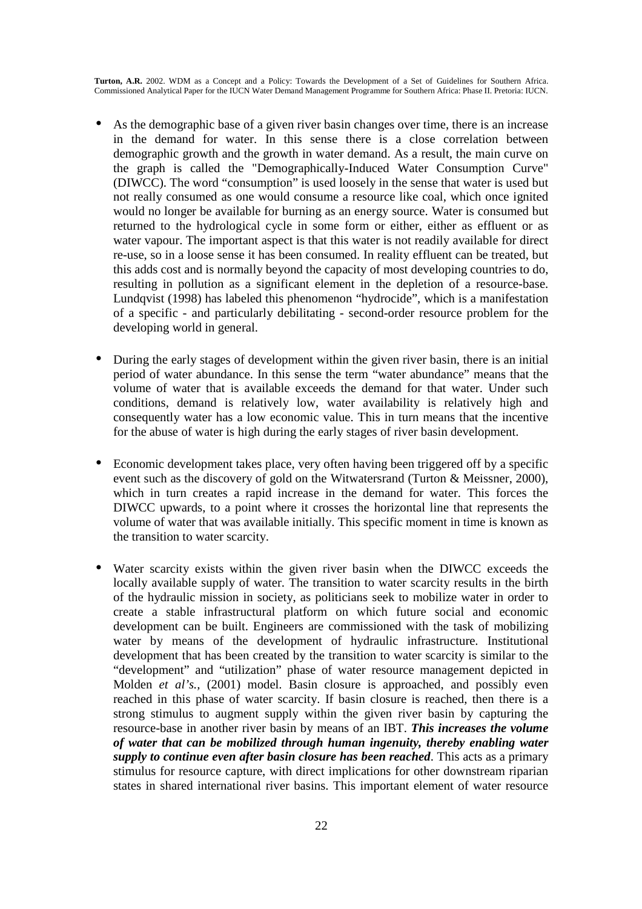- As the demographic base of a given river basin changes over time, there is an increase in the demand for water. In this sense there is a close correlation between demographic growth and the growth in water demand. As a result, the main curve on the graph is called the "Demographically-Induced Water Consumption Curve" (DIWCC). The word "consumption" is used loosely in the sense that water is used but not really consumed as one would consume a resource like coal, which once ignited would no longer be available for burning as an energy source. Water is consumed but returned to the hydrological cycle in some form or either, either as effluent or as water vapour. The important aspect is that this water is not readily available for direct re-use, so in a loose sense it has been consumed. In reality effluent can be treated, but this adds cost and is normally beyond the capacity of most developing countries to do, resulting in pollution as a significant element in the depletion of a resource-base. Lundqvist (1998) has labeled this phenomenon "hydrocide", which is a manifestation of a specific - and particularly debilitating - second-order resource problem for the developing world in general.
- During the early stages of development within the given river basin, there is an initial period of water abundance. In this sense the term "water abundance" means that the volume of water that is available exceeds the demand for that water. Under such conditions, demand is relatively low, water availability is relatively high and consequently water has a low economic value. This in turn means that the incentive for the abuse of water is high during the early stages of river basin development.
- Economic development takes place, very often having been triggered off by a specific event such as the discovery of gold on the Witwatersrand (Turton & Meissner, 2000), which in turn creates a rapid increase in the demand for water. This forces the DIWCC upwards, to a point where it crosses the horizontal line that represents the volume of water that was available initially. This specific moment in time is known as the transition to water scarcity.
- Water scarcity exists within the given river basin when the DIWCC exceeds the locally available supply of water. The transition to water scarcity results in the birth of the hydraulic mission in society, as politicians seek to mobilize water in order to create a stable infrastructural platform on which future social and economic development can be built. Engineers are commissioned with the task of mobilizing water by means of the development of hydraulic infrastructure. Institutional development that has been created by the transition to water scarcity is similar to the "development" and "utilization" phase of water resource management depicted in Molden *et al's.,* (2001) model. Basin closure is approached, and possibly even reached in this phase of water scarcity. If basin closure is reached, then there is a strong stimulus to augment supply within the given river basin by capturing the resource-base in another river basin by means of an IBT. *This increases the volume of water that can be mobilized through human ingenuity, thereby enabling water supply to continue even after basin closure has been reached*. This acts as a primary stimulus for resource capture, with direct implications for other downstream riparian states in shared international river basins. This important element of water resource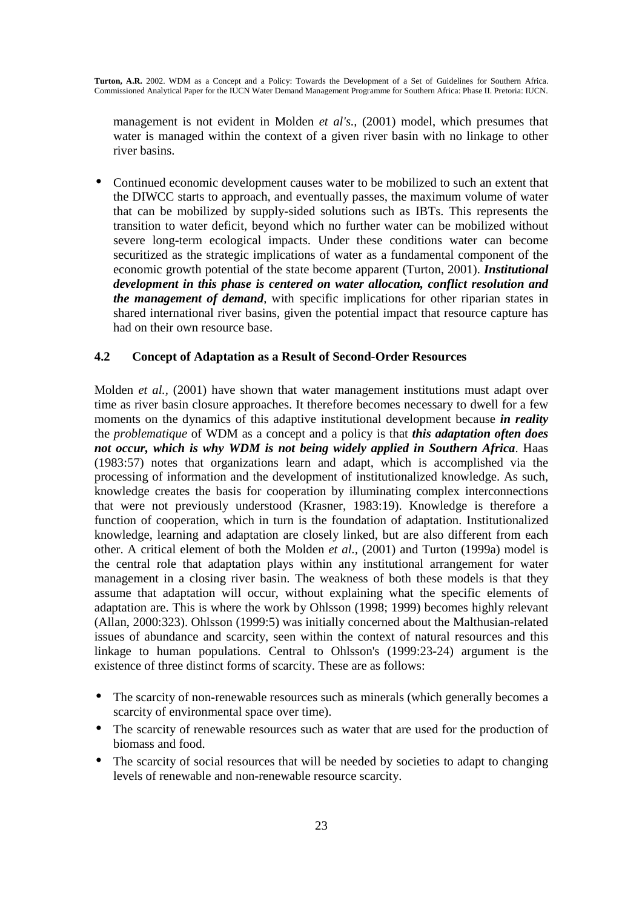management is not evident in Molden *et al's.,* (2001) model, which presumes that water is managed within the context of a given river basin with no linkage to other river basins.

• Continued economic development causes water to be mobilized to such an extent that the DIWCC starts to approach, and eventually passes, the maximum volume of water that can be mobilized by supply-sided solutions such as IBTs. This represents the transition to water deficit, beyond which no further water can be mobilized without severe long-term ecological impacts. Under these conditions water can become securitized as the strategic implications of water as a fundamental component of the economic growth potential of the state become apparent (Turton, 2001). *Institutional development in this phase is centered on water allocation, conflict resolution and the management of demand*, with specific implications for other riparian states in shared international river basins, given the potential impact that resource capture has had on their own resource base.

### **4.2 Concept of Adaptation as a Result of Second-Order Resources**

Molden *et al.,* (2001) have shown that water management institutions must adapt over time as river basin closure approaches. It therefore becomes necessary to dwell for a few moments on the dynamics of this adaptive institutional development because *in reality* the *problematique* of WDM as a concept and a policy is that *this adaptation often does not occur, which is why WDM is not being widely applied in Southern Africa*. Haas (1983:57) notes that organizations learn and adapt, which is accomplished via the processing of information and the development of institutionalized knowledge. As such, knowledge creates the basis for cooperation by illuminating complex interconnections that were not previously understood (Krasner, 1983:19). Knowledge is therefore a function of cooperation, which in turn is the foundation of adaptation. Institutionalized knowledge, learning and adaptation are closely linked, but are also different from each other. A critical element of both the Molden *et al.,* (2001) and Turton (1999a) model is the central role that adaptation plays within any institutional arrangement for water management in a closing river basin. The weakness of both these models is that they assume that adaptation will occur, without explaining what the specific elements of adaptation are. This is where the work by Ohlsson (1998; 1999) becomes highly relevant (Allan, 2000:323). Ohlsson (1999:5) was initially concerned about the Malthusian-related issues of abundance and scarcity, seen within the context of natural resources and this linkage to human populations. Central to Ohlsson's (1999:23-24) argument is the existence of three distinct forms of scarcity. These are as follows:

- The scarcity of non-renewable resources such as minerals (which generally becomes a scarcity of environmental space over time).
- The scarcity of renewable resources such as water that are used for the production of biomass and food.
- The scarcity of social resources that will be needed by societies to adapt to changing levels of renewable and non-renewable resource scarcity.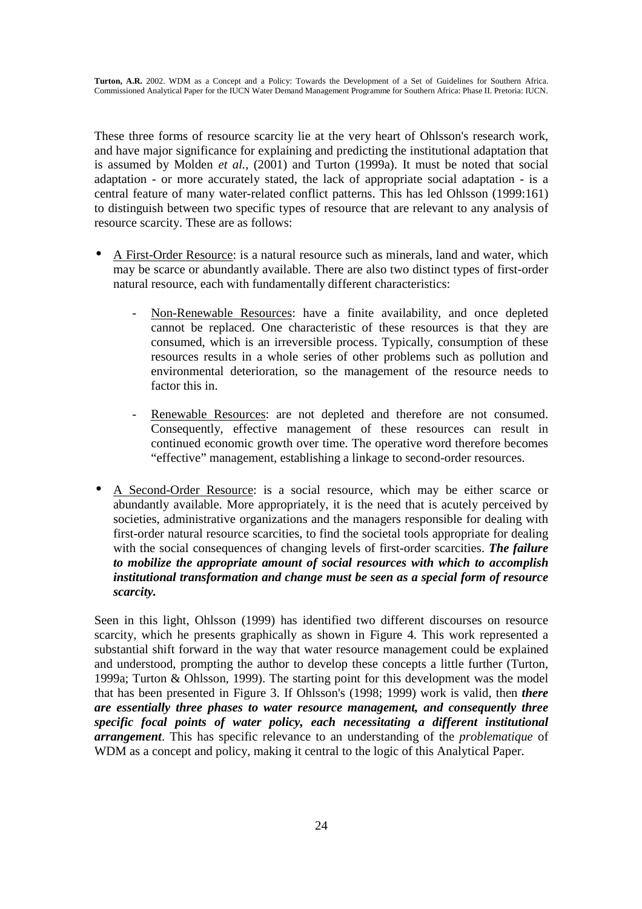These three forms of resource scarcity lie at the very heart of Ohlsson's research work, and have major significance for explaining and predicting the institutional adaptation that is assumed by Molden *et al.,* (2001) and Turton (1999a). It must be noted that social adaptation - or more accurately stated, the lack of appropriate social adaptation - is a central feature of many water-related conflict patterns. This has led Ohlsson (1999:161) to distinguish between two specific types of resource that are relevant to any analysis of resource scarcity. These are as follows:

- A First-Order Resource: is a natural resource such as minerals, land and water, which may be scarce or abundantly available. There are also two distinct types of first-order natural resource, each with fundamentally different characteristics:
	- Non-Renewable Resources: have a finite availability, and once depleted cannot be replaced. One characteristic of these resources is that they are consumed, which is an irreversible process. Typically, consumption of these resources results in a whole series of other problems such as pollution and environmental deterioration, so the management of the resource needs to factor this in.
	- Renewable Resources: are not depleted and therefore are not consumed. Consequently, effective management of these resources can result in continued economic growth over time. The operative word therefore becomes "effective" management, establishing a linkage to second-order resources.
- A Second-Order Resource: is a social resource, which may be either scarce or abundantly available. More appropriately, it is the need that is acutely perceived by societies, administrative organizations and the managers responsible for dealing with first-order natural resource scarcities, to find the societal tools appropriate for dealing with the social consequences of changing levels of first-order scarcities. *The failure to mobilize the appropriate amount of social resources with which to accomplish institutional transformation and change must be seen as a special form of resource scarcity.*

Seen in this light, Ohlsson (1999) has identified two different discourses on resource scarcity, which he presents graphically as shown in Figure 4. This work represented a substantial shift forward in the way that water resource management could be explained and understood, prompting the author to develop these concepts a little further (Turton, 1999a; Turton & Ohlsson, 1999). The starting point for this development was the model that has been presented in Figure 3. If Ohlsson's (1998; 1999) work is valid, then *there are essentially three phases to water resource management, and consequently three specific focal points of water policy, each necessitating a different institutional arrangement*. This has specific relevance to an understanding of the *problematique* of WDM as a concept and policy, making it central to the logic of this Analytical Paper.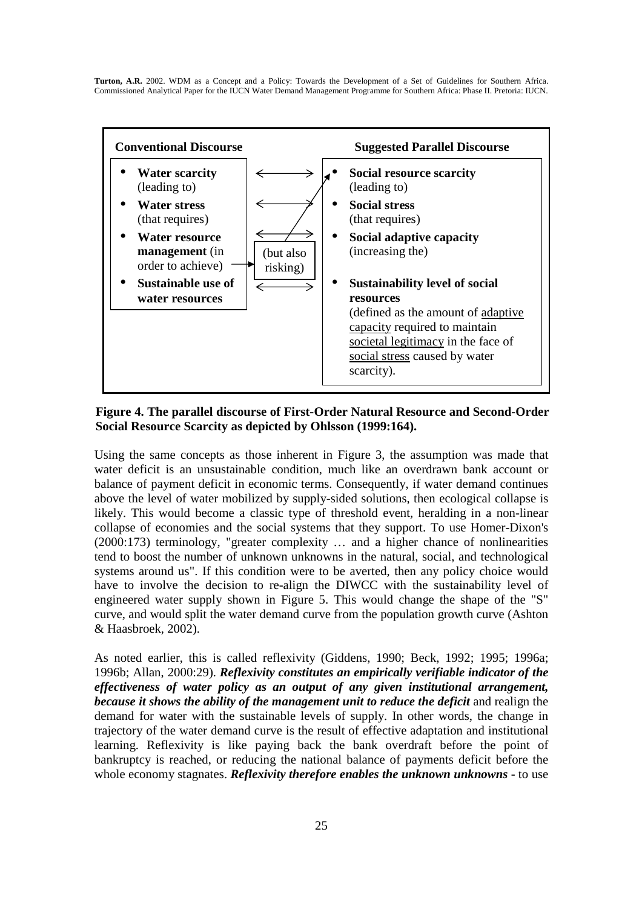

#### **Figure 4. The parallel discourse of First-Order Natural Resource and Second-Order Social Resource Scarcity as depicted by Ohlsson (1999:164).**

Using the same concepts as those inherent in Figure 3, the assumption was made that water deficit is an unsustainable condition, much like an overdrawn bank account or balance of payment deficit in economic terms. Consequently, if water demand continues above the level of water mobilized by supply-sided solutions, then ecological collapse is likely. This would become a classic type of threshold event, heralding in a non-linear collapse of economies and the social systems that they support. To use Homer-Dixon's (2000:173) terminology, "greater complexity … and a higher chance of nonlinearities tend to boost the number of unknown unknowns in the natural, social, and technological systems around us". If this condition were to be averted, then any policy choice would have to involve the decision to re-align the DIWCC with the sustainability level of engineered water supply shown in Figure 5. This would change the shape of the "S" curve, and would split the water demand curve from the population growth curve (Ashton & Haasbroek, 2002).

As noted earlier, this is called reflexivity (Giddens, 1990; Beck, 1992; 1995; 1996a; 1996b; Allan, 2000:29). *Reflexivity constitutes an empirically verifiable indicator of the effectiveness of water policy as an output of any given institutional arrangement, because it shows the ability of the management unit to reduce the deficit* and realign the demand for water with the sustainable levels of supply. In other words, the change in trajectory of the water demand curve is the result of effective adaptation and institutional learning. Reflexivity is like paying back the bank overdraft before the point of bankruptcy is reached, or reducing the national balance of payments deficit before the whole economy stagnates. *Reflexivity therefore enables the unknown unknowns* - to use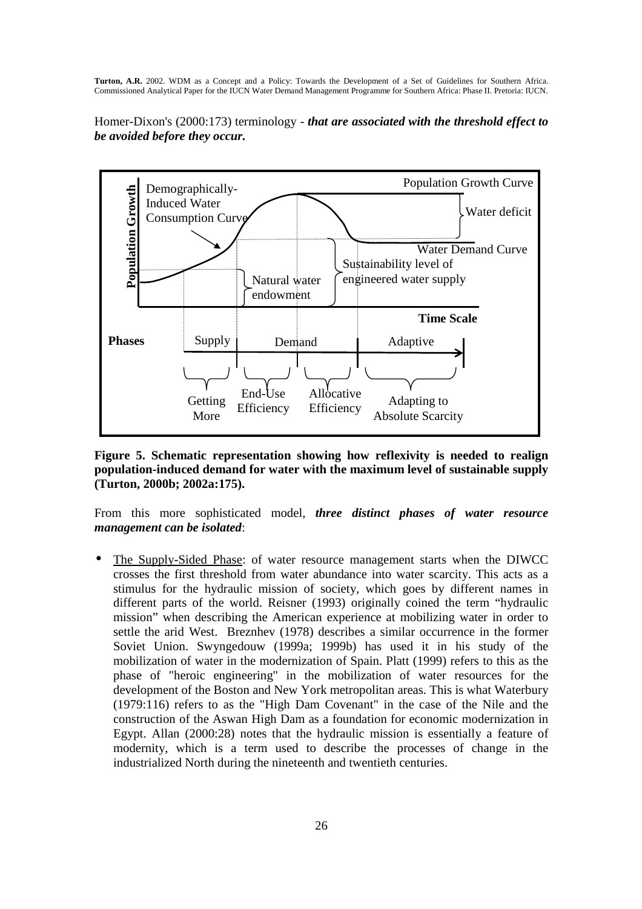Homer-Dixon's (2000:173) terminology - *that are associated with the threshold effect to be avoided before they occur.*



**Figure 5. Schematic representation showing how reflexivity is needed to realign population-induced demand for water with the maximum level of sustainable supply (Turton, 2000b; 2002a:175).** 

From this more sophisticated model, *three distinct phases of water resource management can be isolated*:

• The Supply-Sided Phase: of water resource management starts when the DIWCC crosses the first threshold from water abundance into water scarcity. This acts as a stimulus for the hydraulic mission of society, which goes by different names in different parts of the world. Reisner (1993) originally coined the term "hydraulic mission" when describing the American experience at mobilizing water in order to settle the arid West. Breznhev (1978) describes a similar occurrence in the former Soviet Union. Swyngedouw (1999a; 1999b) has used it in his study of the mobilization of water in the modernization of Spain. Platt (1999) refers to this as the phase of "heroic engineering" in the mobilization of water resources for the development of the Boston and New York metropolitan areas. This is what Waterbury (1979:116) refers to as the "High Dam Covenant" in the case of the Nile and the construction of the Aswan High Dam as a foundation for economic modernization in Egypt. Allan (2000:28) notes that the hydraulic mission is essentially a feature of modernity, which is a term used to describe the processes of change in the industrialized North during the nineteenth and twentieth centuries.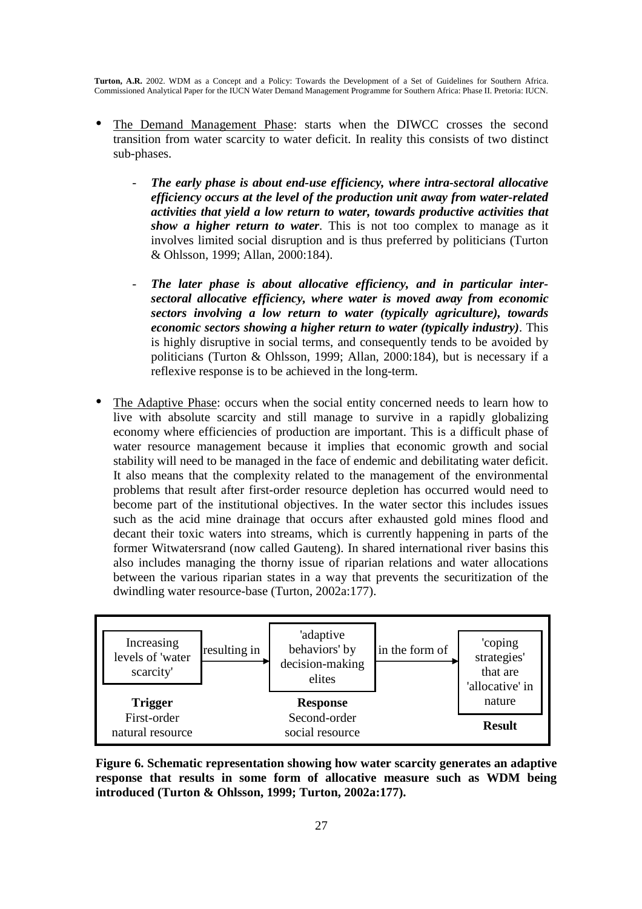- The Demand Management Phase: starts when the DIWCC crosses the second transition from water scarcity to water deficit. In reality this consists of two distinct sub-phases.
	- The early phase is about end-use efficiency, where intra-sectoral allocative *efficiency occurs at the level of the production unit away from water-related activities that yield a low return to water, towards productive activities that show a higher return to water*. This is not too complex to manage as it involves limited social disruption and is thus preferred by politicians (Turton & Ohlsson, 1999; Allan, 2000:184).
	- The later phase is about allocative efficiency, and in particular inter*sectoral allocative efficiency, where water is moved away from economic sectors involving a low return to water (typically agriculture), towards economic sectors showing a higher return to water (typically industry)*. This is highly disruptive in social terms, and consequently tends to be avoided by politicians (Turton & Ohlsson, 1999; Allan, 2000:184), but is necessary if a reflexive response is to be achieved in the long-term.
- The Adaptive Phase: occurs when the social entity concerned needs to learn how to live with absolute scarcity and still manage to survive in a rapidly globalizing economy where efficiencies of production are important. This is a difficult phase of water resource management because it implies that economic growth and social stability will need to be managed in the face of endemic and debilitating water deficit. It also means that the complexity related to the management of the environmental problems that result after first-order resource depletion has occurred would need to become part of the institutional objectives. In the water sector this includes issues such as the acid mine drainage that occurs after exhausted gold mines flood and decant their toxic waters into streams, which is currently happening in parts of the former Witwatersrand (now called Gauteng). In shared international river basins this also includes managing the thorny issue of riparian relations and water allocations between the various riparian states in a way that prevents the securitization of the dwindling water resource-base (Turton, 2002a:177).



**Figure 6. Schematic representation showing how water scarcity generates an adaptive response that results in some form of allocative measure such as WDM being introduced (Turton & Ohlsson, 1999; Turton, 2002a:177).**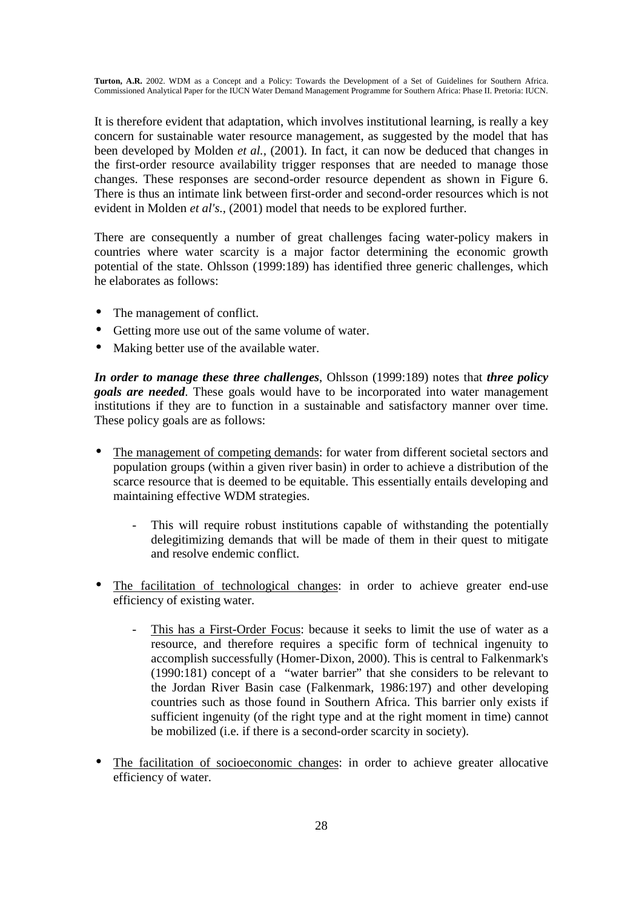It is therefore evident that adaptation, which involves institutional learning, is really a key concern for sustainable water resource management, as suggested by the model that has been developed by Molden *et al.,* (2001). In fact, it can now be deduced that changes in the first-order resource availability trigger responses that are needed to manage those changes. These responses are second-order resource dependent as shown in Figure 6. There is thus an intimate link between first-order and second-order resources which is not evident in Molden *et al's.,* (2001) model that needs to be explored further.

There are consequently a number of great challenges facing water-policy makers in countries where water scarcity is a major factor determining the economic growth potential of the state. Ohlsson (1999:189) has identified three generic challenges, which he elaborates as follows:

- The management of conflict.
- Getting more use out of the same volume of water.
- Making better use of the available water.

*In order to manage these three challenges*, Ohlsson (1999:189) notes that *three policy goals are needed*. These goals would have to be incorporated into water management institutions if they are to function in a sustainable and satisfactory manner over time. These policy goals are as follows:

- The management of competing demands: for water from different societal sectors and population groups (within a given river basin) in order to achieve a distribution of the scarce resource that is deemed to be equitable. This essentially entails developing and maintaining effective WDM strategies.
	- This will require robust institutions capable of withstanding the potentially delegitimizing demands that will be made of them in their quest to mitigate and resolve endemic conflict.
- The facilitation of technological changes: in order to achieve greater end-use efficiency of existing water.
	- This has a First-Order Focus: because it seeks to limit the use of water as a resource, and therefore requires a specific form of technical ingenuity to accomplish successfully (Homer-Dixon, 2000). This is central to Falkenmark's (1990:181) concept of a "water barrier" that she considers to be relevant to the Jordan River Basin case (Falkenmark, 1986:197) and other developing countries such as those found in Southern Africa. This barrier only exists if sufficient ingenuity (of the right type and at the right moment in time) cannot be mobilized (i.e. if there is a second-order scarcity in society).
- The facilitation of socioeconomic changes: in order to achieve greater allocative efficiency of water.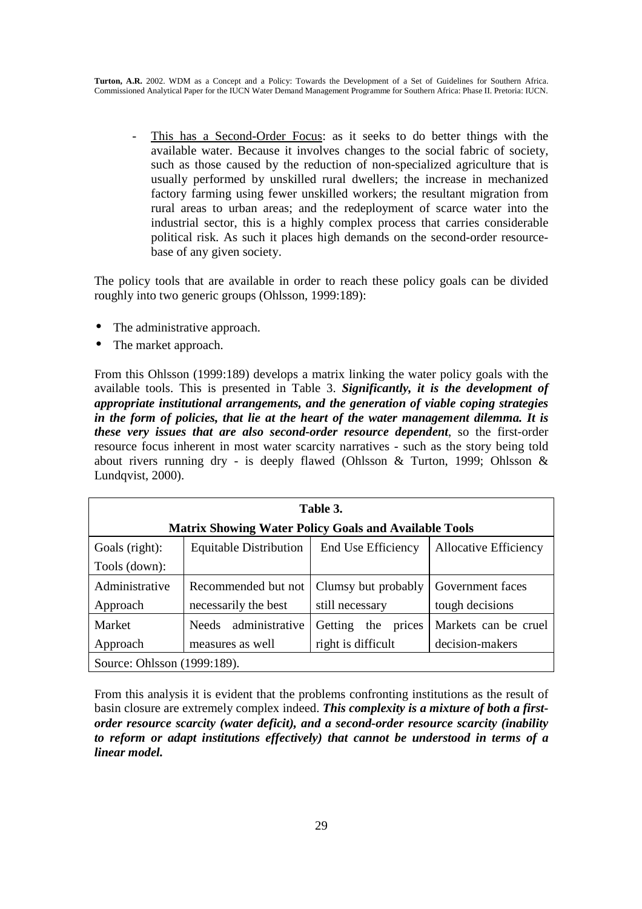- This has a Second-Order Focus: as it seeks to do better things with the available water. Because it involves changes to the social fabric of society, such as those caused by the reduction of non-specialized agriculture that is usually performed by unskilled rural dwellers; the increase in mechanized factory farming using fewer unskilled workers; the resultant migration from rural areas to urban areas; and the redeployment of scarce water into the industrial sector, this is a highly complex process that carries considerable political risk. As such it places high demands on the second-order resourcebase of any given society.

The policy tools that are available in order to reach these policy goals can be divided roughly into two generic groups (Ohlsson, 1999:189):

- The administrative approach.
- The market approach.

From this Ohlsson (1999:189) develops a matrix linking the water policy goals with the available tools. This is presented in Table 3. *Significantly, it is the development of appropriate institutional arrangements, and the generation of viable coping strategies in the form of policies, that lie at the heart of the water management dilemma. It is these very issues that are also second-order resource dependent*, so the first-order resource focus inherent in most water scarcity narratives - such as the story being told about rivers running dry - is deeply flawed (Ohlsson & Turton, 1999; Ohlsson & Lundqvist, 2000).

| Table 3.                                                     |                                |                          |                              |  |  |  |
|--------------------------------------------------------------|--------------------------------|--------------------------|------------------------------|--|--|--|
| <b>Matrix Showing Water Policy Goals and Available Tools</b> |                                |                          |                              |  |  |  |
| Goals (right):                                               | <b>Equitable Distribution</b>  | End Use Efficiency       | <b>Allocative Efficiency</b> |  |  |  |
| Tools (down):                                                |                                |                          |                              |  |  |  |
| Administrative                                               | Recommended but not            | Clumsy but probably      | Government faces             |  |  |  |
| Approach                                                     | necessarily the best           | still necessary          | tough decisions              |  |  |  |
| Market                                                       | administrative<br><b>Needs</b> | Getting<br>the<br>prices | Markets can be cruel         |  |  |  |
| Approach                                                     | measures as well               | right is difficult       | decision-makers              |  |  |  |
| Source: Ohlsson (1999:189).                                  |                                |                          |                              |  |  |  |

From this analysis it is evident that the problems confronting institutions as the result of basin closure are extremely complex indeed. *This complexity is a mixture of both a firstorder resource scarcity (water deficit), and a second-order resource scarcity (inability to reform or adapt institutions effectively) that cannot be understood in terms of a linear model.*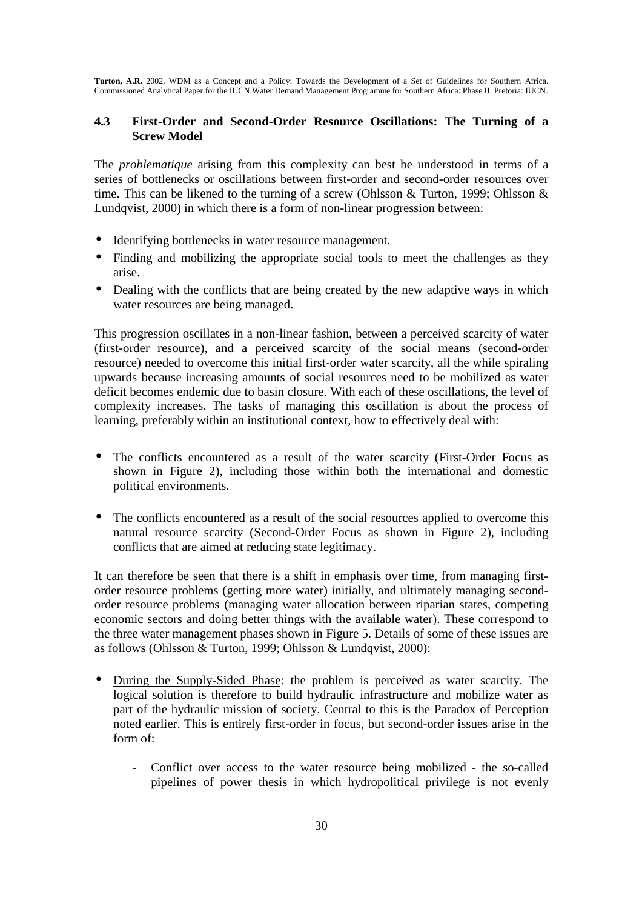### **4.3 First-Order and Second-Order Resource Oscillations: The Turning of a Screw Model**

The *problematique* arising from this complexity can best be understood in terms of a series of bottlenecks or oscillations between first-order and second-order resources over time. This can be likened to the turning of a screw (Ohlsson & Turton, 1999; Ohlsson & Lundqvist, 2000) in which there is a form of non-linear progression between:

- Identifying bottlenecks in water resource management.
- Finding and mobilizing the appropriate social tools to meet the challenges as they arise.
- Dealing with the conflicts that are being created by the new adaptive ways in which water resources are being managed.

This progression oscillates in a non-linear fashion, between a perceived scarcity of water (first-order resource), and a perceived scarcity of the social means (second-order resource) needed to overcome this initial first-order water scarcity, all the while spiraling upwards because increasing amounts of social resources need to be mobilized as water deficit becomes endemic due to basin closure. With each of these oscillations, the level of complexity increases. The tasks of managing this oscillation is about the process of learning, preferably within an institutional context, how to effectively deal with:

- The conflicts encountered as a result of the water scarcity (First-Order Focus as shown in Figure 2), including those within both the international and domestic political environments.
- The conflicts encountered as a result of the social resources applied to overcome this natural resource scarcity (Second-Order Focus as shown in Figure 2), including conflicts that are aimed at reducing state legitimacy.

It can therefore be seen that there is a shift in emphasis over time, from managing firstorder resource problems (getting more water) initially, and ultimately managing secondorder resource problems (managing water allocation between riparian states, competing economic sectors and doing better things with the available water). These correspond to the three water management phases shown in Figure 5. Details of some of these issues are as follows (Ohlsson & Turton, 1999; Ohlsson & Lundqvist, 2000):

- During the Supply-Sided Phase: the problem is perceived as water scarcity. The logical solution is therefore to build hydraulic infrastructure and mobilize water as part of the hydraulic mission of society. Central to this is the Paradox of Perception noted earlier. This is entirely first-order in focus, but second-order issues arise in the form of:
	- Conflict over access to the water resource being mobilized the so-called pipelines of power thesis in which hydropolitical privilege is not evenly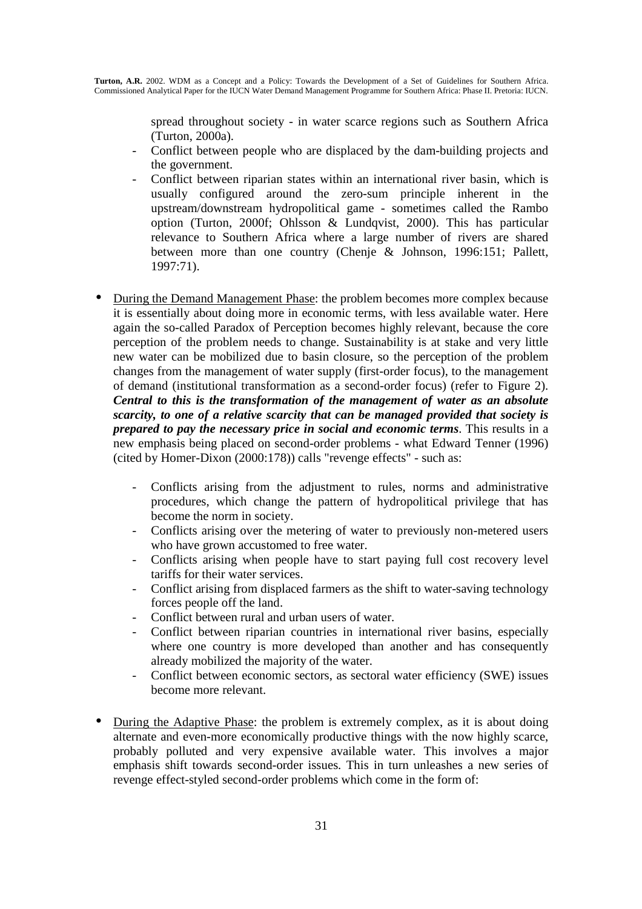spread throughout society - in water scarce regions such as Southern Africa (Turton, 2000a).

- Conflict between people who are displaced by the dam-building projects and the government.
- Conflict between riparian states within an international river basin, which is usually configured around the zero-sum principle inherent in the upstream/downstream hydropolitical game - sometimes called the Rambo option (Turton, 2000f; Ohlsson & Lundqvist, 2000). This has particular relevance to Southern Africa where a large number of rivers are shared between more than one country (Chenje & Johnson, 1996:151; Pallett, 1997:71).
- During the Demand Management Phase: the problem becomes more complex because it is essentially about doing more in economic terms, with less available water. Here again the so-called Paradox of Perception becomes highly relevant, because the core perception of the problem needs to change. Sustainability is at stake and very little new water can be mobilized due to basin closure, so the perception of the problem changes from the management of water supply (first-order focus), to the management of demand (institutional transformation as a second-order focus) (refer to Figure 2). *Central to this is the transformation of the management of water as an absolute scarcity, to one of a relative scarcity that can be managed provided that society is prepared to pay the necessary price in social and economic terms*. This results in a new emphasis being placed on second-order problems - what Edward Tenner (1996) (cited by Homer-Dixon (2000:178)) calls "revenge effects" - such as:
	- Conflicts arising from the adjustment to rules, norms and administrative procedures, which change the pattern of hydropolitical privilege that has become the norm in society.
	- Conflicts arising over the metering of water to previously non-metered users who have grown accustomed to free water.
	- Conflicts arising when people have to start paying full cost recovery level tariffs for their water services.
	- Conflict arising from displaced farmers as the shift to water-saving technology forces people off the land.
	- Conflict between rural and urban users of water.
	- Conflict between riparian countries in international river basins, especially where one country is more developed than another and has consequently already mobilized the majority of the water.
	- Conflict between economic sectors, as sectoral water efficiency (SWE) issues become more relevant.
- During the Adaptive Phase: the problem is extremely complex, as it is about doing alternate and even-more economically productive things with the now highly scarce, probably polluted and very expensive available water. This involves a major emphasis shift towards second-order issues. This in turn unleashes a new series of revenge effect-styled second-order problems which come in the form of: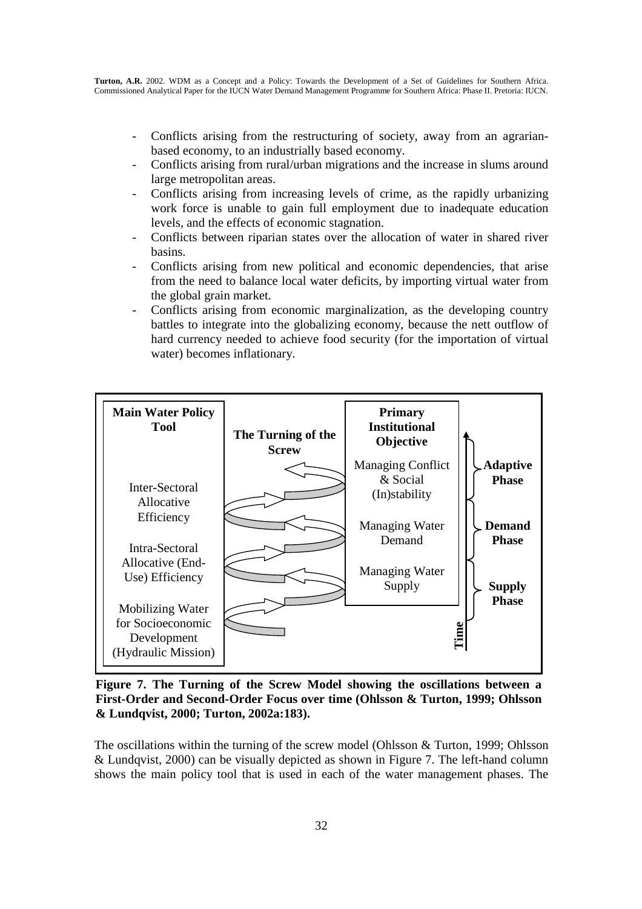- Conflicts arising from the restructuring of society, away from an agrarianbased economy, to an industrially based economy.
- Conflicts arising from rural/urban migrations and the increase in slums around large metropolitan areas.
- Conflicts arising from increasing levels of crime, as the rapidly urbanizing work force is unable to gain full employment due to inadequate education levels, and the effects of economic stagnation.
- Conflicts between riparian states over the allocation of water in shared river basins.
- Conflicts arising from new political and economic dependencies, that arise from the need to balance local water deficits, by importing virtual water from the global grain market.
- Conflicts arising from economic marginalization, as the developing country battles to integrate into the globalizing economy, because the nett outflow of hard currency needed to achieve food security (for the importation of virtual water) becomes inflationary.



**Figure 7. The Turning of the Screw Model showing the oscillations between a First-Order and Second-Order Focus over time (Ohlsson & Turton, 1999; Ohlsson & Lundqvist, 2000; Turton, 2002a:183).** 

The oscillations within the turning of the screw model (Ohlsson & Turton, 1999; Ohlsson & Lundqvist, 2000) can be visually depicted as shown in Figure 7. The left-hand column shows the main policy tool that is used in each of the water management phases. The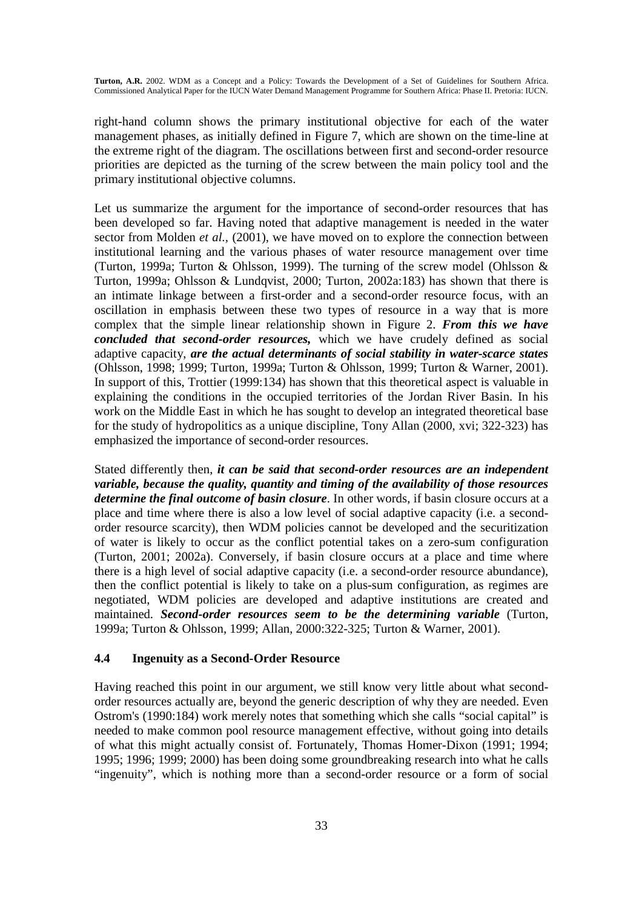right-hand column shows the primary institutional objective for each of the water management phases, as initially defined in Figure 7, which are shown on the time-line at the extreme right of the diagram. The oscillations between first and second-order resource priorities are depicted as the turning of the screw between the main policy tool and the primary institutional objective columns.

Let us summarize the argument for the importance of second-order resources that has been developed so far. Having noted that adaptive management is needed in the water sector from Molden *et al.,* (2001), we have moved on to explore the connection between institutional learning and the various phases of water resource management over time (Turton, 1999a; Turton & Ohlsson, 1999). The turning of the screw model (Ohlsson & Turton, 1999a; Ohlsson & Lundqvist, 2000; Turton, 2002a:183) has shown that there is an intimate linkage between a first-order and a second-order resource focus, with an oscillation in emphasis between these two types of resource in a way that is more complex that the simple linear relationship shown in Figure 2. *From this we have concluded that second-order resources,* which we have crudely defined as social adaptive capacity, *are the actual determinants of social stability in water-scarce states* (Ohlsson, 1998; 1999; Turton, 1999a; Turton & Ohlsson, 1999; Turton & Warner, 2001). In support of this, Trottier (1999:134) has shown that this theoretical aspect is valuable in explaining the conditions in the occupied territories of the Jordan River Basin. In his work on the Middle East in which he has sought to develop an integrated theoretical base for the study of hydropolitics as a unique discipline, Tony Allan (2000, xvi; 322-323) has emphasized the importance of second-order resources.

Stated differently then, *it can be said that second-order resources are an independent variable, because the quality, quantity and timing of the availability of those resources determine the final outcome of basin closure*. In other words, if basin closure occurs at a place and time where there is also a low level of social adaptive capacity (i.e. a secondorder resource scarcity), then WDM policies cannot be developed and the securitization of water is likely to occur as the conflict potential takes on a zero-sum configuration (Turton, 2001; 2002a). Conversely, if basin closure occurs at a place and time where there is a high level of social adaptive capacity (i.e. a second-order resource abundance), then the conflict potential is likely to take on a plus-sum configuration, as regimes are negotiated, WDM policies are developed and adaptive institutions are created and maintained. *Second-order resources seem to be the determining variable* (Turton, 1999a; Turton & Ohlsson, 1999; Allan, 2000:322-325; Turton & Warner, 2001).

#### **4.4 Ingenuity as a Second-Order Resource**

Having reached this point in our argument, we still know very little about what secondorder resources actually are, beyond the generic description of why they are needed. Even Ostrom's (1990:184) work merely notes that something which she calls "social capital" is needed to make common pool resource management effective, without going into details of what this might actually consist of. Fortunately, Thomas Homer-Dixon (1991; 1994; 1995; 1996; 1999; 2000) has been doing some groundbreaking research into what he calls "ingenuity", which is nothing more than a second-order resource or a form of social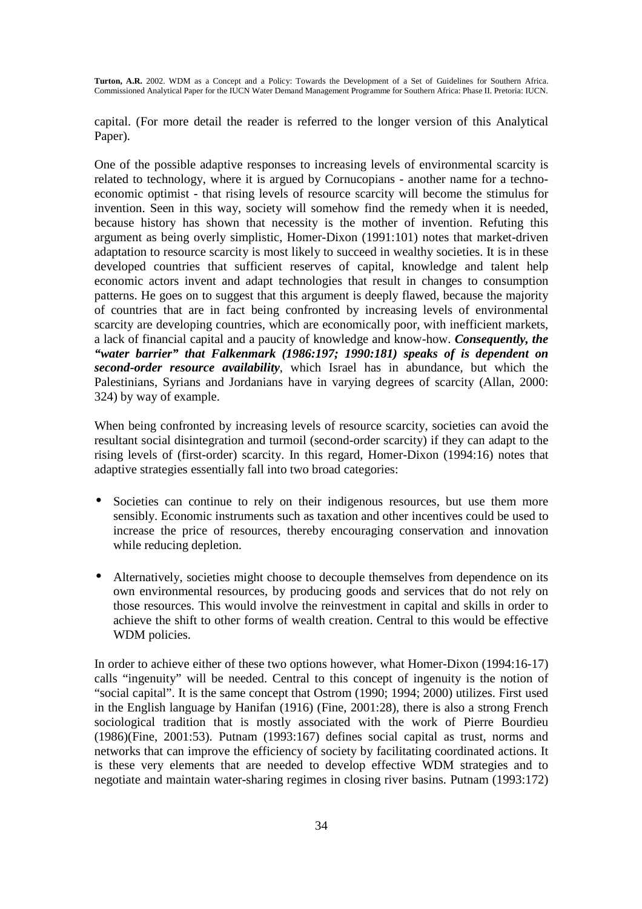capital. (For more detail the reader is referred to the longer version of this Analytical Paper).

One of the possible adaptive responses to increasing levels of environmental scarcity is related to technology, where it is argued by Cornucopians - another name for a technoeconomic optimist - that rising levels of resource scarcity will become the stimulus for invention. Seen in this way, society will somehow find the remedy when it is needed, because history has shown that necessity is the mother of invention. Refuting this argument as being overly simplistic, Homer-Dixon (1991:101) notes that market-driven adaptation to resource scarcity is most likely to succeed in wealthy societies. It is in these developed countries that sufficient reserves of capital, knowledge and talent help economic actors invent and adapt technologies that result in changes to consumption patterns. He goes on to suggest that this argument is deeply flawed, because the majority of countries that are in fact being confronted by increasing levels of environmental scarcity are developing countries, which are economically poor, with inefficient markets, a lack of financial capital and a paucity of knowledge and know-how. *Consequently, the "water barrier" that Falkenmark (1986:197; 1990:181) speaks of is dependent on second-order resource availability*, which Israel has in abundance, but which the Palestinians, Syrians and Jordanians have in varying degrees of scarcity (Allan, 2000: 324) by way of example.

When being confronted by increasing levels of resource scarcity, societies can avoid the resultant social disintegration and turmoil (second-order scarcity) if they can adapt to the rising levels of (first-order) scarcity. In this regard, Homer-Dixon (1994:16) notes that adaptive strategies essentially fall into two broad categories:

- Societies can continue to rely on their indigenous resources, but use them more sensibly. Economic instruments such as taxation and other incentives could be used to increase the price of resources, thereby encouraging conservation and innovation while reducing depletion.
- Alternatively, societies might choose to decouple themselves from dependence on its own environmental resources, by producing goods and services that do not rely on those resources. This would involve the reinvestment in capital and skills in order to achieve the shift to other forms of wealth creation. Central to this would be effective WDM policies.

In order to achieve either of these two options however, what Homer-Dixon (1994:16-17) calls "ingenuity" will be needed. Central to this concept of ingenuity is the notion of "social capital". It is the same concept that Ostrom (1990; 1994; 2000) utilizes. First used in the English language by Hanifan (1916) (Fine, 2001:28), there is also a strong French sociological tradition that is mostly associated with the work of Pierre Bourdieu (1986)(Fine, 2001:53). Putnam (1993:167) defines social capital as trust, norms and networks that can improve the efficiency of society by facilitating coordinated actions. It is these very elements that are needed to develop effective WDM strategies and to negotiate and maintain water-sharing regimes in closing river basins. Putnam (1993:172)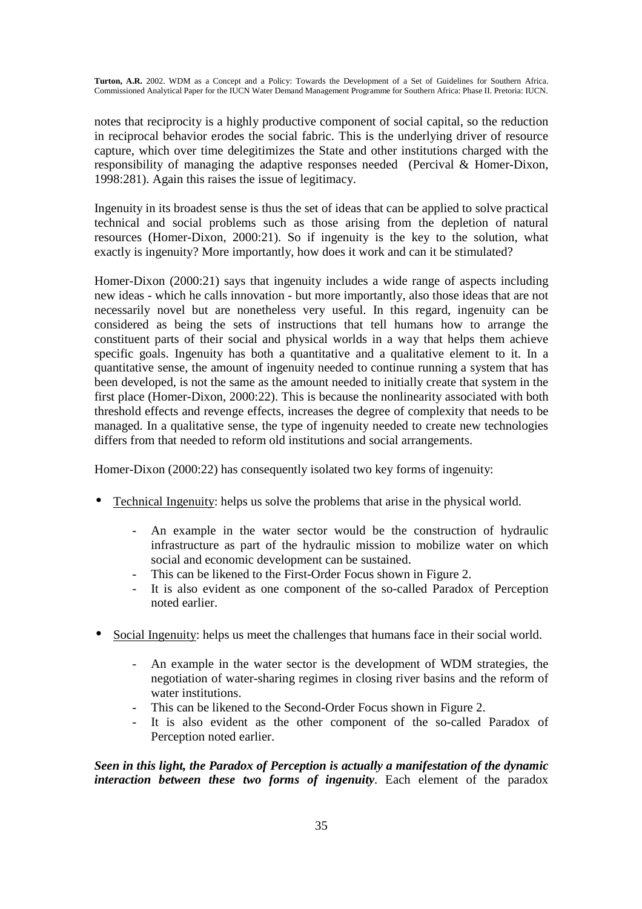notes that reciprocity is a highly productive component of social capital, so the reduction in reciprocal behavior erodes the social fabric. This is the underlying driver of resource capture, which over time delegitimizes the State and other institutions charged with the responsibility of managing the adaptive responses needed (Percival & Homer-Dixon, 1998:281). Again this raises the issue of legitimacy.

Ingenuity in its broadest sense is thus the set of ideas that can be applied to solve practical technical and social problems such as those arising from the depletion of natural resources (Homer-Dixon, 2000:21). So if ingenuity is the key to the solution, what exactly is ingenuity? More importantly, how does it work and can it be stimulated?

Homer-Dixon (2000:21) says that ingenuity includes a wide range of aspects including new ideas - which he calls innovation - but more importantly, also those ideas that are not necessarily novel but are nonetheless very useful. In this regard, ingenuity can be considered as being the sets of instructions that tell humans how to arrange the constituent parts of their social and physical worlds in a way that helps them achieve specific goals. Ingenuity has both a quantitative and a qualitative element to it. In a quantitative sense, the amount of ingenuity needed to continue running a system that has been developed, is not the same as the amount needed to initially create that system in the first place (Homer-Dixon, 2000:22). This is because the nonlinearity associated with both threshold effects and revenge effects, increases the degree of complexity that needs to be managed. In a qualitative sense, the type of ingenuity needed to create new technologies differs from that needed to reform old institutions and social arrangements.

Homer-Dixon (2000:22) has consequently isolated two key forms of ingenuity:

- Technical Ingenuity: helps us solve the problems that arise in the physical world.
	- An example in the water sector would be the construction of hydraulic infrastructure as part of the hydraulic mission to mobilize water on which social and economic development can be sustained.
	- This can be likened to the First-Order Focus shown in Figure 2.
	- It is also evident as one component of the so-called Paradox of Perception noted earlier.
- Social Ingenuity: helps us meet the challenges that humans face in their social world.
	- An example in the water sector is the development of WDM strategies, the negotiation of water-sharing regimes in closing river basins and the reform of water institutions.
	- This can be likened to the Second-Order Focus shown in Figure 2.
	- It is also evident as the other component of the so-called Paradox of Perception noted earlier.

*Seen in this light, the Paradox of Perception is actually a manifestation of the dynamic interaction between these two forms of ingenuity*. Each element of the paradox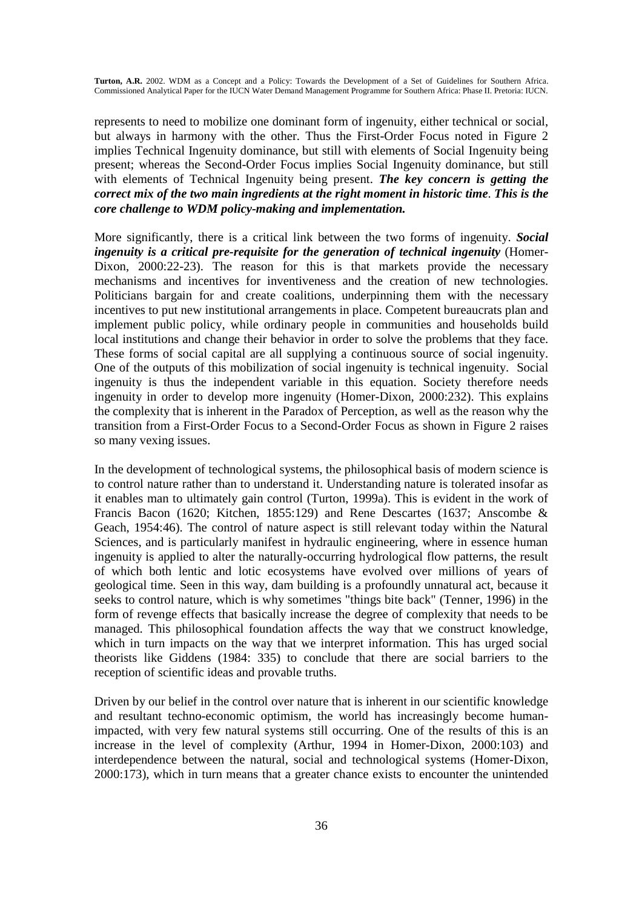represents to need to mobilize one dominant form of ingenuity, either technical or social, but always in harmony with the other. Thus the First-Order Focus noted in Figure 2 implies Technical Ingenuity dominance, but still with elements of Social Ingenuity being present; whereas the Second-Order Focus implies Social Ingenuity dominance, but still with elements of Technical Ingenuity being present. *The key concern is getting the correct mix of the two main ingredients at the right moment in historic time*. *This is the core challenge to WDM policy-making and implementation.* 

More significantly, there is a critical link between the two forms of ingenuity. *Social ingenuity is a critical pre-requisite for the generation of technical ingenuity* (Homer-Dixon, 2000:22-23). The reason for this is that markets provide the necessary mechanisms and incentives for inventiveness and the creation of new technologies. Politicians bargain for and create coalitions, underpinning them with the necessary incentives to put new institutional arrangements in place. Competent bureaucrats plan and implement public policy, while ordinary people in communities and households build local institutions and change their behavior in order to solve the problems that they face. These forms of social capital are all supplying a continuous source of social ingenuity. One of the outputs of this mobilization of social ingenuity is technical ingenuity. Social ingenuity is thus the independent variable in this equation. Society therefore needs ingenuity in order to develop more ingenuity (Homer-Dixon, 2000:232). This explains the complexity that is inherent in the Paradox of Perception, as well as the reason why the transition from a First-Order Focus to a Second-Order Focus as shown in Figure 2 raises so many vexing issues.

In the development of technological systems, the philosophical basis of modern science is to control nature rather than to understand it. Understanding nature is tolerated insofar as it enables man to ultimately gain control (Turton, 1999a). This is evident in the work of Francis Bacon (1620; Kitchen, 1855:129) and Rene Descartes (1637; Anscombe & Geach, 1954:46). The control of nature aspect is still relevant today within the Natural Sciences, and is particularly manifest in hydraulic engineering, where in essence human ingenuity is applied to alter the naturally-occurring hydrological flow patterns, the result of which both lentic and lotic ecosystems have evolved over millions of years of geological time. Seen in this way, dam building is a profoundly unnatural act, because it seeks to control nature, which is why sometimes "things bite back" (Tenner, 1996) in the form of revenge effects that basically increase the degree of complexity that needs to be managed. This philosophical foundation affects the way that we construct knowledge, which in turn impacts on the way that we interpret information. This has urged social theorists like Giddens (1984: 335) to conclude that there are social barriers to the reception of scientific ideas and provable truths.

Driven by our belief in the control over nature that is inherent in our scientific knowledge and resultant techno-economic optimism, the world has increasingly become humanimpacted, with very few natural systems still occurring. One of the results of this is an increase in the level of complexity (Arthur, 1994 in Homer-Dixon, 2000:103) and interdependence between the natural, social and technological systems (Homer-Dixon, 2000:173), which in turn means that a greater chance exists to encounter the unintended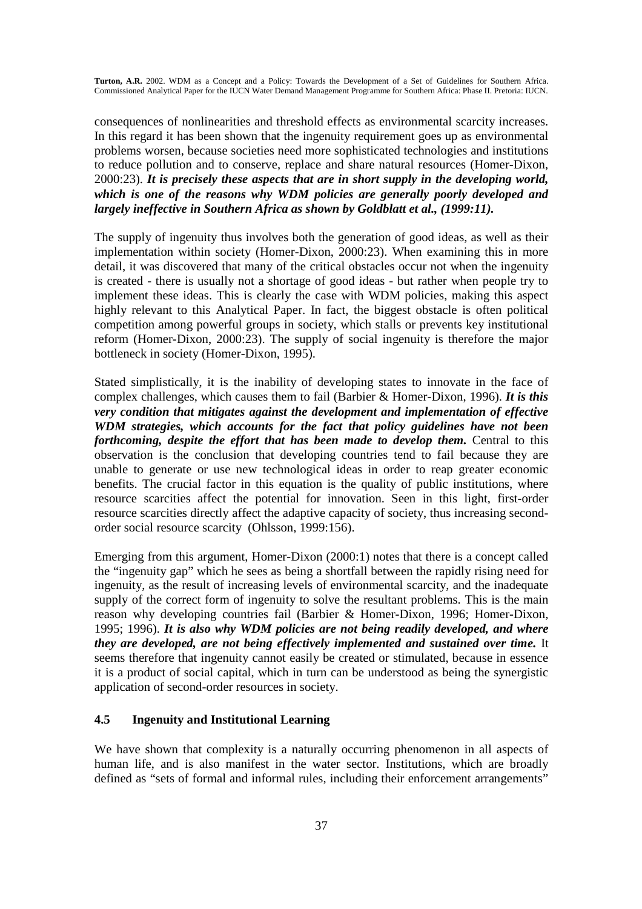consequences of nonlinearities and threshold effects as environmental scarcity increases. In this regard it has been shown that the ingenuity requirement goes up as environmental problems worsen, because societies need more sophisticated technologies and institutions to reduce pollution and to conserve, replace and share natural resources (Homer-Dixon, 2000:23). *It is precisely these aspects that are in short supply in the developing world, which is one of the reasons why WDM policies are generally poorly developed and largely ineffective in Southern Africa as shown by Goldblatt et al., (1999:11).* 

The supply of ingenuity thus involves both the generation of good ideas, as well as their implementation within society (Homer-Dixon, 2000:23). When examining this in more detail, it was discovered that many of the critical obstacles occur not when the ingenuity is created - there is usually not a shortage of good ideas - but rather when people try to implement these ideas. This is clearly the case with WDM policies, making this aspect highly relevant to this Analytical Paper. In fact, the biggest obstacle is often political competition among powerful groups in society, which stalls or prevents key institutional reform (Homer-Dixon, 2000:23). The supply of social ingenuity is therefore the major bottleneck in society (Homer-Dixon, 1995).

Stated simplistically, it is the inability of developing states to innovate in the face of complex challenges, which causes them to fail (Barbier & Homer-Dixon, 1996). *It is this very condition that mitigates against the development and implementation of effective WDM strategies, which accounts for the fact that policy guidelines have not been forthcoming, despite the effort that has been made to develop them.* Central to this observation is the conclusion that developing countries tend to fail because they are unable to generate or use new technological ideas in order to reap greater economic benefits. The crucial factor in this equation is the quality of public institutions, where resource scarcities affect the potential for innovation. Seen in this light, first-order resource scarcities directly affect the adaptive capacity of society, thus increasing secondorder social resource scarcity (Ohlsson, 1999:156).

Emerging from this argument, Homer-Dixon (2000:1) notes that there is a concept called the "ingenuity gap" which he sees as being a shortfall between the rapidly rising need for ingenuity, as the result of increasing levels of environmental scarcity, and the inadequate supply of the correct form of ingenuity to solve the resultant problems. This is the main reason why developing countries fail (Barbier & Homer-Dixon, 1996; Homer-Dixon, 1995; 1996). *It is also why WDM policies are not being readily developed, and where they are developed, are not being effectively implemented and sustained over time.* It seems therefore that ingenuity cannot easily be created or stimulated, because in essence it is a product of social capital, which in turn can be understood as being the synergistic application of second-order resources in society.

#### **4.5 Ingenuity and Institutional Learning**

We have shown that complexity is a naturally occurring phenomenon in all aspects of human life, and is also manifest in the water sector. Institutions, which are broadly defined as "sets of formal and informal rules, including their enforcement arrangements"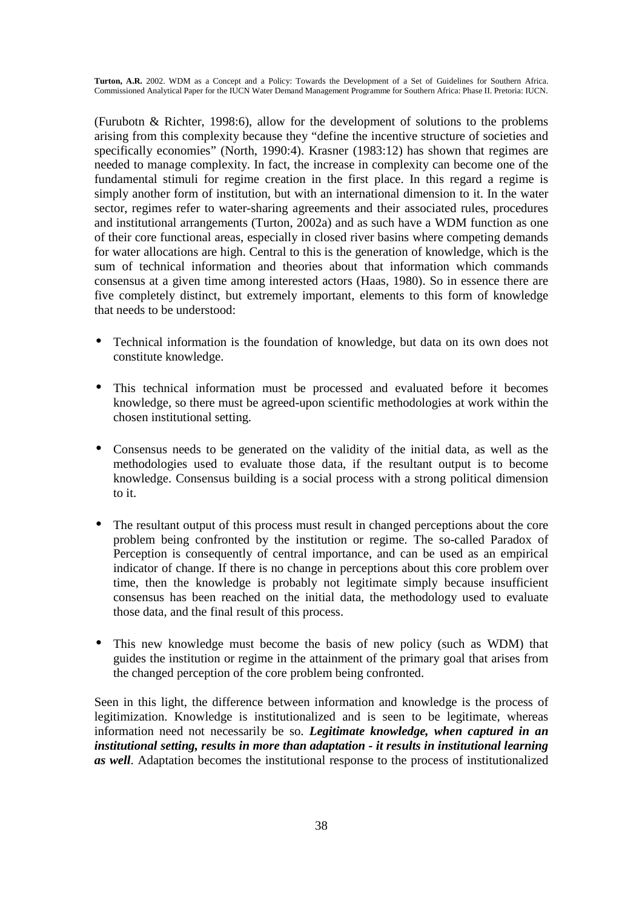(Furubotn & Richter, 1998:6), allow for the development of solutions to the problems arising from this complexity because they "define the incentive structure of societies and specifically economies" (North, 1990:4). Krasner (1983:12) has shown that regimes are needed to manage complexity. In fact, the increase in complexity can become one of the fundamental stimuli for regime creation in the first place. In this regard a regime is simply another form of institution, but with an international dimension to it. In the water sector, regimes refer to water-sharing agreements and their associated rules, procedures and institutional arrangements (Turton, 2002a) and as such have a WDM function as one of their core functional areas, especially in closed river basins where competing demands for water allocations are high. Central to this is the generation of knowledge, which is the sum of technical information and theories about that information which commands consensus at a given time among interested actors (Haas, 1980). So in essence there are five completely distinct, but extremely important, elements to this form of knowledge that needs to be understood:

- Technical information is the foundation of knowledge, but data on its own does not constitute knowledge.
- This technical information must be processed and evaluated before it becomes knowledge, so there must be agreed-upon scientific methodologies at work within the chosen institutional setting.
- Consensus needs to be generated on the validity of the initial data, as well as the methodologies used to evaluate those data, if the resultant output is to become knowledge. Consensus building is a social process with a strong political dimension to it.
- The resultant output of this process must result in changed perceptions about the core problem being confronted by the institution or regime. The so-called Paradox of Perception is consequently of central importance, and can be used as an empirical indicator of change. If there is no change in perceptions about this core problem over time, then the knowledge is probably not legitimate simply because insufficient consensus has been reached on the initial data, the methodology used to evaluate those data, and the final result of this process.
- This new knowledge must become the basis of new policy (such as WDM) that guides the institution or regime in the attainment of the primary goal that arises from the changed perception of the core problem being confronted.

Seen in this light, the difference between information and knowledge is the process of legitimization. Knowledge is institutionalized and is seen to be legitimate, whereas information need not necessarily be so. *Legitimate knowledge, when captured in an institutional setting, results in more than adaptation - it results in institutional learning as well*. Adaptation becomes the institutional response to the process of institutionalized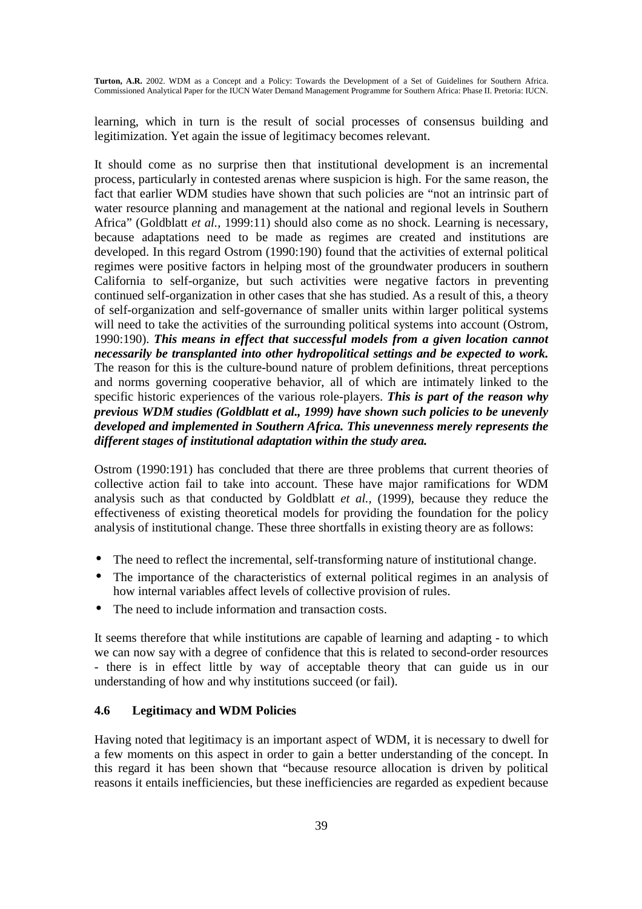learning, which in turn is the result of social processes of consensus building and legitimization. Yet again the issue of legitimacy becomes relevant.

It should come as no surprise then that institutional development is an incremental process, particularly in contested arenas where suspicion is high. For the same reason, the fact that earlier WDM studies have shown that such policies are "not an intrinsic part of water resource planning and management at the national and regional levels in Southern Africa" (Goldblatt *et al.,* 1999:11) should also come as no shock. Learning is necessary, because adaptations need to be made as regimes are created and institutions are developed. In this regard Ostrom (1990:190) found that the activities of external political regimes were positive factors in helping most of the groundwater producers in southern California to self-organize, but such activities were negative factors in preventing continued self-organization in other cases that she has studied. As a result of this, a theory of self-organization and self-governance of smaller units within larger political systems will need to take the activities of the surrounding political systems into account (Ostrom, 1990:190). *This means in effect that successful models from a given location cannot necessarily be transplanted into other hydropolitical settings and be expected to work.*  The reason for this is the culture-bound nature of problem definitions, threat perceptions and norms governing cooperative behavior, all of which are intimately linked to the specific historic experiences of the various role-players. *This is part of the reason why previous WDM studies (Goldblatt et al., 1999) have shown such policies to be unevenly developed and implemented in Southern Africa. This unevenness merely represents the different stages of institutional adaptation within the study area.* 

Ostrom (1990:191) has concluded that there are three problems that current theories of collective action fail to take into account. These have major ramifications for WDM analysis such as that conducted by Goldblatt *et al.,* (1999), because they reduce the effectiveness of existing theoretical models for providing the foundation for the policy analysis of institutional change. These three shortfalls in existing theory are as follows:

- The need to reflect the incremental, self-transforming nature of institutional change.
- The importance of the characteristics of external political regimes in an analysis of how internal variables affect levels of collective provision of rules.
- The need to include information and transaction costs.

It seems therefore that while institutions are capable of learning and adapting - to which we can now say with a degree of confidence that this is related to second-order resources - there is in effect little by way of acceptable theory that can guide us in our understanding of how and why institutions succeed (or fail).

#### **4.6 Legitimacy and WDM Policies**

Having noted that legitimacy is an important aspect of WDM, it is necessary to dwell for a few moments on this aspect in order to gain a better understanding of the concept. In this regard it has been shown that "because resource allocation is driven by political reasons it entails inefficiencies, but these inefficiencies are regarded as expedient because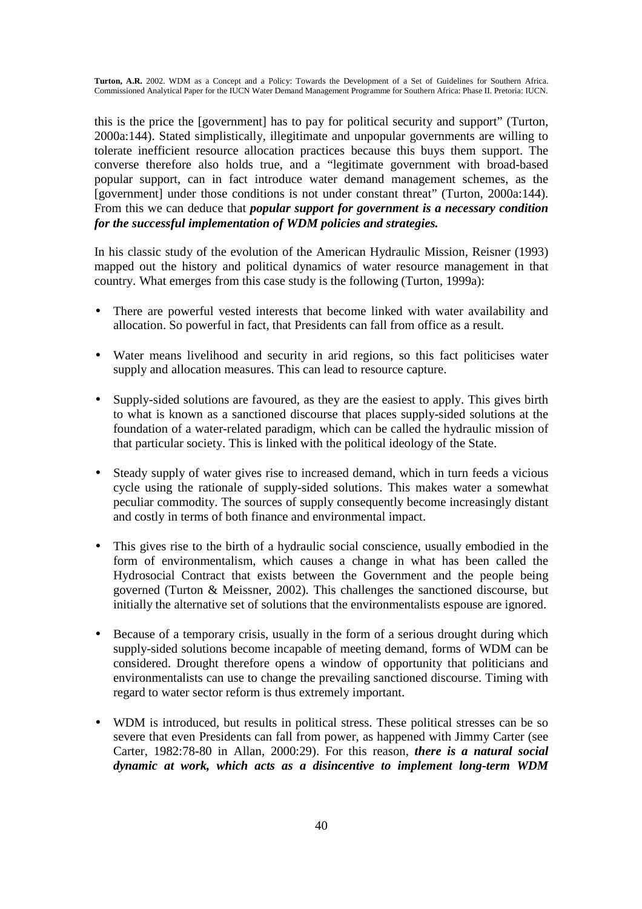this is the price the [government] has to pay for political security and support" (Turton, 2000a:144). Stated simplistically, illegitimate and unpopular governments are willing to tolerate inefficient resource allocation practices because this buys them support. The converse therefore also holds true, and a "legitimate government with broad-based popular support, can in fact introduce water demand management schemes, as the [government] under those conditions is not under constant threat" (Turton, 2000a:144). From this we can deduce that *popular support for government is a necessary condition for the successful implementation of WDM policies and strategies.*

In his classic study of the evolution of the American Hydraulic Mission, Reisner (1993) mapped out the history and political dynamics of water resource management in that country. What emerges from this case study is the following (Turton, 1999a):

- There are powerful vested interests that become linked with water availability and allocation. So powerful in fact, that Presidents can fall from office as a result.
- Water means livelihood and security in arid regions, so this fact politicises water supply and allocation measures. This can lead to resource capture.
- Supply-sided solutions are favoured, as they are the easiest to apply. This gives birth to what is known as a sanctioned discourse that places supply-sided solutions at the foundation of a water-related paradigm, which can be called the hydraulic mission of that particular society. This is linked with the political ideology of the State.
- Steady supply of water gives rise to increased demand, which in turn feeds a vicious cycle using the rationale of supply-sided solutions. This makes water a somewhat peculiar commodity. The sources of supply consequently become increasingly distant and costly in terms of both finance and environmental impact.
- This gives rise to the birth of a hydraulic social conscience, usually embodied in the form of environmentalism, which causes a change in what has been called the Hydrosocial Contract that exists between the Government and the people being governed (Turton & Meissner, 2002). This challenges the sanctioned discourse, but initially the alternative set of solutions that the environmentalists espouse are ignored.
- Because of a temporary crisis, usually in the form of a serious drought during which supply-sided solutions become incapable of meeting demand, forms of WDM can be considered. Drought therefore opens a window of opportunity that politicians and environmentalists can use to change the prevailing sanctioned discourse. Timing with regard to water sector reform is thus extremely important.
- WDM is introduced, but results in political stress. These political stresses can be so severe that even Presidents can fall from power, as happened with Jimmy Carter (see Carter, 1982:78-80 in Allan, 2000:29). For this reason, *there is a natural social dynamic at work, which acts as a disincentive to implement long-term WDM*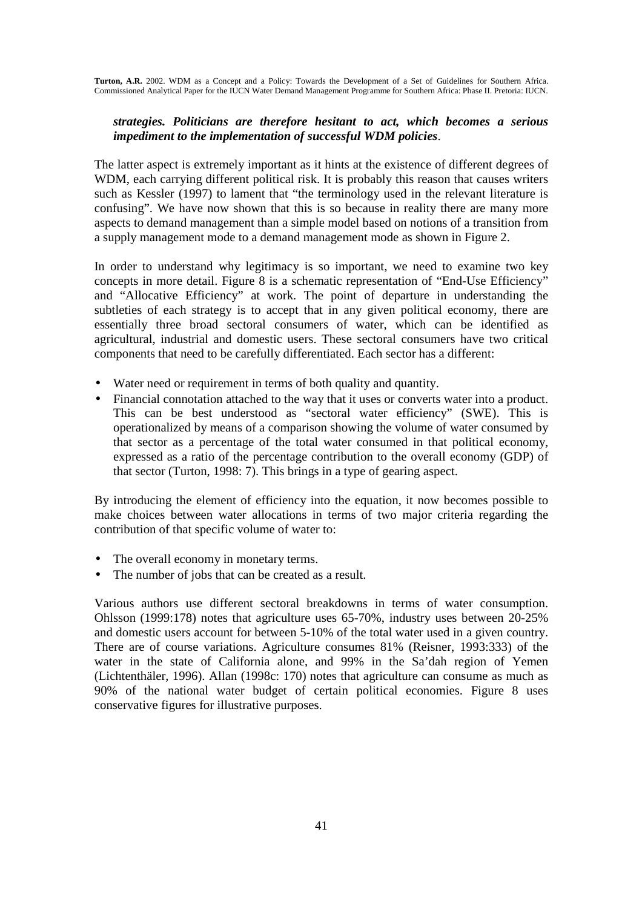### *strategies. Politicians are therefore hesitant to act, which becomes a serious impediment to the implementation of successful WDM policies*.

The latter aspect is extremely important as it hints at the existence of different degrees of WDM, each carrying different political risk. It is probably this reason that causes writers such as Kessler (1997) to lament that "the terminology used in the relevant literature is confusing". We have now shown that this is so because in reality there are many more aspects to demand management than a simple model based on notions of a transition from a supply management mode to a demand management mode as shown in Figure 2.

In order to understand why legitimacy is so important, we need to examine two key concepts in more detail. Figure 8 is a schematic representation of "End-Use Efficiency" and "Allocative Efficiency" at work. The point of departure in understanding the subtleties of each strategy is to accept that in any given political economy, there are essentially three broad sectoral consumers of water, which can be identified as agricultural, industrial and domestic users. These sectoral consumers have two critical components that need to be carefully differentiated. Each sector has a different:

- Water need or requirement in terms of both quality and quantity.
- Financial connotation attached to the way that it uses or converts water into a product. This can be best understood as "sectoral water efficiency" (SWE). This is operationalized by means of a comparison showing the volume of water consumed by that sector as a percentage of the total water consumed in that political economy, expressed as a ratio of the percentage contribution to the overall economy (GDP) of that sector (Turton, 1998: 7). This brings in a type of gearing aspect.

By introducing the element of efficiency into the equation, it now becomes possible to make choices between water allocations in terms of two major criteria regarding the contribution of that specific volume of water to:

- The overall economy in monetary terms.
- The number of jobs that can be created as a result.

Various authors use different sectoral breakdowns in terms of water consumption. Ohlsson (1999:178) notes that agriculture uses 65-70%, industry uses between 20-25% and domestic users account for between 5-10% of the total water used in a given country. There are of course variations. Agriculture consumes 81% (Reisner, 1993:333) of the water in the state of California alone, and 99% in the Sa'dah region of Yemen (Lichtenthäler, 1996). Allan (1998c: 170) notes that agriculture can consume as much as 90% of the national water budget of certain political economies. Figure 8 uses conservative figures for illustrative purposes.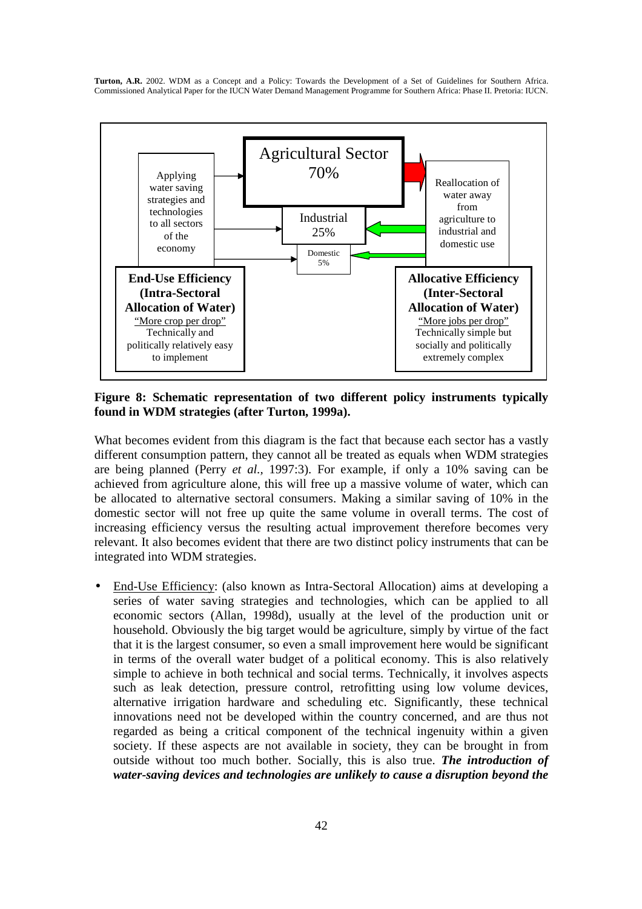

**Figure 8: Schematic representation of two different policy instruments typically found in WDM strategies (after Turton, 1999a).** 

What becomes evident from this diagram is the fact that because each sector has a vastly different consumption pattern, they cannot all be treated as equals when WDM strategies are being planned (Perry *et al.,* 1997:3). For example, if only a 10% saving can be achieved from agriculture alone, this will free up a massive volume of water, which can be allocated to alternative sectoral consumers. Making a similar saving of 10% in the domestic sector will not free up quite the same volume in overall terms. The cost of increasing efficiency versus the resulting actual improvement therefore becomes very relevant. It also becomes evident that there are two distinct policy instruments that can be integrated into WDM strategies.

• End-Use Efficiency: (also known as Intra-Sectoral Allocation) aims at developing a series of water saving strategies and technologies, which can be applied to all economic sectors (Allan, 1998d), usually at the level of the production unit or household. Obviously the big target would be agriculture, simply by virtue of the fact that it is the largest consumer, so even a small improvement here would be significant in terms of the overall water budget of a political economy. This is also relatively simple to achieve in both technical and social terms. Technically, it involves aspects such as leak detection, pressure control, retrofitting using low volume devices, alternative irrigation hardware and scheduling etc. Significantly, these technical innovations need not be developed within the country concerned, and are thus not regarded as being a critical component of the technical ingenuity within a given society. If these aspects are not available in society, they can be brought in from outside without too much bother. Socially, this is also true. *The introduction of water-saving devices and technologies are unlikely to cause a disruption beyond the*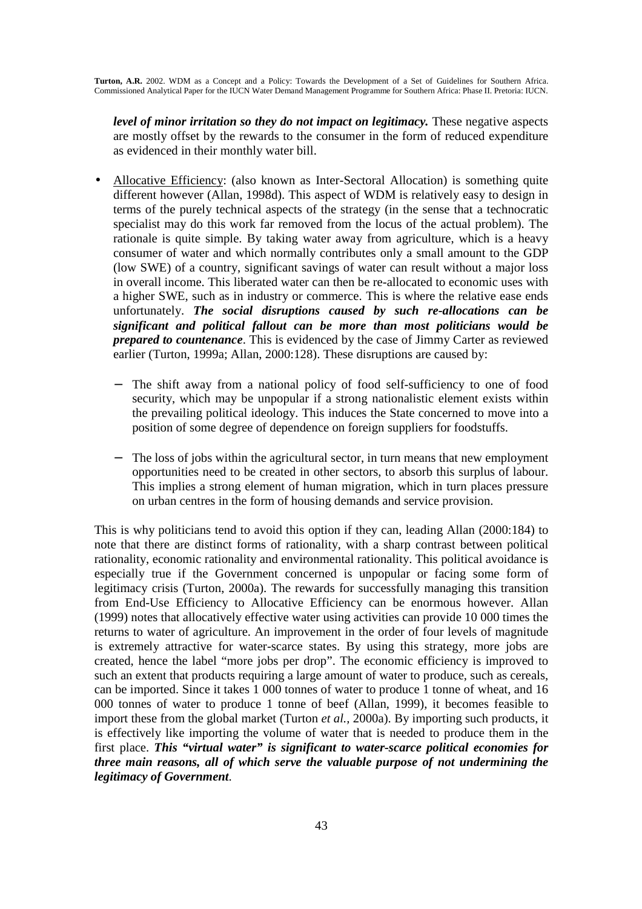*level of minor irritation so they do not impact on legitimacy.* These negative aspects are mostly offset by the rewards to the consumer in the form of reduced expenditure as evidenced in their monthly water bill.

- Allocative Efficiency: (also known as Inter-Sectoral Allocation) is something quite different however (Allan, 1998d). This aspect of WDM is relatively easy to design in terms of the purely technical aspects of the strategy (in the sense that a technocratic specialist may do this work far removed from the locus of the actual problem). The rationale is quite simple. By taking water away from agriculture, which is a heavy consumer of water and which normally contributes only a small amount to the GDP (low SWE) of a country, significant savings of water can result without a major loss in overall income. This liberated water can then be re-allocated to economic uses with a higher SWE, such as in industry or commerce. This is where the relative ease ends unfortunately. *The social disruptions caused by such re-allocations can be significant and political fallout can be more than most politicians would be prepared to countenance*. This is evidenced by the case of Jimmy Carter as reviewed earlier (Turton, 1999a; Allan, 2000:128). These disruptions are caused by:
	- The shift away from a national policy of food self-sufficiency to one of food security, which may be unpopular if a strong nationalistic element exists within the prevailing political ideology. This induces the State concerned to move into a position of some degree of dependence on foreign suppliers for foodstuffs.
	- The loss of jobs within the agricultural sector, in turn means that new employment opportunities need to be created in other sectors, to absorb this surplus of labour. This implies a strong element of human migration, which in turn places pressure on urban centres in the form of housing demands and service provision.

This is why politicians tend to avoid this option if they can, leading Allan (2000:184) to note that there are distinct forms of rationality, with a sharp contrast between political rationality, economic rationality and environmental rationality. This political avoidance is especially true if the Government concerned is unpopular or facing some form of legitimacy crisis (Turton, 2000a). The rewards for successfully managing this transition from End-Use Efficiency to Allocative Efficiency can be enormous however. Allan (1999) notes that allocatively effective water using activities can provide 10 000 times the returns to water of agriculture. An improvement in the order of four levels of magnitude is extremely attractive for water-scarce states. By using this strategy, more jobs are created, hence the label "more jobs per drop". The economic efficiency is improved to such an extent that products requiring a large amount of water to produce, such as cereals, can be imported. Since it takes 1 000 tonnes of water to produce 1 tonne of wheat, and 16 000 tonnes of water to produce 1 tonne of beef (Allan, 1999), it becomes feasible to import these from the global market (Turton *et al.,* 2000a). By importing such products, it is effectively like importing the volume of water that is needed to produce them in the first place. *This "virtual water" is significant to water-scarce political economies for three main reasons, all of which serve the valuable purpose of not undermining the legitimacy of Government*.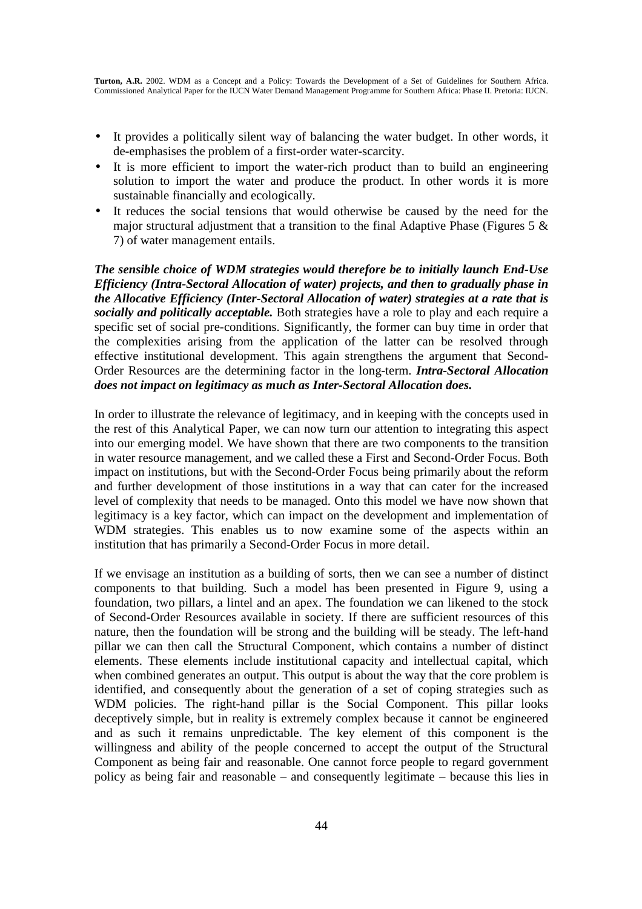- It provides a politically silent way of balancing the water budget. In other words, it de-emphasises the problem of a first-order water-scarcity.
- It is more efficient to import the water-rich product than to build an engineering solution to import the water and produce the product. In other words it is more sustainable financially and ecologically.
- It reduces the social tensions that would otherwise be caused by the need for the major structural adjustment that a transition to the final Adaptive Phase (Figures 5  $\&$ 7) of water management entails.

*The sensible choice of WDM strategies would therefore be to initially launch End-Use Efficiency (Intra-Sectoral Allocation of water) projects, and then to gradually phase in the Allocative Efficiency (Inter-Sectoral Allocation of water) strategies at a rate that is socially and politically acceptable.* Both strategies have a role to play and each require a specific set of social pre-conditions. Significantly, the former can buy time in order that the complexities arising from the application of the latter can be resolved through effective institutional development. This again strengthens the argument that Second-Order Resources are the determining factor in the long-term. *Intra-Sectoral Allocation does not impact on legitimacy as much as Inter-Sectoral Allocation does.* 

In order to illustrate the relevance of legitimacy, and in keeping with the concepts used in the rest of this Analytical Paper, we can now turn our attention to integrating this aspect into our emerging model. We have shown that there are two components to the transition in water resource management, and we called these a First and Second-Order Focus. Both impact on institutions, but with the Second-Order Focus being primarily about the reform and further development of those institutions in a way that can cater for the increased level of complexity that needs to be managed. Onto this model we have now shown that legitimacy is a key factor, which can impact on the development and implementation of WDM strategies. This enables us to now examine some of the aspects within an institution that has primarily a Second-Order Focus in more detail.

If we envisage an institution as a building of sorts, then we can see a number of distinct components to that building. Such a model has been presented in Figure 9, using a foundation, two pillars, a lintel and an apex. The foundation we can likened to the stock of Second-Order Resources available in society. If there are sufficient resources of this nature, then the foundation will be strong and the building will be steady. The left-hand pillar we can then call the Structural Component, which contains a number of distinct elements. These elements include institutional capacity and intellectual capital, which when combined generates an output. This output is about the way that the core problem is identified, and consequently about the generation of a set of coping strategies such as WDM policies. The right-hand pillar is the Social Component. This pillar looks deceptively simple, but in reality is extremely complex because it cannot be engineered and as such it remains unpredictable. The key element of this component is the willingness and ability of the people concerned to accept the output of the Structural Component as being fair and reasonable. One cannot force people to regard government policy as being fair and reasonable – and consequently legitimate – because this lies in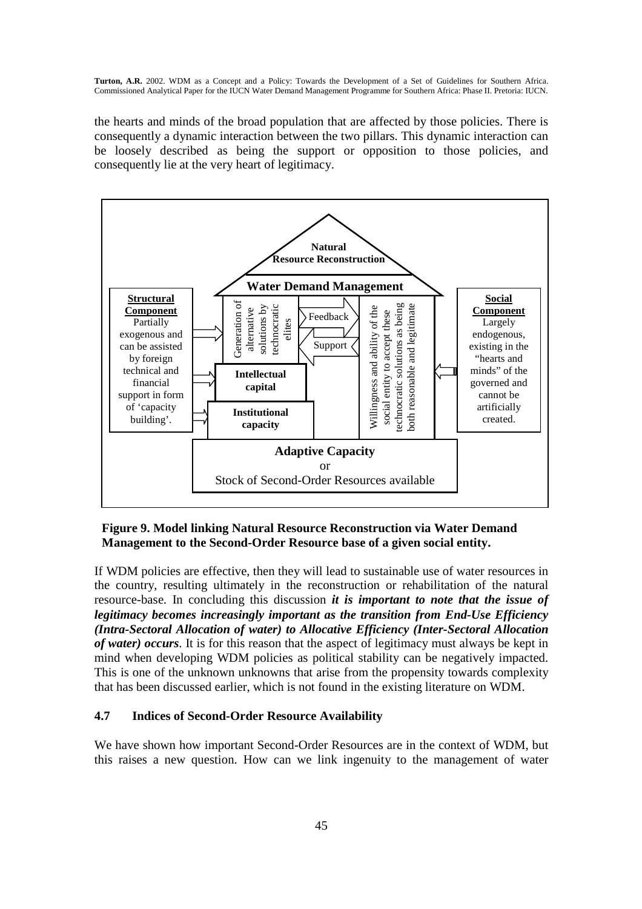the hearts and minds of the broad population that are affected by those policies. There is consequently a dynamic interaction between the two pillars. This dynamic interaction can be loosely described as being the support or opposition to those policies, and consequently lie at the very heart of legitimacy.



### **Figure 9. Model linking Natural Resource Reconstruction via Water Demand Management to the Second-Order Resource base of a given social entity.**

If WDM policies are effective, then they will lead to sustainable use of water resources in the country, resulting ultimately in the reconstruction or rehabilitation of the natural resource-base. In concluding this discussion *it is important to note that the issue of legitimacy becomes increasingly important as the transition from End-Use Efficiency (Intra-Sectoral Allocation of water) to Allocative Efficiency (Inter-Sectoral Allocation of water) occurs*. It is for this reason that the aspect of legitimacy must always be kept in mind when developing WDM policies as political stability can be negatively impacted. This is one of the unknown unknowns that arise from the propensity towards complexity that has been discussed earlier, which is not found in the existing literature on WDM.

### **4.7 Indices of Second-Order Resource Availability**

We have shown how important Second-Order Resources are in the context of WDM, but this raises a new question. How can we link ingenuity to the management of water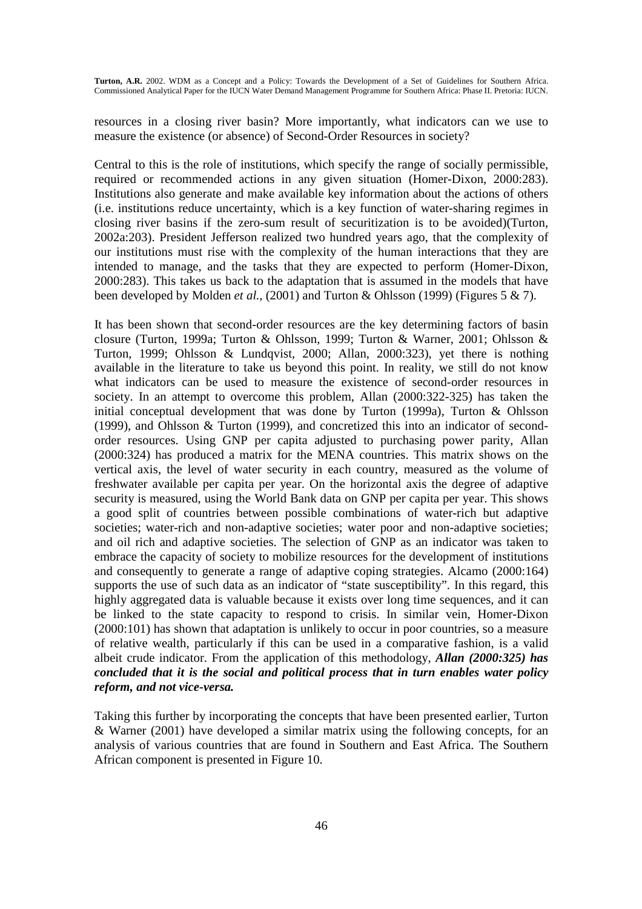resources in a closing river basin? More importantly, what indicators can we use to measure the existence (or absence) of Second-Order Resources in society?

Central to this is the role of institutions, which specify the range of socially permissible, required or recommended actions in any given situation (Homer-Dixon, 2000:283). Institutions also generate and make available key information about the actions of others (i.e. institutions reduce uncertainty, which is a key function of water-sharing regimes in closing river basins if the zero-sum result of securitization is to be avoided)(Turton, 2002a:203). President Jefferson realized two hundred years ago, that the complexity of our institutions must rise with the complexity of the human interactions that they are intended to manage, and the tasks that they are expected to perform (Homer-Dixon, 2000:283). This takes us back to the adaptation that is assumed in the models that have been developed by Molden *et al.,* (2001) and Turton & Ohlsson (1999) (Figures 5 & 7).

It has been shown that second-order resources are the key determining factors of basin closure (Turton, 1999a; Turton & Ohlsson, 1999; Turton & Warner, 2001; Ohlsson & Turton, 1999; Ohlsson & Lundqvist, 2000; Allan, 2000:323), yet there is nothing available in the literature to take us beyond this point. In reality, we still do not know what indicators can be used to measure the existence of second-order resources in society. In an attempt to overcome this problem, Allan (2000:322-325) has taken the initial conceptual development that was done by Turton (1999a), Turton & Ohlsson (1999), and Ohlsson & Turton (1999), and concretized this into an indicator of secondorder resources. Using GNP per capita adjusted to purchasing power parity, Allan (2000:324) has produced a matrix for the MENA countries. This matrix shows on the vertical axis, the level of water security in each country, measured as the volume of freshwater available per capita per year. On the horizontal axis the degree of adaptive security is measured, using the World Bank data on GNP per capita per year. This shows a good split of countries between possible combinations of water-rich but adaptive societies; water-rich and non-adaptive societies; water poor and non-adaptive societies; and oil rich and adaptive societies. The selection of GNP as an indicator was taken to embrace the capacity of society to mobilize resources for the development of institutions and consequently to generate a range of adaptive coping strategies. Alcamo (2000:164) supports the use of such data as an indicator of "state susceptibility". In this regard, this highly aggregated data is valuable because it exists over long time sequences, and it can be linked to the state capacity to respond to crisis. In similar vein, Homer-Dixon (2000:101) has shown that adaptation is unlikely to occur in poor countries, so a measure of relative wealth, particularly if this can be used in a comparative fashion, is a valid albeit crude indicator. From the application of this methodology, *Allan (2000:325) has concluded that it is the social and political process that in turn enables water policy reform, and not vice-versa.* 

Taking this further by incorporating the concepts that have been presented earlier, Turton & Warner (2001) have developed a similar matrix using the following concepts, for an analysis of various countries that are found in Southern and East Africa. The Southern African component is presented in Figure 10.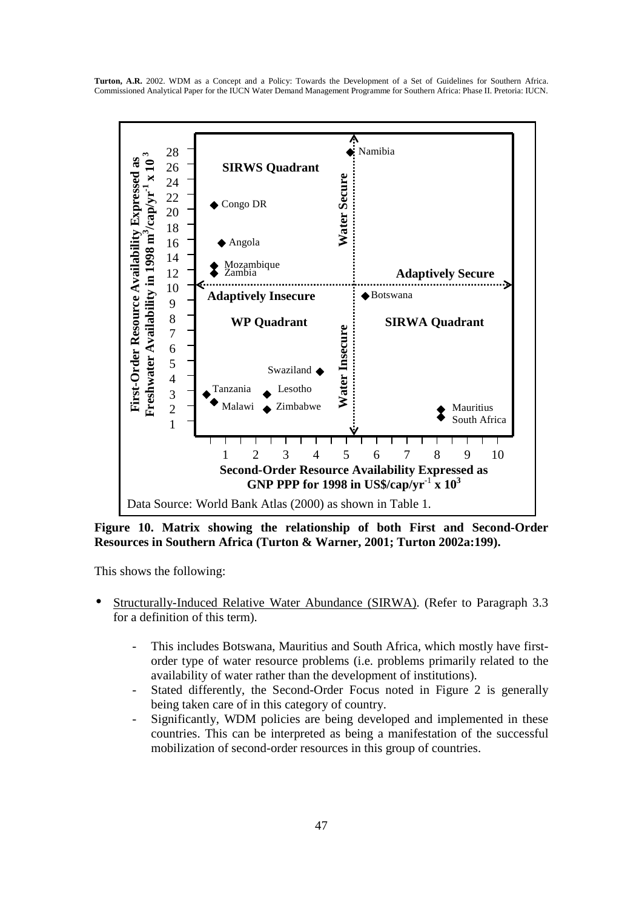

**Figure 10. Matrix showing the relationship of both First and Second-Order Resources in Southern Africa (Turton & Warner, 2001; Turton 2002a:199).** 

This shows the following:

- Structurally-Induced Relative Water Abundance (SIRWA). (Refer to Paragraph 3.3 for a definition of this term).
	- This includes Botswana, Mauritius and South Africa, which mostly have firstorder type of water resource problems (i.e. problems primarily related to the availability of water rather than the development of institutions).
	- Stated differently, the Second-Order Focus noted in Figure 2 is generally being taken care of in this category of country.
	- Significantly, WDM policies are being developed and implemented in these countries. This can be interpreted as being a manifestation of the successful mobilization of second-order resources in this group of countries.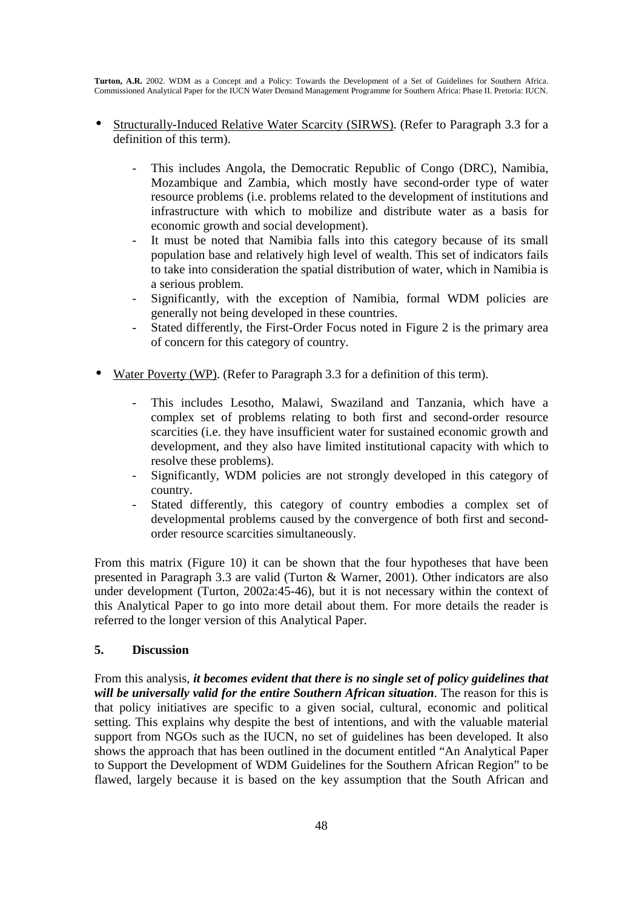- Structurally-Induced Relative Water Scarcity (SIRWS). (Refer to Paragraph 3.3 for a definition of this term).
	- This includes Angola, the Democratic Republic of Congo (DRC), Namibia, Mozambique and Zambia, which mostly have second-order type of water resource problems (i.e. problems related to the development of institutions and infrastructure with which to mobilize and distribute water as a basis for economic growth and social development).
	- It must be noted that Namibia falls into this category because of its small population base and relatively high level of wealth. This set of indicators fails to take into consideration the spatial distribution of water, which in Namibia is a serious problem.
	- Significantly, with the exception of Namibia, formal WDM policies are generally not being developed in these countries.
	- Stated differently, the First-Order Focus noted in Figure 2 is the primary area of concern for this category of country.
- Water Poverty (WP). (Refer to Paragraph 3.3 for a definition of this term).
	- This includes Lesotho, Malawi, Swaziland and Tanzania, which have a complex set of problems relating to both first and second-order resource scarcities (i.e. they have insufficient water for sustained economic growth and development, and they also have limited institutional capacity with which to resolve these problems).
	- Significantly, WDM policies are not strongly developed in this category of country.
	- Stated differently, this category of country embodies a complex set of developmental problems caused by the convergence of both first and secondorder resource scarcities simultaneously.

From this matrix (Figure 10) it can be shown that the four hypotheses that have been presented in Paragraph 3.3 are valid (Turton & Warner, 2001). Other indicators are also under development (Turton, 2002a:45-46), but it is not necessary within the context of this Analytical Paper to go into more detail about them. For more details the reader is referred to the longer version of this Analytical Paper.

# **5. Discussion**

From this analysis, *it becomes evident that there is no single set of policy guidelines that will be universally valid for the entire Southern African situation*. The reason for this is that policy initiatives are specific to a given social, cultural, economic and political setting. This explains why despite the best of intentions, and with the valuable material support from NGOs such as the IUCN, no set of guidelines has been developed. It also shows the approach that has been outlined in the document entitled "An Analytical Paper to Support the Development of WDM Guidelines for the Southern African Region" to be flawed, largely because it is based on the key assumption that the South African and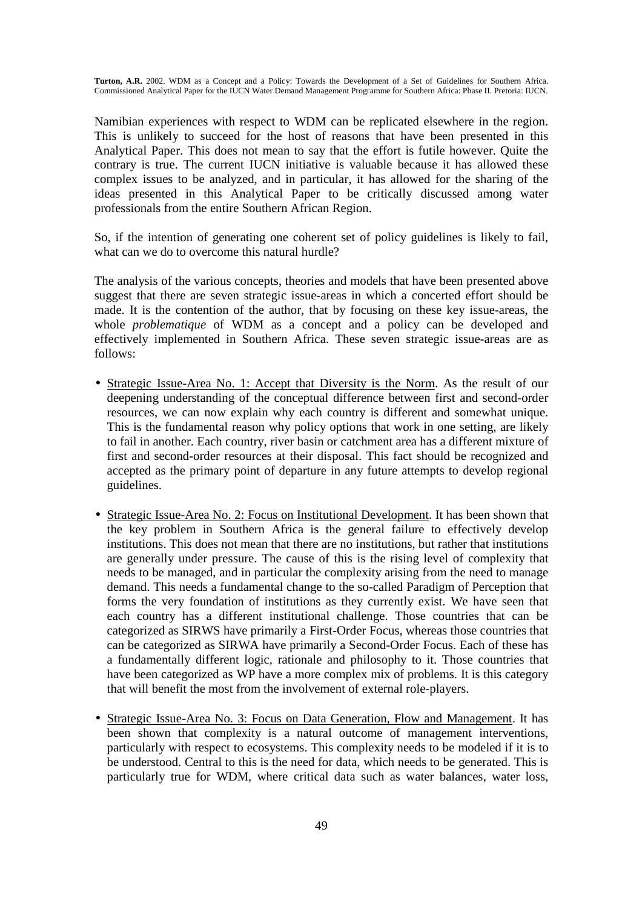Namibian experiences with respect to WDM can be replicated elsewhere in the region. This is unlikely to succeed for the host of reasons that have been presented in this Analytical Paper. This does not mean to say that the effort is futile however. Quite the contrary is true. The current IUCN initiative is valuable because it has allowed these complex issues to be analyzed, and in particular, it has allowed for the sharing of the ideas presented in this Analytical Paper to be critically discussed among water professionals from the entire Southern African Region.

So, if the intention of generating one coherent set of policy guidelines is likely to fail, what can we do to overcome this natural hurdle?

The analysis of the various concepts, theories and models that have been presented above suggest that there are seven strategic issue-areas in which a concerted effort should be made. It is the contention of the author, that by focusing on these key issue-areas, the whole *problematique* of WDM as a concept and a policy can be developed and effectively implemented in Southern Africa. These seven strategic issue-areas are as follows:

- Strategic Issue-Area No. 1: Accept that Diversity is the Norm. As the result of our deepening understanding of the conceptual difference between first and second-order resources, we can now explain why each country is different and somewhat unique. This is the fundamental reason why policy options that work in one setting, are likely to fail in another. Each country, river basin or catchment area has a different mixture of first and second-order resources at their disposal. This fact should be recognized and accepted as the primary point of departure in any future attempts to develop regional guidelines.
- Strategic Issue-Area No. 2: Focus on Institutional Development. It has been shown that the key problem in Southern Africa is the general failure to effectively develop institutions. This does not mean that there are no institutions, but rather that institutions are generally under pressure. The cause of this is the rising level of complexity that needs to be managed, and in particular the complexity arising from the need to manage demand. This needs a fundamental change to the so-called Paradigm of Perception that forms the very foundation of institutions as they currently exist. We have seen that each country has a different institutional challenge. Those countries that can be categorized as SIRWS have primarily a First-Order Focus, whereas those countries that can be categorized as SIRWA have primarily a Second-Order Focus. Each of these has a fundamentally different logic, rationale and philosophy to it. Those countries that have been categorized as WP have a more complex mix of problems. It is this category that will benefit the most from the involvement of external role-players.
- Strategic Issue-Area No. 3: Focus on Data Generation, Flow and Management. It has been shown that complexity is a natural outcome of management interventions, particularly with respect to ecosystems. This complexity needs to be modeled if it is to be understood. Central to this is the need for data, which needs to be generated. This is particularly true for WDM, where critical data such as water balances, water loss,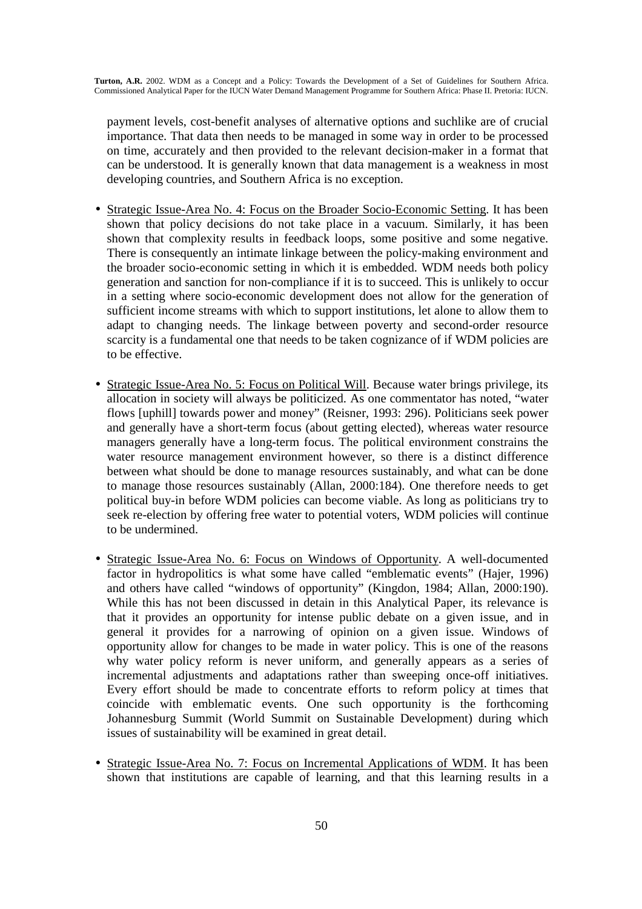payment levels, cost-benefit analyses of alternative options and suchlike are of crucial importance. That data then needs to be managed in some way in order to be processed on time, accurately and then provided to the relevant decision-maker in a format that can be understood. It is generally known that data management is a weakness in most developing countries, and Southern Africa is no exception.

- Strategic Issue-Area No. 4: Focus on the Broader Socio-Economic Setting. It has been shown that policy decisions do not take place in a vacuum. Similarly, it has been shown that complexity results in feedback loops, some positive and some negative. There is consequently an intimate linkage between the policy-making environment and the broader socio-economic setting in which it is embedded. WDM needs both policy generation and sanction for non-compliance if it is to succeed. This is unlikely to occur in a setting where socio-economic development does not allow for the generation of sufficient income streams with which to support institutions, let alone to allow them to adapt to changing needs. The linkage between poverty and second-order resource scarcity is a fundamental one that needs to be taken cognizance of if WDM policies are to be effective.
- Strategic Issue-Area No. 5: Focus on Political Will. Because water brings privilege, its allocation in society will always be politicized. As one commentator has noted, "water flows [uphill] towards power and money" (Reisner, 1993: 296). Politicians seek power and generally have a short-term focus (about getting elected), whereas water resource managers generally have a long-term focus. The political environment constrains the water resource management environment however, so there is a distinct difference between what should be done to manage resources sustainably, and what can be done to manage those resources sustainably (Allan, 2000:184). One therefore needs to get political buy-in before WDM policies can become viable. As long as politicians try to seek re-election by offering free water to potential voters, WDM policies will continue to be undermined.
- Strategic Issue-Area No. 6: Focus on Windows of Opportunity. A well-documented factor in hydropolitics is what some have called "emblematic events" (Hajer, 1996) and others have called "windows of opportunity" (Kingdon, 1984; Allan, 2000:190). While this has not been discussed in detain in this Analytical Paper, its relevance is that it provides an opportunity for intense public debate on a given issue, and in general it provides for a narrowing of opinion on a given issue. Windows of opportunity allow for changes to be made in water policy. This is one of the reasons why water policy reform is never uniform, and generally appears as a series of incremental adjustments and adaptations rather than sweeping once-off initiatives. Every effort should be made to concentrate efforts to reform policy at times that coincide with emblematic events. One such opportunity is the forthcoming Johannesburg Summit (World Summit on Sustainable Development) during which issues of sustainability will be examined in great detail.
- Strategic Issue-Area No. 7: Focus on Incremental Applications of WDM. It has been shown that institutions are capable of learning, and that this learning results in a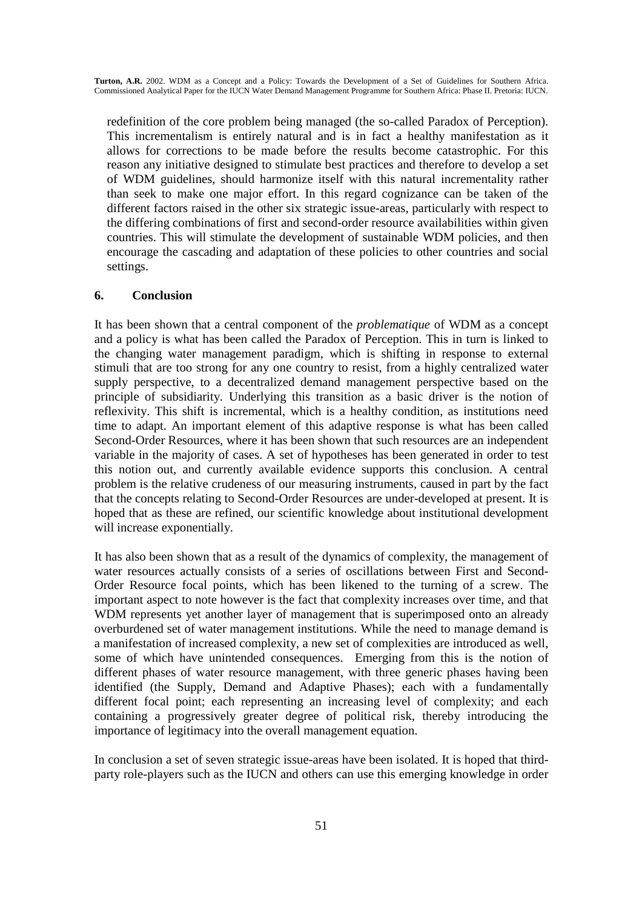redefinition of the core problem being managed (the so-called Paradox of Perception). This incrementalism is entirely natural and is in fact a healthy manifestation as it allows for corrections to be made before the results become catastrophic. For this reason any initiative designed to stimulate best practices and therefore to develop a set of WDM guidelines, should harmonize itself with this natural incrementality rather than seek to make one major effort. In this regard cognizance can be taken of the different factors raised in the other six strategic issue-areas, particularly with respect to the differing combinations of first and second-order resource availabilities within given countries. This will stimulate the development of sustainable WDM policies, and then encourage the cascading and adaptation of these policies to other countries and social settings.

### **6. Conclusion**

It has been shown that a central component of the *problematique* of WDM as a concept and a policy is what has been called the Paradox of Perception. This in turn is linked to the changing water management paradigm, which is shifting in response to external stimuli that are too strong for any one country to resist, from a highly centralized water supply perspective, to a decentralized demand management perspective based on the principle of subsidiarity. Underlying this transition as a basic driver is the notion of reflexivity. This shift is incremental, which is a healthy condition, as institutions need time to adapt. An important element of this adaptive response is what has been called Second-Order Resources, where it has been shown that such resources are an independent variable in the majority of cases. A set of hypotheses has been generated in order to test this notion out, and currently available evidence supports this conclusion. A central problem is the relative crudeness of our measuring instruments, caused in part by the fact that the concepts relating to Second-Order Resources are under-developed at present. It is hoped that as these are refined, our scientific knowledge about institutional development will increase exponentially.

It has also been shown that as a result of the dynamics of complexity, the management of water resources actually consists of a series of oscillations between First and Second-Order Resource focal points, which has been likened to the turning of a screw. The important aspect to note however is the fact that complexity increases over time, and that WDM represents yet another layer of management that is superimposed onto an already overburdened set of water management institutions. While the need to manage demand is a manifestation of increased complexity, a new set of complexities are introduced as well, some of which have unintended consequences. Emerging from this is the notion of different phases of water resource management, with three generic phases having been identified (the Supply, Demand and Adaptive Phases); each with a fundamentally different focal point; each representing an increasing level of complexity; and each containing a progressively greater degree of political risk, thereby introducing the importance of legitimacy into the overall management equation.

In conclusion a set of seven strategic issue-areas have been isolated. It is hoped that thirdparty role-players such as the IUCN and others can use this emerging knowledge in order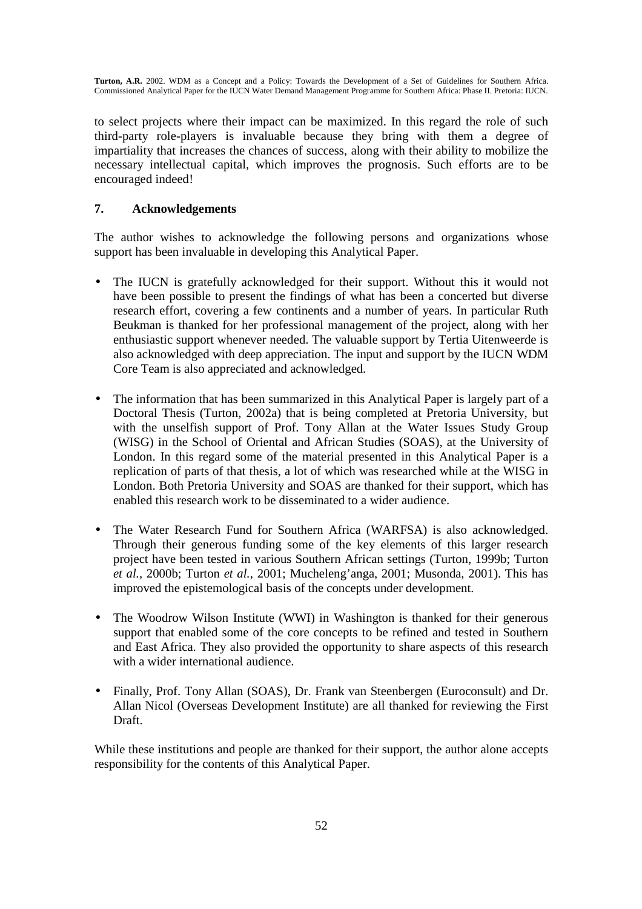to select projects where their impact can be maximized. In this regard the role of such third-party role-players is invaluable because they bring with them a degree of impartiality that increases the chances of success, along with their ability to mobilize the necessary intellectual capital, which improves the prognosis. Such efforts are to be encouraged indeed!

## **7. Acknowledgements**

The author wishes to acknowledge the following persons and organizations whose support has been invaluable in developing this Analytical Paper.

- The IUCN is gratefully acknowledged for their support. Without this it would not have been possible to present the findings of what has been a concerted but diverse research effort, covering a few continents and a number of years. In particular Ruth Beukman is thanked for her professional management of the project, along with her enthusiastic support whenever needed. The valuable support by Tertia Uitenweerde is also acknowledged with deep appreciation. The input and support by the IUCN WDM Core Team is also appreciated and acknowledged.
- The information that has been summarized in this Analytical Paper is largely part of a Doctoral Thesis (Turton, 2002a) that is being completed at Pretoria University, but with the unselfish support of Prof. Tony Allan at the Water Issues Study Group (WISG) in the School of Oriental and African Studies (SOAS), at the University of London. In this regard some of the material presented in this Analytical Paper is a replication of parts of that thesis, a lot of which was researched while at the WISG in London. Both Pretoria University and SOAS are thanked for their support, which has enabled this research work to be disseminated to a wider audience.
- The Water Research Fund for Southern Africa (WARFSA) is also acknowledged. Through their generous funding some of the key elements of this larger research project have been tested in various Southern African settings (Turton, 1999b; Turton *et al.,* 2000b; Turton *et al.,* 2001; Mucheleng'anga, 2001; Musonda, 2001). This has improved the epistemological basis of the concepts under development.
- The Woodrow Wilson Institute (WWI) in Washington is thanked for their generous support that enabled some of the core concepts to be refined and tested in Southern and East Africa. They also provided the opportunity to share aspects of this research with a wider international audience.
- Finally, Prof. Tony Allan (SOAS), Dr. Frank van Steenbergen (Euroconsult) and Dr. Allan Nicol (Overseas Development Institute) are all thanked for reviewing the First Draft.

While these institutions and people are thanked for their support, the author alone accepts responsibility for the contents of this Analytical Paper.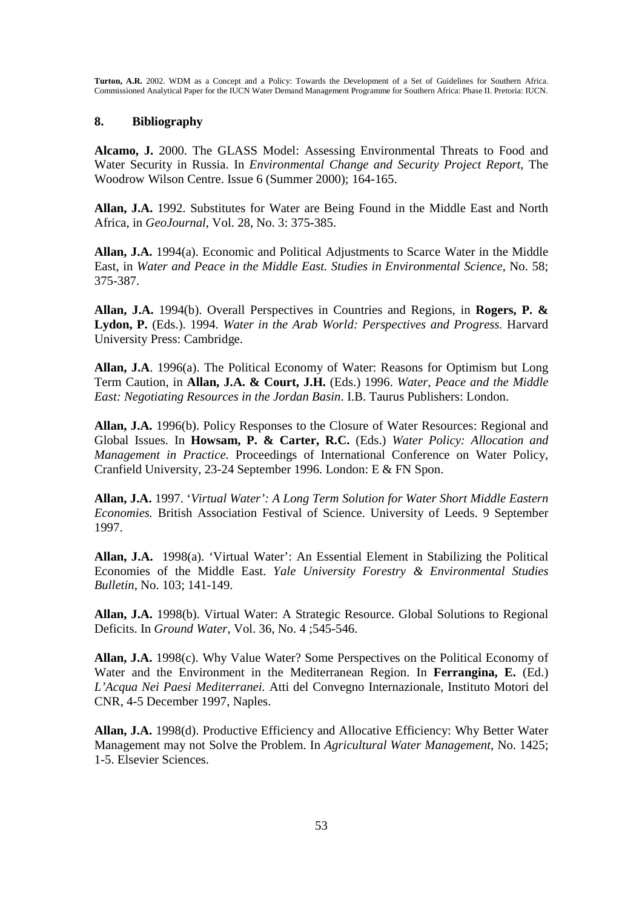#### **8. Bibliography**

**Alcamo, J.** 2000. The GLASS Model: Assessing Environmental Threats to Food and Water Security in Russia. In *Environmental Change and Security Project Report*, The Woodrow Wilson Centre. Issue 6 (Summer 2000); 164-165.

**Allan, J.A.** 1992. Substitutes for Water are Being Found in the Middle East and North Africa, in *GeoJournal*, Vol. 28, No. 3: 375-385.

**Allan, J.A.** 1994(a). Economic and Political Adjustments to Scarce Water in the Middle East, in *Water and Peace in the Middle East. Studies in Environmental Science*, No. 58; 375-387.

**Allan, J.A.** 1994(b). Overall Perspectives in Countries and Regions, in **Rogers, P. & Lydon, P.** (Eds.). 1994. *Water in the Arab World: Perspectives and Progress.* Harvard University Press: Cambridge.

**Allan, J.A**. 1996(a). The Political Economy of Water: Reasons for Optimism but Long Term Caution, in **Allan, J.A. & Court, J.H.** (Eds.) 1996. *Water, Peace and the Middle East: Negotiating Resources in the Jordan Basin*. I.B. Taurus Publishers: London.

**Allan, J.A.** 1996(b). Policy Responses to the Closure of Water Resources: Regional and Global Issues. In **Howsam, P. & Carter, R.C.** (Eds.) *Water Policy: Allocation and Management in Practice.* Proceedings of International Conference on Water Policy, Cranfield University, 23-24 September 1996. London: E & FN Spon.

**Allan, J.A.** 1997. '*Virtual Water': A Long Term Solution for Water Short Middle Eastern Economies.* British Association Festival of Science. University of Leeds. 9 September 1997.

**Allan, J.A.** 1998(a). 'Virtual Water': An Essential Element in Stabilizing the Political Economies of the Middle East. *Yale University Forestry & Environmental Studies Bulletin*, No. 103; 141-149.

**Allan, J.A.** 1998(b). Virtual Water: A Strategic Resource. Global Solutions to Regional Deficits. In *Ground Water*, Vol. 36, No. 4 ;545-546.

**Allan, J.A.** 1998(c). Why Value Water? Some Perspectives on the Political Economy of Water and the Environment in the Mediterranean Region. In **Ferrangina, E.** (Ed.) *L'Acqua Nei Paesi Mediterranei.* Atti del Convegno Internazionale, Instituto Motori del CNR, 4-5 December 1997, Naples.

**Allan, J.A.** 1998(d). Productive Efficiency and Allocative Efficiency: Why Better Water Management may not Solve the Problem. In *Agricultural Water Management*, No. 1425; 1-5. Elsevier Sciences.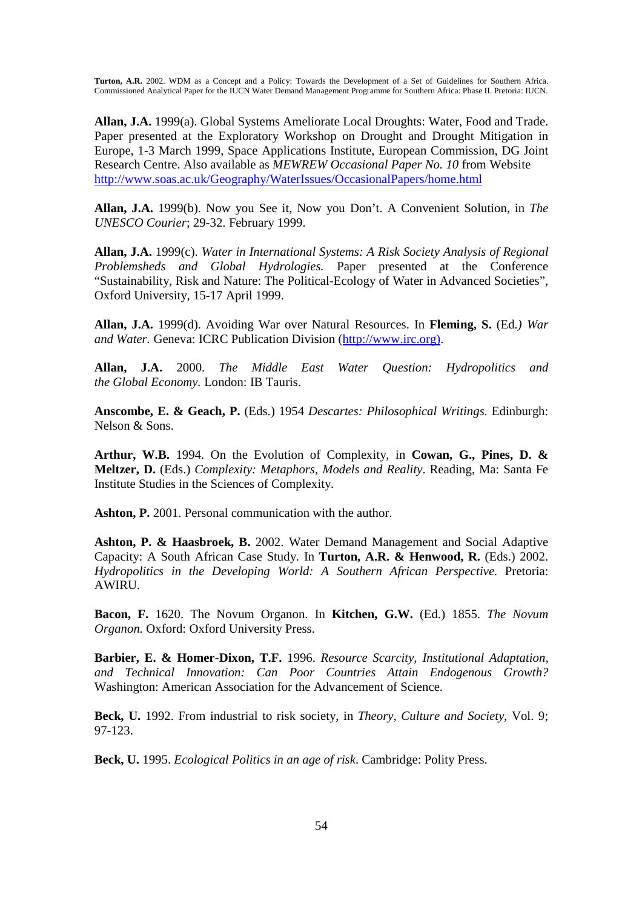**Allan, J.A.** 1999(a). Global Systems Ameliorate Local Droughts: Water, Food and Trade. Paper presented at the Exploratory Workshop on Drought and Drought Mitigation in Europe, 1-3 March 1999, Space Applications Institute, European Commission, DG Joint Research Centre. Also available as *MEWREW Occasional Paper No. 10* from Website http://www.soas.ac.uk/Geography/WaterIssues/OccasionalPapers/home.html

**Allan, J.A.** 1999(b). Now you See it, Now you Don't. A Convenient Solution, in *The UNESCO Courier*; 29-32. February 1999.

**Allan, J.A.** 1999(c). *Water in International Systems: A Risk Society Analysis of Regional Problemsheds and Global Hydrologies.* Paper presented at the Conference "Sustainability, Risk and Nature: The Political-Ecology of Water in Advanced Societies", Oxford University, 15-17 April 1999.

**Allan, J.A.** 1999(d). Avoiding War over Natural Resources. In **Fleming, S.** (Ed*.) War and Water.* Geneva: ICRC Publication Division (http://www.irc.org).

**Allan, J.A.** 2000. *The Middle East Water Question: Hydropolitics and the Global Economy.* London: IB Tauris.

**Anscombe, E. & Geach, P.** (Eds.) 1954 *Descartes: Philosophical Writings.* Edinburgh: Nelson & Sons.

**Arthur, W.B.** 1994. On the Evolution of Complexity, in **Cowan, G., Pines, D. & Meltzer, D.** (Eds.) *Complexity: Metaphors, Models and Reality*. Reading, Ma: Santa Fe Institute Studies in the Sciences of Complexity.

**Ashton, P.** 2001. Personal communication with the author.

**Ashton, P. & Haasbroek, B.** 2002. Water Demand Management and Social Adaptive Capacity: A South African Case Study. In **Turton, A.R. & Henwood, R.** (Eds.) 2002. *Hydropolitics in the Developing World: A Southern African Perspective*. Pretoria: AWIRU.

**Bacon, F.** 1620. The Novum Organon. In **Kitchen, G.W.** (Ed.) 1855. *The Novum Organon.* Oxford: Oxford University Press.

**Barbier, E. & Homer-Dixon, T.F.** 1996. *Resource Scarcity, Institutional Adaptation, and Technical Innovation: Can Poor Countries Attain Endogenous Growth?* Washington: American Association for the Advancement of Science.

**Beck, U.** 1992. From industrial to risk society, in *Theory, Culture and Society*, Vol. 9; 97-123.

**Beck, U.** 1995. *Ecological Politics in an age of risk*. Cambridge: Polity Press.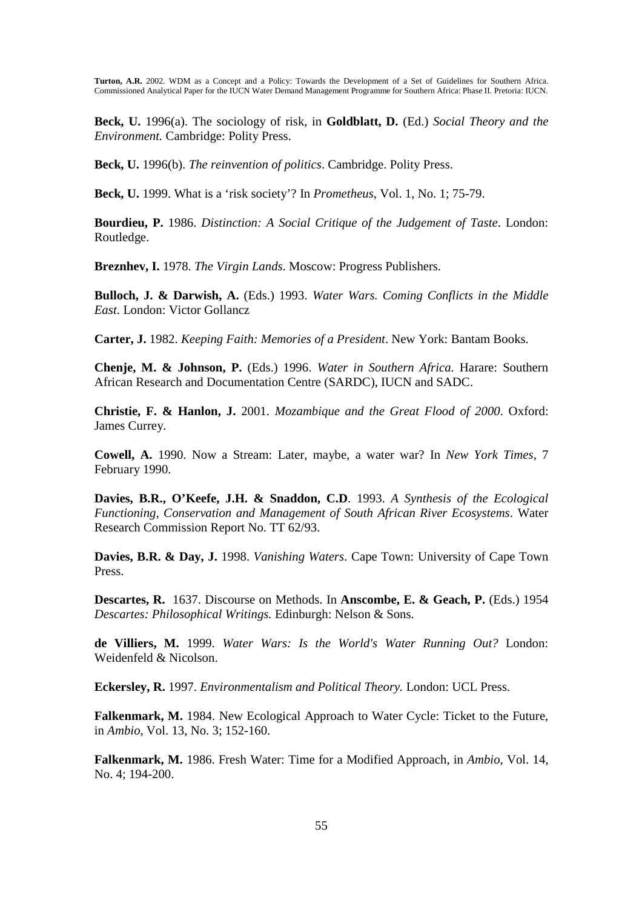**Beck, U.** 1996(a). The sociology of risk, in **Goldblatt, D.** (Ed.) *Social Theory and the Environment.* Cambridge: Polity Press.

**Beck, U.** 1996(b). *The reinvention of politics*. Cambridge. Polity Press.

**Beck, U.** 1999. What is a 'risk society'? In *Prometheus*, Vol. 1, No. 1; 75-79.

**Bourdieu, P.** 1986. *Distinction: A Social Critique of the Judgement of Taste*. London: Routledge.

**Breznhev, I.** 1978. *The Virgin Lands*. Moscow: Progress Publishers.

**Bulloch, J. & Darwish, A.** (Eds.) 1993. *Water Wars. Coming Conflicts in the Middle East*. London: Victor Gollancz

**Carter, J.** 1982. *Keeping Faith: Memories of a President*. New York: Bantam Books.

**Chenje, M. & Johnson, P.** (Eds.) 1996. *Water in Southern Africa.* Harare: Southern African Research and Documentation Centre (SARDC), IUCN and SADC.

**Christie, F. & Hanlon, J.** 2001. *Mozambique and the Great Flood of 2000*. Oxford: James Currey.

**Cowell, A.** 1990. Now a Stream: Later, maybe, a water war? In *New York Times*, 7 February 1990.

**Davies, B.R., O'Keefe, J.H. & Snaddon, C.D**. 1993. *A Synthesis of the Ecological Functioning, Conservation and Management of South African River Ecosystems*. Water Research Commission Report No. TT 62/93.

**Davies, B.R. & Day, J.** 1998. *Vanishing Waters*. Cape Town: University of Cape Town Press.

**Descartes, R.** 1637. Discourse on Methods. In **Anscombe, E. & Geach, P.** (Eds.) 1954 *Descartes: Philosophical Writings.* Edinburgh: Nelson & Sons.

**de Villiers, M.** 1999. *Water Wars: Is the World's Water Running Out?* London: Weidenfeld & Nicolson.

**Eckersley, R.** 1997. *Environmentalism and Political Theory.* London: UCL Press.

**Falkenmark, M.** 1984. New Ecological Approach to Water Cycle: Ticket to the Future, in *Ambio*, Vol. 13, No. 3; 152-160.

**Falkenmark, M.** 1986. Fresh Water: Time for a Modified Approach, in *Ambio*, Vol. 14, No. 4; 194-200.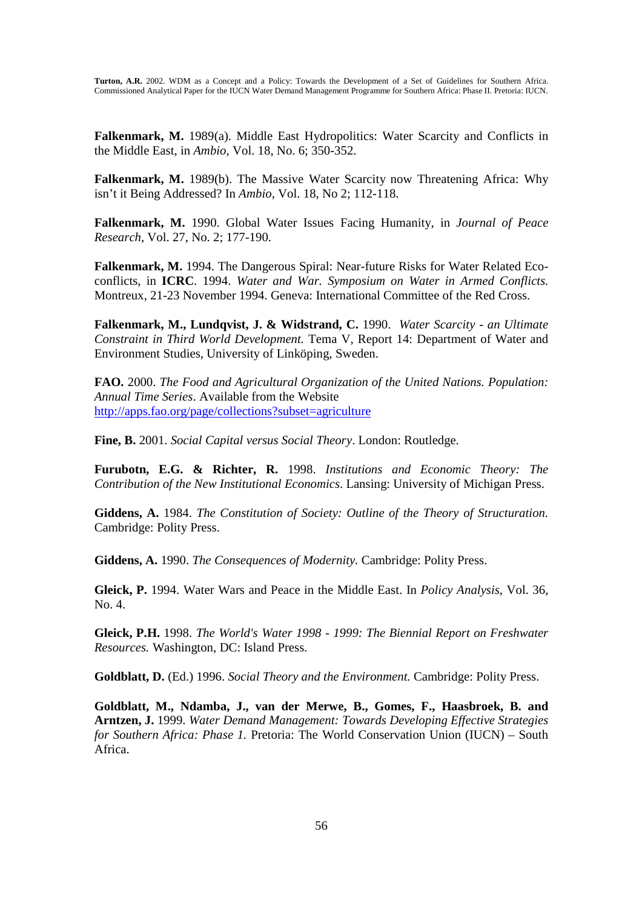**Falkenmark, M.** 1989(a). Middle East Hydropolitics: Water Scarcity and Conflicts in the Middle East, in *Ambio*, Vol. 18, No. 6; 350-352.

**Falkenmark, M.** 1989(b). The Massive Water Scarcity now Threatening Africa: Why isn't it Being Addressed? In *Ambio*, Vol. 18, No 2; 112-118.

**Falkenmark, M.** 1990. Global Water Issues Facing Humanity, in *Journal of Peace Research,* Vol. 27, No. 2; 177-190.

**Falkenmark, M.** 1994. The Dangerous Spiral: Near-future Risks for Water Related Ecoconflicts, in **ICRC**. 1994. *Water and War. Symposium on Water in Armed Conflicts.* Montreux, 21-23 November 1994. Geneva: International Committee of the Red Cross.

**Falkenmark, M., Lundqvist, J. & Widstrand, C.** 1990. *Water Scarcity - an Ultimate Constraint in Third World Development.* Tema V, Report 14: Department of Water and Environment Studies, University of Linköping, Sweden.

**FAO.** 2000. *The Food and Agricultural Organization of the United Nations. Population: Annual Time Series*. Available from the Website http://apps.fao.org/page/collections?subset=agriculture

**Fine, B.** 2001. *Social Capital versus Social Theory*. London: Routledge.

**Furubotn, E.G. & Richter, R.** 1998. *Institutions and Economic Theory: The Contribution of the New Institutional Economics*. Lansing: University of Michigan Press.

**Giddens, A.** 1984. *The Constitution of Society: Outline of the Theory of Structuration.* Cambridge: Polity Press.

**Giddens, A.** 1990. *The Consequences of Modernity.* Cambridge: Polity Press.

**Gleick, P.** 1994. Water Wars and Peace in the Middle East. In *Policy Analysis*, Vol. 36, No. 4.

**Gleick, P.H.** 1998. *The World's Water 1998 - 1999: The Biennial Report on Freshwater Resources.* Washington, DC: Island Press.

**Goldblatt, D.** (Ed.) 1996. *Social Theory and the Environment.* Cambridge: Polity Press.

**Goldblatt, M., Ndamba, J., van der Merwe, B., Gomes, F., Haasbroek, B. and Arntzen, J.** 1999. *Water Demand Management: Towards Developing Effective Strategies for Southern Africa: Phase 1.* Pretoria: The World Conservation Union (IUCN) – South Africa.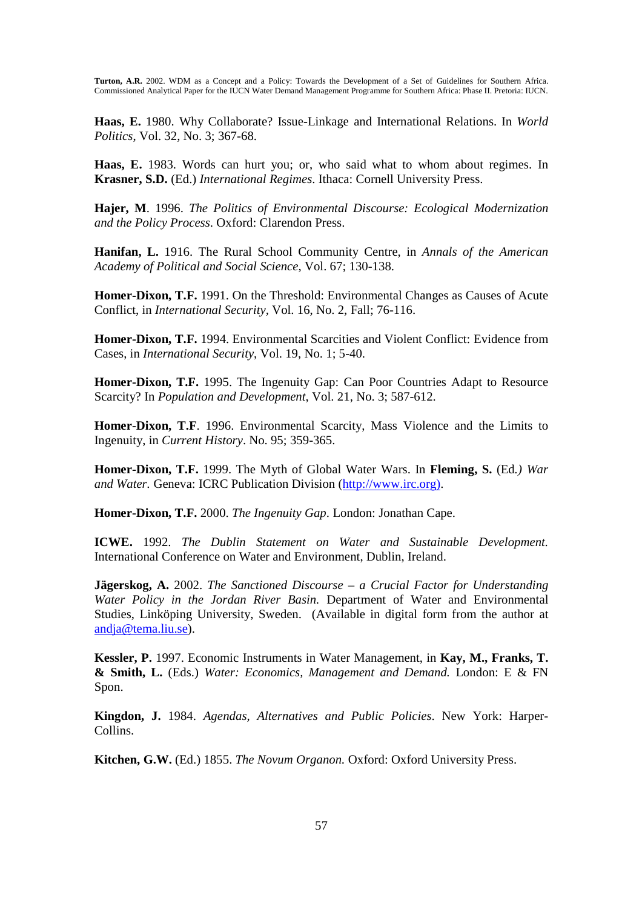**Haas, E.** 1980. Why Collaborate? Issue-Linkage and International Relations. In *World Politics*, Vol. 32, No. 3; 367-68.

**Haas, E.** 1983. Words can hurt you; or, who said what to whom about regimes. In **Krasner, S.D.** (Ed.) *International Regimes*. Ithaca: Cornell University Press.

**Hajer, M**. 1996. *The Politics of Environmental Discourse: Ecological Modernization and the Policy Process*. Oxford: Clarendon Press.

**Hanifan, L.** 1916. The Rural School Community Centre, in *Annals of the American Academy of Political and Social Science*, Vol. 67; 130-138.

**Homer-Dixon, T.F.** 1991. On the Threshold: Environmental Changes as Causes of Acute Conflict, in *International Security,* Vol. 16, No. 2, Fall; 76-116.

**Homer-Dixon, T.F.** 1994. Environmental Scarcities and Violent Conflict: Evidence from Cases, in *International Security*, Vol. 19, No. 1; 5-40.

**Homer-Dixon, T.F.** 1995. The Ingenuity Gap: Can Poor Countries Adapt to Resource Scarcity? In *Population and Development*, Vol. 21, No. 3; 587-612.

**Homer-Dixon, T.F**. 1996. Environmental Scarcity, Mass Violence and the Limits to Ingenuity, in *Current History*. No. 95; 359-365.

**Homer-Dixon, T.F.** 1999. The Myth of Global Water Wars. In **Fleming, S.** (Ed*.) War and Water.* Geneva: ICRC Publication Division (http://www.irc.org).

**Homer-Dixon, T.F.** 2000. *The Ingenuity Gap*. London: Jonathan Cape.

**ICWE.** 1992. *The Dublin Statement on Water and Sustainable Development.* International Conference on Water and Environment, Dublin, Ireland.

**Jägerskog, A.** 2002. *The Sanctioned Discourse – a Crucial Factor for Understanding Water Policy in the Jordan River Basin.* Department of Water and Environmental Studies, Linköping University, Sweden. (Available in digital form from the author at andja@tema.liu.se).

**Kessler, P.** 1997. Economic Instruments in Water Management, in **Kay, M., Franks, T. & Smith, L.** (Eds.) *Water: Economics, Management and Demand.* London: E & FN Spon.

**Kingdon, J.** 1984. *Agendas, Alternatives and Public Policies*. New York: Harper-Collins.

**Kitchen, G.W.** (Ed.) 1855. *The Novum Organon.* Oxford: Oxford University Press.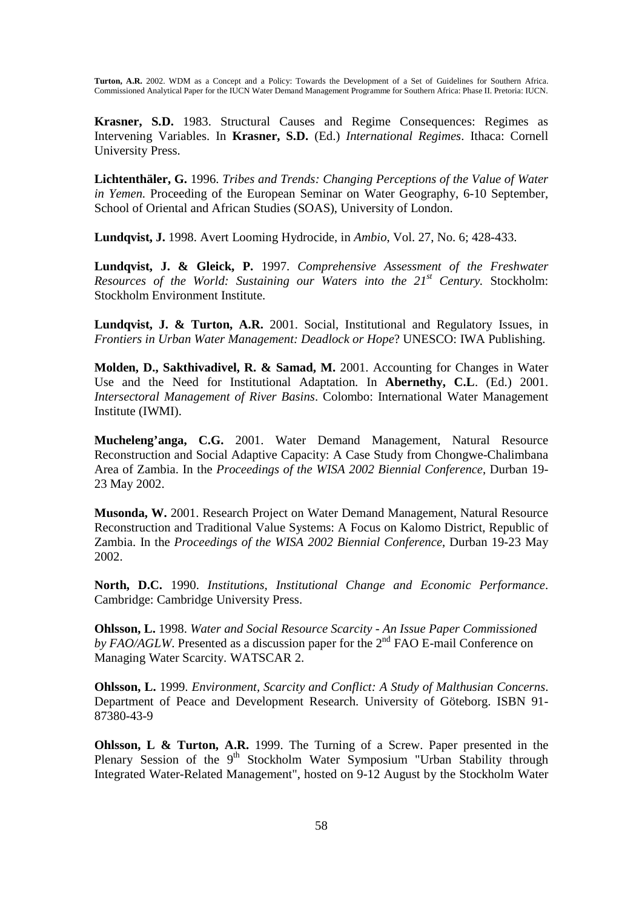**Krasner, S.D.** 1983. Structural Causes and Regime Consequences: Regimes as Intervening Variables. In **Krasner, S.D.** (Ed.) *International Regimes*. Ithaca: Cornell University Press.

**Lichtenthäler, G.** 1996. *Tribes and Trends: Changing Perceptions of the Value of Water in Yemen.* Proceeding of the European Seminar on Water Geography, 6-10 September, School of Oriental and African Studies (SOAS), University of London.

**Lundqvist, J.** 1998. Avert Looming Hydrocide, in *Ambio*, Vol. 27, No. 6; 428-433.

**Lundqvist, J. & Gleick, P.** 1997. *Comprehensive Assessment of the Freshwater Resources of the World: Sustaining our Waters into the 21st Century.* Stockholm: Stockholm Environment Institute.

**Lundqvist, J. & Turton, A.R.** 2001. Social, Institutional and Regulatory Issues, in *Frontiers in Urban Water Management: Deadlock or Hope*? UNESCO: IWA Publishing.

**Molden, D., Sakthivadivel, R. & Samad, M.** 2001. Accounting for Changes in Water Use and the Need for Institutional Adaptation*.* In **Abernethy, C.L**. (Ed.) 2001. *Intersectoral Management of River Basins*. Colombo: International Water Management Institute (IWMI).

**Mucheleng'anga, C.G.** 2001. Water Demand Management, Natural Resource Reconstruction and Social Adaptive Capacity: A Case Study from Chongwe-Chalimbana Area of Zambia. In the *Proceedings of the WISA 2002 Biennial Conference*, Durban 19- 23 May 2002.

**Musonda, W.** 2001. Research Project on Water Demand Management, Natural Resource Reconstruction and Traditional Value Systems: A Focus on Kalomo District, Republic of Zambia. In the *Proceedings of the WISA 2002 Biennial Conference*, Durban 19-23 May 2002.

**North, D.C.** 1990. *Institutions, Institutional Change and Economic Performance*. Cambridge: Cambridge University Press.

**Ohlsson, L.** 1998. *Water and Social Resource Scarcity - An Issue Paper Commissioned by FAO/AGLW*. Presented as a discussion paper for the 2<sup>nd</sup> FAO E-mail Conference on Managing Water Scarcity. WATSCAR 2.

**Ohlsson, L.** 1999. *Environment, Scarcity and Conflict: A Study of Malthusian Concerns*. Department of Peace and Development Research. University of Göteborg. ISBN 91- 87380-43-9

**Ohlsson, L & Turton, A.R.** 1999. The Turning of a Screw. Paper presented in the Plenary Session of the  $9<sup>th</sup>$  Stockholm Water Symposium "Urban Stability through Integrated Water-Related Management", hosted on 9-12 August by the Stockholm Water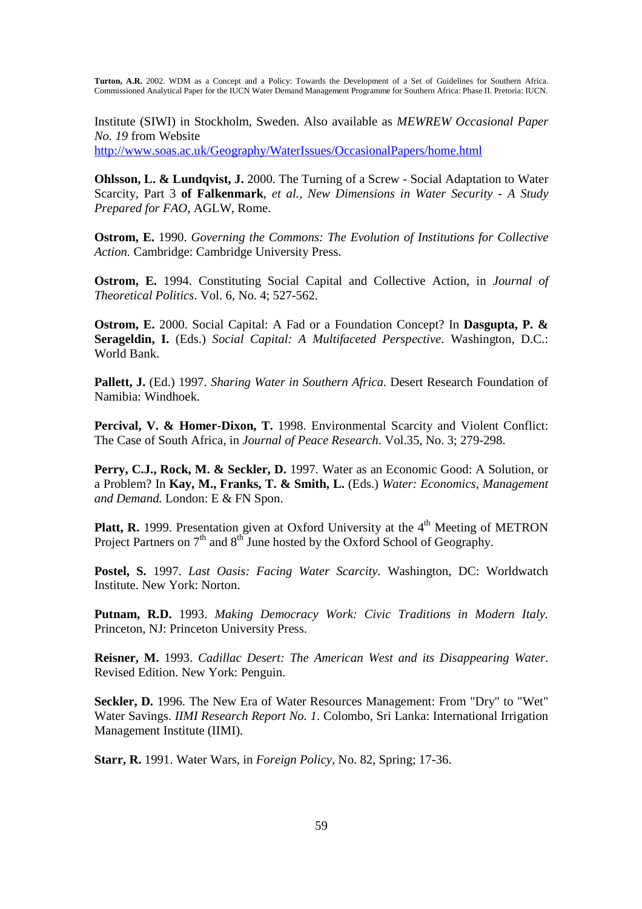Institute (SIWI) in Stockholm, Sweden. Also available as *MEWREW Occasional Paper No. 19* from Website

http://www.soas.ac.uk/Geography/WaterIssues/OccasionalPapers/home.html

**Ohlsson, L. & Lundqvist, J.** 2000. The Turning of a Screw - Social Adaptation to Water Scarcity, Part 3 **of Falkenmark**, *et al., New Dimensions in Water Security - A Study Prepared for FAO*, AGLW, Rome.

**Ostrom, E.** 1990. *Governing the Commons: The Evolution of Institutions for Collective Action.* Cambridge: Cambridge University Press.

**Ostrom, E.** 1994. Constituting Social Capital and Collective Action, in *Journal of Theoretical Politics*. Vol. 6, No. 4; 527-562.

**Ostrom, E.** 2000. Social Capital: A Fad or a Foundation Concept? In **Dasgupta, P. & Serageldin, I.** (Eds.) *Social Capital: A Multifaceted Perspective*. Washington, D.C.: World Bank.

**Pallett, J.** (Ed.) 1997. *Sharing Water in Southern Africa*. Desert Research Foundation of Namibia: Windhoek.

**Percival, V. & Homer-Dixon, T.** 1998. Environmental Scarcity and Violent Conflict: The Case of South Africa, in *Journal of Peace Research*. Vol.35, No. 3; 279-298.

**Perry, C.J., Rock, M. & Seckler, D.** 1997. Water as an Economic Good: A Solution, or a Problem? In **Kay, M., Franks, T. & Smith, L.** (Eds.) *Water: Economics, Management and Demand.* London: E & FN Spon.

**Platt, R.** 1999. Presentation given at Oxford University at the 4<sup>th</sup> Meeting of METRON Project Partners on  $7<sup>th</sup>$  and  $8<sup>th</sup>$  June hosted by the Oxford School of Geography.

**Postel, S.** 1997. *Last Oasis: Facing Water Scarcity.* Washington, DC: Worldwatch Institute. New York: Norton.

**Putnam, R.D.** 1993. *Making Democracy Work: Civic Traditions in Modern Italy.* Princeton, NJ: Princeton University Press.

**Reisner, M.** 1993. *Cadillac Desert: The American West and its Disappearing Water*. Revised Edition. New York: Penguin.

**Seckler, D.** 1996. The New Era of Water Resources Management: From "Dry" to "Wet" Water Savings. *IIMI Research Report No. 1*. Colombo, Sri Lanka: International Irrigation Management Institute (IIMI).

**Starr, R.** 1991. Water Wars, in *Foreign Policy,* No. 82, Spring; 17-36.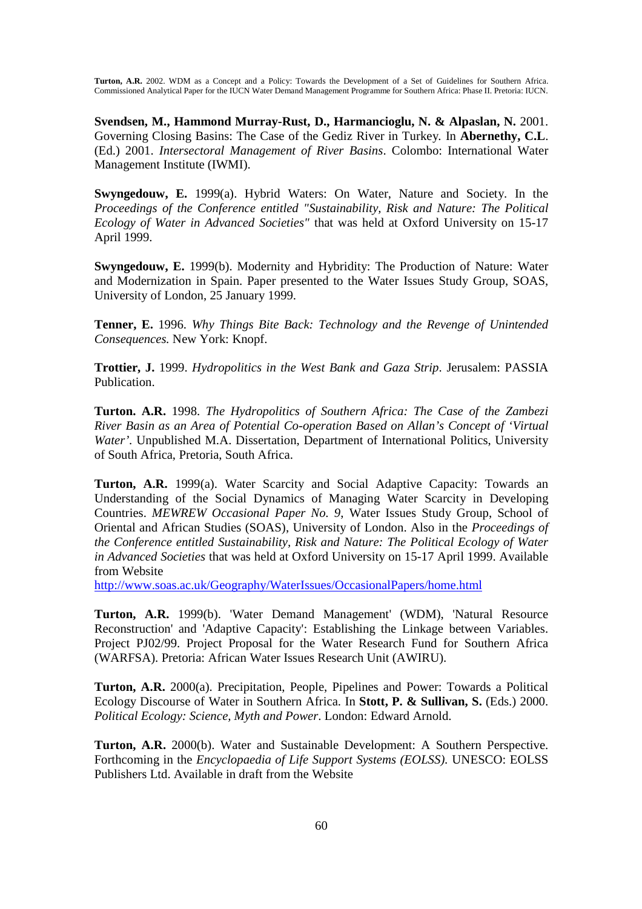**Svendsen, M., Hammond Murray-Rust, D., Harmancioglu, N. & Alpaslan, N.** 2001. Governing Closing Basins: The Case of the Gediz River in Turkey*.* In **Abernethy, C.L**. (Ed.) 2001. *Intersectoral Management of River Basins*. Colombo: International Water Management Institute (IWMI).

**Swyngedouw, E.** 1999(a). Hybrid Waters: On Water, Nature and Society. In the *Proceedings of the Conference entitled "Sustainability, Risk and Nature: The Political Ecology of Water in Advanced Societies"* that was held at Oxford University on 15-17 April 1999.

**Swyngedouw, E.** 1999(b). Modernity and Hybridity: The Production of Nature: Water and Modernization in Spain. Paper presented to the Water Issues Study Group, SOAS, University of London, 25 January 1999.

**Tenner, E.** 1996. *Why Things Bite Back: Technology and the Revenge of Unintended Consequences.* New York: Knopf.

**Trottier, J.** 1999. *Hydropolitics in the West Bank and Gaza Strip*. Jerusalem: PASSIA Publication.

**Turton. A.R.** 1998. *The Hydropolitics of Southern Africa: The Case of the Zambezi River Basin as an Area of Potential Co-operation Based on Allan's Concept of 'Virtual Water'.* Unpublished M.A. Dissertation, Department of International Politics, University of South Africa, Pretoria, South Africa.

**Turton, A.R.** 1999(a). Water Scarcity and Social Adaptive Capacity: Towards an Understanding of the Social Dynamics of Managing Water Scarcity in Developing Countries. *MEWREW Occasional Paper No. 9*, Water Issues Study Group, School of Oriental and African Studies (SOAS), University of London. Also in the *Proceedings of the Conference entitled Sustainability, Risk and Nature: The Political Ecology of Water in Advanced Societies* that was held at Oxford University on 15-17 April 1999. Available from Website

http://www.soas.ac.uk/Geography/WaterIssues/OccasionalPapers/home.html

**Turton, A.R.** 1999(b). 'Water Demand Management' (WDM), 'Natural Resource Reconstruction' and 'Adaptive Capacity': Establishing the Linkage between Variables. Project PJ02/99. Project Proposal for the Water Research Fund for Southern Africa (WARFSA). Pretoria: African Water Issues Research Unit (AWIRU).

**Turton, A.R.** 2000(a). Precipitation, People, Pipelines and Power: Towards a Political Ecology Discourse of Water in Southern Africa. In **Stott, P. & Sullivan, S.** (Eds.) 2000. *Political Ecology: Science, Myth and Power*. London: Edward Arnold.

**Turton, A.R.** 2000(b). Water and Sustainable Development: A Southern Perspective. Forthcoming in the *Encyclopaedia of Life Support Systems (EOLSS).* UNESCO: EOLSS Publishers Ltd. Available in draft from the Website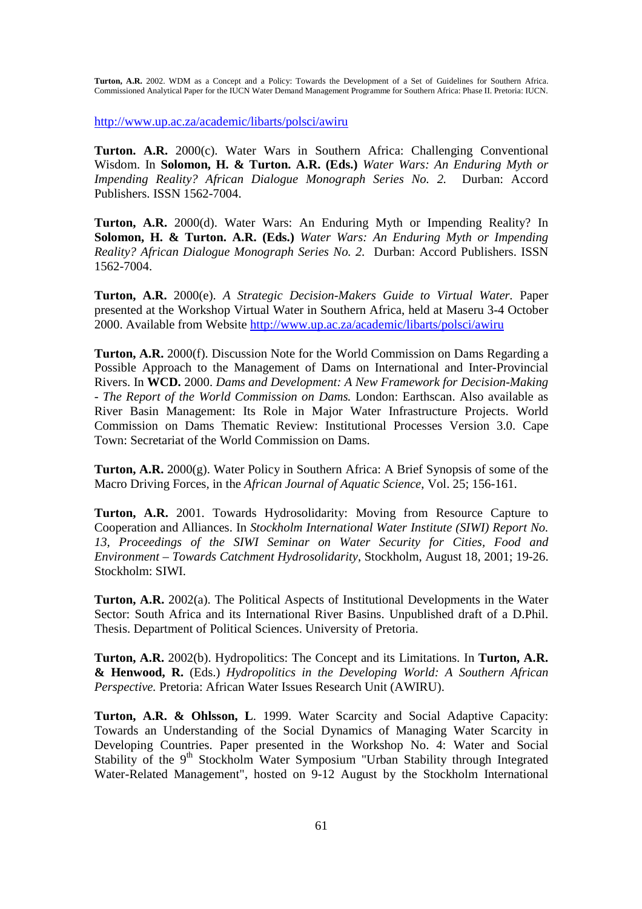http://www.up.ac.za/academic/libarts/polsci/awiru

**Turton. A.R.** 2000(c). Water Wars in Southern Africa: Challenging Conventional Wisdom. In **Solomon, H. & Turton. A.R. (Eds.)** *Water Wars: An Enduring Myth or Impending Reality? African Dialogue Monograph Series No. 2.* Durban: Accord Publishers. ISSN 1562-7004.

**Turton, A.R.** 2000(d). Water Wars: An Enduring Myth or Impending Reality? In **Solomon, H. & Turton. A.R. (Eds.)** *Water Wars: An Enduring Myth or Impending Reality? African Dialogue Monograph Series No. 2.* Durban: Accord Publishers. ISSN 1562-7004.

**Turton, A.R.** 2000(e). *A Strategic Decision-Makers Guide to Virtual Water.* Paper presented at the Workshop Virtual Water in Southern Africa, held at Maseru 3-4 October 2000. Available from Website http://www.up.ac.za/academic/libarts/polsci/awiru

**Turton, A.R.** 2000(f). Discussion Note for the World Commission on Dams Regarding a Possible Approach to the Management of Dams on International and Inter-Provincial Rivers. In **WCD.** 2000. *Dams and Development: A New Framework for Decision-Making - The Report of the World Commission on Dams.* London: Earthscan. Also available as River Basin Management: Its Role in Major Water Infrastructure Projects. World Commission on Dams Thematic Review: Institutional Processes Version 3.0. Cape Town: Secretariat of the World Commission on Dams.

**Turton, A.R.** 2000(g). Water Policy in Southern Africa: A Brief Synopsis of some of the Macro Driving Forces*,* in the *African Journal of Aquatic Science*, Vol. 25; 156-161.

**Turton, A.R.** 2001. Towards Hydrosolidarity: Moving from Resource Capture to Cooperation and Alliances. In *Stockholm International Water Institute (SIWI) Report No. 13, Proceedings of the SIWI Seminar on Water Security for Cities, Food and Environment – Towards Catchment Hydrosolidarity*, Stockholm, August 18, 2001; 19-26. Stockholm: SIWI.

**Turton, A.R.** 2002(a). The Political Aspects of Institutional Developments in the Water Sector: South Africa and its International River Basins. Unpublished draft of a D.Phil. Thesis. Department of Political Sciences. University of Pretoria.

**Turton, A.R.** 2002(b). Hydropolitics: The Concept and its Limitations. In **Turton, A.R. & Henwood, R.** (Eds.) *Hydropolitics in the Developing World: A Southern African Perspective.* Pretoria: African Water Issues Research Unit (AWIRU).

**Turton, A.R. & Ohlsson, L**. 1999. Water Scarcity and Social Adaptive Capacity: Towards an Understanding of the Social Dynamics of Managing Water Scarcity in Developing Countries. Paper presented in the Workshop No. 4: Water and Social Stability of the 9<sup>th</sup> Stockholm Water Symposium "Urban Stability through Integrated Water-Related Management", hosted on 9-12 August by the Stockholm International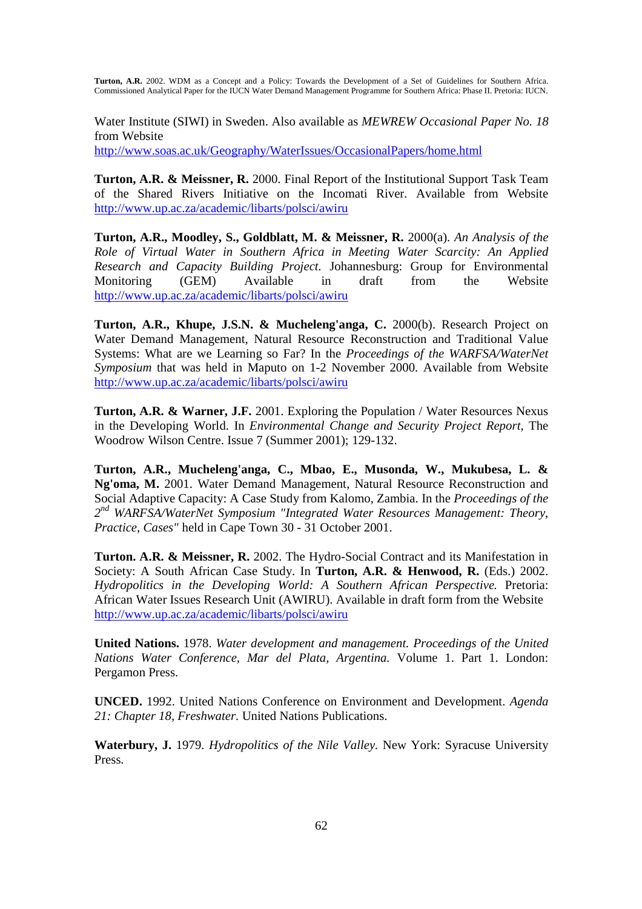Water Institute (SIWI) in Sweden. Also available as *MEWREW Occasional Paper No. 18* from Website

http://www.soas.ac.uk/Geography/WaterIssues/OccasionalPapers/home.html

**Turton, A.R. & Meissner, R.** 2000. Final Report of the Institutional Support Task Team of the Shared Rivers Initiative on the Incomati River. Available from Website http://www.up.ac.za/academic/libarts/polsci/awiru

**Turton, A.R., Moodley, S., Goldblatt, M. & Meissner, R.** 2000(a). *An Analysis of the Role of Virtual Water in Southern Africa in Meeting Water Scarcity: An Applied Research and Capacity Building Project.* Johannesburg: Group for Environmental Monitoring (GEM) Available in draft from the Website http://www.up.ac.za/academic/libarts/polsci/awiru

**Turton, A.R., Khupe, J.S.N. & Mucheleng'anga, C.** 2000(b). Research Project on Water Demand Management, Natural Resource Reconstruction and Traditional Value Systems: What are we Learning so Far? In the *Proceedings of the WARFSA/WaterNet Symposium* that was held in Maputo on 1-2 November 2000. Available from Website http://www.up.ac.za/academic/libarts/polsci/awiru

**Turton, A.R. & Warner, J.F.** 2001. Exploring the Population / Water Resources Nexus in the Developing World. In *Environmental Change and Security Project Report*, The Woodrow Wilson Centre. Issue 7 (Summer 2001); 129-132.

**Turton, A.R., Mucheleng'anga, C., Mbao, E., Musonda, W., Mukubesa, L. & Ng'oma, M.** 2001. Water Demand Management, Natural Resource Reconstruction and Social Adaptive Capacity: A Case Study from Kalomo, Zambia. In the *Proceedings of the 2 nd WARFSA/WaterNet Symposium "Integrated Water Resources Management: Theory, Practice, Cases"* held in Cape Town 30 - 31 October 2001.

**Turton. A.R. & Meissner, R.** 2002. The Hydro-Social Contract and its Manifestation in Society: A South African Case Study. In **Turton, A.R. & Henwood, R.** (Eds.) 2002. *Hydropolitics in the Developing World: A Southern African Perspective.* Pretoria: African Water Issues Research Unit (AWIRU). Available in draft form from the Website http://www.up.ac.za/academic/libarts/polsci/awiru

**United Nations.** 1978. *Water development and management. Proceedings of the United Nations Water Conference, Mar del Plata, Argentina.* Volume 1. Part 1. London: Pergamon Press.

**UNCED.** 1992. United Nations Conference on Environment and Development. *Agenda 21: Chapter 18, Freshwater.* United Nations Publications.

**Waterbury, J.** 1979. *Hydropolitics of the Nile Valley.* New York: Syracuse University Press.